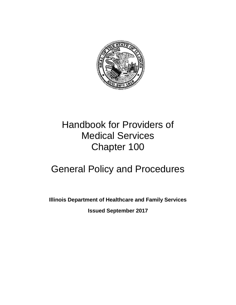

# Handbook for Providers of Medical Services Chapter 100

# General Policy and Procedures

**Illinois Department of Healthcare and Family Services** 

**Issued September 2017**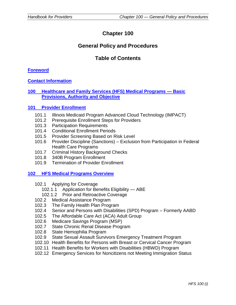# **Chapter 100**

# **General Policy and Procedures**

# **Table of Contents**

#### **[Foreword](#page-6-0)**

**[Contact Information](#page-8-0)**

## **100 [Healthcare and Family Services \(HFS\) Medical Programs —](#page-11-0) Basic [Provisions, Authority and Objective](#page-11-0)**

#### **[101 Provider Enrollment](#page-12-0)**

- 101.1 Illinois Medicaid Program Advanced Cloud Technology (IMPACT)
- 101.2 Prerequisite Enrollment Steps for Providers
- 101.3 Participation Requirements
- 101.4 Conditional Enrollment Periods
- 101.5 Provider Screening Based on Risk Level
- 101.6 Provider Discipline (Sanctions) Exclusion from Participation in Federal Health Care Programs
- 101.7 Criminal History Background Checks
- 101.8 340B Program Enrollment
- 101.9 Termination of Provider Enrollment

#### **102 [HFS Medical Programs Overview](#page-20-0)**

- 102.1 Applying for Coverage
	- 102.1.1 Application for Benefits Eligibility ABE
	- 102.1.2 Prior and Retroactive Coverage
- 102.2 Medical Assistance Program
- 102.3 The Family Health Plan Program
- 102.4 Senior and Persons with Disabilities (SPD) Program Formerly AABD
- 102.5 The Affordable Care Act (ACA) Adult Group
- 102.6 Medicare Savings Program (MSP)
- 102.7 State Chronic Renal Disease Program
- 102.8 State Hemophilia Program
- 102.9 State Sexual Assault Survivors Emergency Treatment Program
- 102.10 Health Benefits for Persons with Breast or Cervical Cancer Program
- 102.11 Health Benefits for Workers with Disabilities (HBWD) Program
- 102.12 Emergency Services for Noncitizens not Meeting Immigration Status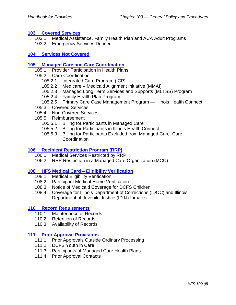#### **103 [Covered Services](#page-27-0)**

- 103.1 Medical Assistance, Family Health Plan and ACA Adult Programs
- 103.2 Emergency Services Defined

#### **104 [Services Not Covered](#page-29-0)**

#### **105 [Managed Care and Care Coordination](#page-30-0)**

- 105.1 Provider Participation in Health Plans
- 105.2 Care Coordination
	- 105.2.1 Integrated Care Program (ICP)
	- 105.2.2 Medicare Medicaid Alignment Initiative (MMAI)
	- 105.2.3 Managed Long Term Services and Supports (MLTSS) Program
	- 105.2.4 Family Health Plan Program
	- 105.2.5 Primary Care Case Management Program Illinois Health Connect
- 105.3 Covered Services
- 105.4 Non-Covered Services
- 105.5 Reimbursement
	- 105.5.1 Billing for Participants in Managed Care
	- 105.5.2 Billing for Participants in Illinois Health Connect
	- 105.5.3 Billing for Participants Excluded from Managed Care–Care **Coordination**

#### **106 [Recipient Restriction Program \(RRP\)](#page-37-0)**

- 106.1 Medical Services Restricted by RRP
- 106.2 RRP Restriction in a Managed Care Organization (MCO)

#### **[108 HFS Medical Card –](#page-40-0) Eligibility Verification**

- 108.1 Medical Eligibility Verification
- 108.2 Participant Medical Home Verification
- 108.3 Notice of Medicaid Coverage for DCFS Children
- 108.4 Coverage for Illinois Department of Corrections (IDOC) and Illinois Department of Juvenile Justice (IDJJ) Inmates

#### **[110 Record Requirements](#page-45-0)**

- 110.1 Maintenance of Records
- 110.2 Retention of Records
- 110.3 Availability of Records

#### **[111 Prior Approval Provisions](#page-47-0)**

- 111.1 Prior Approvals Outside Ordinary Processing
- 111.2 DCFS Youth in Care
- 111.3 Participants of Managed Care Health Plans
- 111.4 Prior Approval Contacts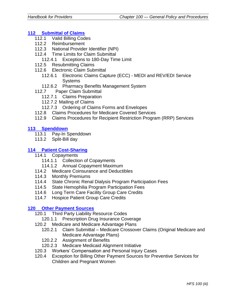# **112 [Submittal of Claims](#page-51-0)**

- 112.1 Valid Billing Codes
- 112.2 Reimbursement
- 112.3 National Provider Identifier (NPI)
- 112.4 Time Limits for Claim Submittal
	- 112.4.1 Exceptions to 180-Day Time Limit
- 112.5 Resubmitting Claims
- 112.6 Electronic Claim Submittal
	- 112.6.1 Electronic Claims Capture (ECC) MEDI and REV/EDI Service **Systems**
	- 112.6.2 Pharmacy Benefits Management System
- 112.7 Paper Claim Submittal
	- 112.7.1 Claims Preparation
	- 112.7.2 Mailing of Claims
	- 112.7.3 Ordering of Claims Forms and Envelopes
- 112.8 Claims Procedures for Medicare Covered Services
- 112.9 Claims Procedures for Recipient Restriction Program (RRP) Services

## **113 [Spenddown](#page-63-0)**

- 113.1 Pay-In Spenddown
- 113.2 Split-Bill day

## **114 [Patient Cost-Sharing](#page-66-0)**

- 114.1 Copayments
	- 114.1.1 Collection of Copayments
	- 114.1.2 Annual Copayment Maximum
- 114.2 Medicare Coinsurance and Deductibles
- 114.3 Monthly Premiums
- 114.4 State Chronic Renal Dialysis Program Participation Fees
- 114.5 State Hemophilia Program Participation Fees
- 114.6 Long Term Care Facility Group Care Credits
- 114.7 Hospice Patient Group Care Credits

# **[120 Other Payment Sources](#page-70-0)**

- 120.1 Third Party Liability Resource Codes
	- 120.1.1 Prescription Drug Insurance Coverage
- 120.2 Medicare and Medicare Advantage Plans
	- 120.2.1 Claim Submittal Medicare Crossover Claims (Original Medicare and Medicare Advantage Plans)
	- 120.2.2 Assignment of Benefits
	- 120.2.3 Medicare Medicaid Alignment Initiative
- 120.3 Workers' Compensation and Personal Injury Cases
- 120.4 Exception for Billing Other Payment Sources for Preventive Services for Children and Pregnant Women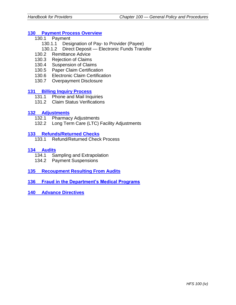#### **130 [Payment Process](#page-76-0) Overview**

- 130.1 Payment
	- 130.1.1 Designation of Pay- to Provider (Payee)
	- 130.1.2 Direct Deposit Electronic Funds Transfer
- 130.2 Remittance Advice
- 130.3 Rejection of Claims
- 130.4 Suspension of Claims
- 130.5 Paper Claim Certification
- 130.6 Electronic Claim Certification
- 130.7 Overpayment Disclosure

#### **131 [Billing Inquiry Process](#page-80-0)**

- 131.1 Phone and Mail Inquiries
- 131.2 Claim Status Verifications

## **132 [Adjustments](#page-82-0)**

- 132.1 Pharmacy Adjustments
- 132.2 Long Term Care (LTC) Facility Adjustments

#### **133 [Refunds/Returned Checks](#page-84-0)**

133.1 Refund/Returned Check Process

#### **[134 Audits](#page-86-0)**

- 134.1 Sampling and Extrapolation
- 134.2 Payment Suspensions
- **[135 Recoupment Resulting From Audits](#page-89-0)**
- **[136 Fraud in the Department's Medical Programs](#page-91-0)**
- **[140 Advance Directives](#page-93-0)**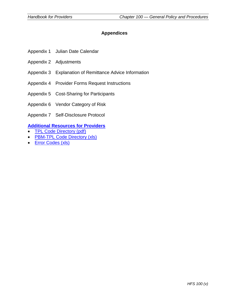## **Appendices**

- Appendix 1 Julian Date Calendar
- Appendix 2 Adjustments
- Appendix 3 Explanation of Remittance Advice Information
- Appendix 4 Provider Forms Request Instructions
- Appendix 5 Cost-Sharing for Participants
- Appendix 6 Vendor Category of Risk
- Appendix 7 Self-Disclosure Protocol

# **[Additional Resources for Providers](https://www.illinois.gov/hfs/MedicalProviders/Handbooks/Pages/default.aspx)**

- [TPL Code Directory \(pdf\)](https://www.illinois.gov/hfs/SiteCollectionDocuments/TPLCodes082416.pdf)
- **[PBM-TPL Code Directory \(xls\)](https://www.illinois.gov/hfs/SiteCollectionDocuments/110116PBM_TPLCodes.xlsx)**
- [Error Codes \(xls\)](https://www.illinois.gov/hfs/SiteCollectionDocuments/110316ErrorCodes.xlsx)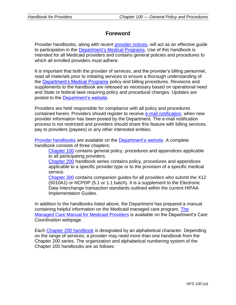# **Foreword**

<span id="page-6-0"></span>Provider handbooks, along with recent [provider notices,](http://www.illinois.gov/hfs/MedicalProviders/notices/Pages/default.aspx) will act as an effective guide to participation in the [Department's Medical Programs.](http://www.illinois.gov/hfs/Pages/default.aspx) Use of this handbook is intended for all Medicaid providers and contains general policies and procedures to which all enrolled providers must adhere.

It is important that both the provider of services, and the provider's billing personnel, read all materials prior to initiating services to ensure a thorough understanding of the [Department's Medical Programs](http://www.illinois.gov/hfs/Pages/default.aspx) policy and billing procedures. Revisions and supplements to the handbook are released as necessary based on operational need and State or federal laws requiring policy and procedural changes. Updates are posted to the [Department's website.](http://www.illinois.gov/hfs/MedicalProviders/Handbooks/Pages/default.aspx)

Providers are held responsible for compliance with all policy and procedures contained herein. Providers should register to receive [e-mail notification,](http://www.illinois.gov/hfs/MedicalProviders/EDI/Pages/notify.aspx) when new provider information has been posted by the Department. The e-mail notification process is not restricted and providers should share this feature with billing services, pay to providers (payees) or any other interested entities.

[Provider handbooks](https://www.illinois.gov/hfs/MedicalProviders/Handbooks/Pages/default.aspx) are available on the [Department's website.](https://www.illinois.gov/hfs/MedicalProviders/Handbooks/Pages/default.aspx) A complete handbook consists of three chapters:

[Chapter 100](https://www.illinois.gov/hfs/MedicalProviders/Handbooks/Pages/Chapter100.aspx) contains general policy, procedures and appendices applicable to all participating providers.

[Chapter 200](https://www.illinois.gov/hfs/MedicalProviders/Handbooks/Pages/Chapter200.aspx) handbook series contains policy, procedures and appendices applicable to a specific provider type or to the provision of a specific medical service.

[Chapter 300](https://www.illinois.gov/hfs/MedicalProviders/Handbooks/Pages/5010.aspx) contains companion guides for all providers who submit the X12 (5010A1) or NCPDP (5.1 or 1.1 batch). It is a supplement to the Electronic Data Interchange transaction standards outlined within the current HIPAA Implementation Guides.

In addition to the handbooks listed above, the Department has prepared a manual containing helpful information on the Medicaid managed care program. [The](https://www.illinois.gov/hfs/MedicalProviders/cc/Pages/default.aspx)  [Managed Care Manual for Medicaid Providers](https://www.illinois.gov/hfs/MedicalProviders/cc/Pages/default.aspx) is available on the Department's Care Coordination webpage.

Each [Chapter 200](https://www.illinois.gov/hfs/MedicalProviders/Handbooks/Pages/Chapter200.aspx) handbook is designated by an alphabetical character. Depending on the range of services, a provider may need more than one handbook from the Chapter 200 series. The organization and alphabetical numbering system of the Chapter 200 handbooks are as follows: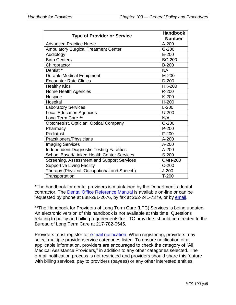| <b>Type of Provider or Service</b>               | <b>Handbook</b><br><b>Number</b> |
|--------------------------------------------------|----------------------------------|
| <b>Advanced Practice Nurse</b>                   | A-200                            |
| <b>Ambulatory Surgical Treatment Center</b>      | $G-200$                          |
| Audiology                                        | $E-200$                          |
| <b>Birth Centers</b>                             | <b>BC-200</b>                    |
| Chiropractor                                     | <b>B-200</b>                     |
| Dentist *                                        | <b>NA</b>                        |
| <b>Durable Medical Equipment</b>                 | M-200                            |
| <b>Encounter Rate Clinics</b>                    | $D-200$                          |
| <b>Healthy Kids</b>                              | <b>HK-200</b>                    |
| Home Health Agencies                             | R-200                            |
| Hospice                                          | K-200                            |
| Hospital                                         | $H-200$                          |
| Laboratory Services                              | $L-200$                          |
| <b>Local Education Agencies</b>                  | $U-200$                          |
| Long Term Care **                                | N/A                              |
| Optometrist, Optician, Optical Company           | $O-200$                          |
| Pharmacy                                         | $P-200$                          |
| Podiatrist                                       | $F-200$                          |
| Practitioners/Physicians                         | $A-200$                          |
| <b>Imaging Services</b>                          | A-200                            |
| <b>Independent Diagnostic Testing Facilities</b> | $A-200$                          |
| School Based/Linked Health Center Services       | S-200                            |
| Screening, Assessment and Support Services       | <b>CMH-200</b>                   |
| <b>Supportive Living Facility</b>                | $C-200$                          |
| Therapy (Physical, Occupational and Speech)      | $J-200$                          |
| Transportation                                   | $T-200$                          |

**\***The handbook for dental providers is maintained by the Department's dental contractor. The [Dental Office Reference Manual](https://www.illinois.gov/hfs/SiteCollectionDocuments/2017DORM.pdf) is available on-line or can be requested by phone at 888-281-2076, by fax at 262-241-7379, or by [email.](mailto:denclaims@dentaquest.com)

\*\*The Handbook for Providers of Long Term Care (LTC) Services is being updated. An electronic version of this handbook is not available at this time. Questions relating to policy and billing requirements for LTC providers should be directed to the Bureau of Long Term Care at 217-782-0545.

Providers must register for [e-mail notification.](https://www.illinois.gov/hfs/MedicalProviders/notices/Pages/ProviderEmailSubscribe.aspx) When registering, providers may select multiple provider/service categories listed. To ensure notification of all applicable information, providers are encouraged to check the category of "All Medical Assistance Providers," in addition to any other categories selected. The e-mail notification process is not restricted and providers should share this feature with billing services, pay to providers (payees) or any other interested entities.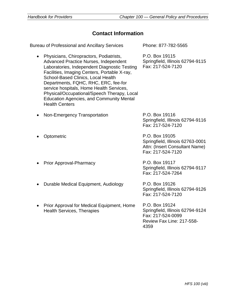# **Contact Information**

<span id="page-8-0"></span>Bureau of Professional and Ancillary Services Phone: 877-782-5565 • Physicians, Chiropractors, Podiatrists, Advanced Practice Nurses, Independent Laboratories, Independent Diagnostic Testing Facilities, Imaging Centers, Portable X-ray, School-Based Clinics, Local Health Departments, FQHC, RHC, ERC, fee-for service hospitals, Home Health Services, Physical/Occupational/Speech Therapy, Local Education Agencies, and Community Mental Health Centers P.O. Box 19115 Springfield, Illinois 62794-9115 Fax: 217-524-7120 Non-Emergency Transportation P.O. Box 19116 Springfield, Illinois 62794-9116 Fax: 217-524-7120 • Optometric P.O. Box 19105 Springfield, Illinois 62763-0001 Attn: (Insert Consultant Name) Fax: 217-524-7120 Prior Approval-Pharmacy P.O. Box 19117 Springfield, Illinois 62794-9117 Fax: 217-524-7264 • Durable Medical Equipment, Audiology P.O. Box 19126 Springfield, Illinois 62794-9126 Fax: 217-524-7120 • Prior Approval for Medical Equipment, Home Health Services, Therapies P.O. Box 19124 Springfield, Illinois 62794-9124 Fax: 217-524-0099 Review Fax Line: 217-558- 4359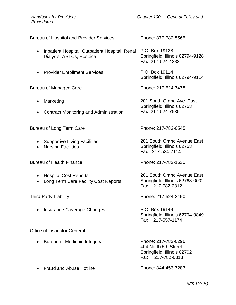Bureau of Hospital and Provider Services Phone: 877-782-5565 • Inpatient Hospital, Outpatient Hospital, Renal P.O. Box 19128 Dialysis, ASTCs, Hospice Fax: 217-524-4283 • Provider Enrollment Services P.O. Box 19114 Bureau of Managed Care **Phone: 217-524-7478** • Marketing • Contract Monitoring and Administration Fax: 217-524-7535 Bureau of Long Term Care **Phone: 217-782-0545** • Supportive Living Facilities • Nursing Facilities Fax: 217-524-7114

Bureau of Health Finance **Phone: 217-782-1630** 

- Hospital Cost Reports
- Long Term Care Facility Cost Reports

• Insurance Coverage Changes P.O. Box 19149

Office of Inspector General

• Bureau of Medicaid Integrity **Phone: 217-782-0296** 

• Fraud and Abuse Hotline **Phone: 844-453-7283** 

Springfield, Illinois 62794-9128

Springfield, Illinois 62794-9114

201 South Grand Ave. East Springfield, Illinois 62763

201 South Grand Avenue East Springfield, Illinois 62763

201 South Grand Avenue East Springfield, Illinois 62763-0002 Fax: 217-782-2812

Third Party Liability **Phone: 217-524-2490** 

Springfield, Illinois 62794-9849 Fax: 217-557-1174

404 North 5th Street Springfield, Illinois 62702 Fax: 217-782-0313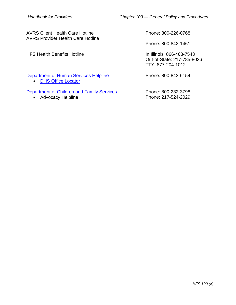| AVRS Client Health Care Hotline<br><b>AVRS Provider Health Care Hotline</b>     | Phone: 800-226-0768                                                          |
|---------------------------------------------------------------------------------|------------------------------------------------------------------------------|
|                                                                                 | Phone: 800-842-1461                                                          |
| <b>HFS Health Benefits Hotline</b>                                              | In Illinois: 866-468-7543<br>Out-of-State: 217-785-8036<br>TTY: 877-204-1012 |
| Department of Human Services Helpline<br><b>DHS Office Locator</b><br>$\bullet$ | Phone: 800-843-6154                                                          |
| Department of Children and Family Services                                      | Phone: 800-232-3798                                                          |
| Advocacy Helpline<br>$\bullet$                                                  | Phone: 217-524-2029                                                          |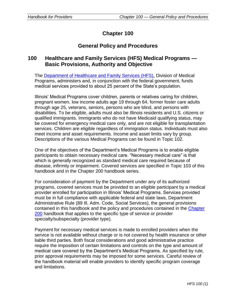# **Chapter 100**

# **General Policy and Procedures**

# <span id="page-11-0"></span>**100 Healthcare and Family Services (HFS) Medical Programs — Basic Provisions, Authority and Objective**

The [Department of Healthcare and Family Services \(HFS\),](https://www.illinois.gov/hfs/Pages/default.aspx) Division of Medical Programs, administers and, in conjunction with the federal government, funds medical services provided to about 25 percent of the State's population.

Illinois' Medical Programs cover children, parents or relatives caring for children, pregnant women, low income adults age 19 through 64, former foster care adults through age 25, veterans, seniors, persons who are blind, and persons with disabilities. To be eligible, adults must also be Illinois residents and U.S. citizens or qualified immigrants. Immigrants who do not have Medicaid qualifying status, may be covered for emergency medical care only, and are not eligible for transplantation services. Children are eligible regardless of immigration status. Individuals must also meet income and asset requirements. Income and asset limits vary by group. Descriptions of the various Medical Programs can be found in Topic 102.

One of the objectives of the Department's Medical Programs is to enable eligible participants to obtain necessary medical care. "Necessary medical care" is that which is generally recognized as standard medical care required because of disease, infirmity or impairment. Covered services are specified in Topic 103 of this handbook and in the Chapter 200 handbook series.

For consideration of payment by the Department under any of its authorized programs, covered services must be provided to an eligible participant by a medical provider enrolled for participation in Illinois' Medical Programs. Services provided must be in full compliance with applicable federal and state laws, Department Administrative Rule (89 Ill. Adm. Code, Social Services), the general provisions contained in this handbook and the policy and procedures contained in the [Chapter](https://www.illinois.gov/hfs/MedicalProviders/Handbooks/Pages/Chapter200.aspx)  [200](https://www.illinois.gov/hfs/MedicalProviders/Handbooks/Pages/Chapter200.aspx) handbook that applies to the specific type of service or provider specialty/subspecialty (provider type).

Payment for necessary medical services is made to enrolled providers when the service is not available without charge or is not covered by health insurance or other liable third parties. Both fiscal considerations and good administrative practice require the imposition of certain limitations and controls on the type and amount of medical care covered by the Department's Medical Programs. As specified by rule, prior approval requirements may be imposed for some services. Careful review of the handbook material will enable providers to identify specific program coverage and limitations.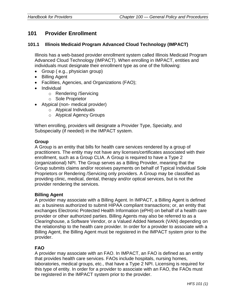# <span id="page-12-0"></span>**101 Provider Enrollment**

#### **101.1 Illinois Medicaid Program Advanced Cloud Technology (IMPACT)**

Illinois has a web-based provider enrollment system called Illinois Medicaid Program Advanced Cloud Technology (IMPACT). When enrolling in IMPACT, entities and individuals must designate their enrollment type as one of the following:

- Group (e.g., physician group)
- Billing Agent
- Facilities, Agencies, and Organizations (FAO);
- Individual
	- o Rendering /Servicing
	- o Sole Proprietor
- Atypical (non- medical provider)
	- o Atypical Individuals
	- o Atypical Agency Groups

When enrolling, providers will designate a Provider Type, Specialty, and Subspecialty (if needed) in the IMPACT system.

#### **Group**

A Group is an entity that bills for health care services rendered by a group of practitioners. The entity may not have any licenses/certificates associated with their enrollment, such as a Group CLIA. A Group is required to have a Type 2 (organizational) NPI. The Group serves as a Billing Provider, meaning that the Group submits claims and/or receives payments on behalf of Typical Individual Sole Proprietors or Rendering /Servicing only providers. A Group may be classified as providing clinic, medical, dental, therapy and/or optical services, but is not the provider rendering the services.

#### **Billing Agent**

A provider may associate with a Billing Agent. In IMPACT, a Billing Agent is defined as: a business authorized to submit HIPAA compliant transactions; or, an entity that exchanges Electronic Protected Health Information (ePHI) on behalf of a health care provider or other authorized parties. Billing Agents may also be referred to as a Clearinghouse, a Software Vendor, or a Valued Added Network (VAN) depending on the relationship to the health care provider. In order for a provider to associate with a Billing Agent, the Billing Agent must be registered in the IMPACT system prior to the provider.

#### **FAO**

A provider may associate with an FAO. In IMPACT, an FAO is defined as an entity that provides health care services. FAOs include hospitals, nursing homes, laboratories, medical groups, etc., that have a Type 2 NPI. Licensing is required for this type of entity. In order for a provider to associate with an FAO, the FAOs must be registered in the IMPACT system prior to the provider.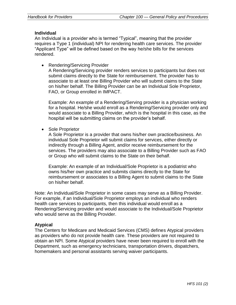#### **Individual**

An Individual is a provider who is termed "Typical", meaning that the provider requires a Type 1 (individual) NPI for rendering health care services. The provider "Applicant Type" will be defined based on the way he/she bills for the services rendered.

• Rendering/Servicing Provider

A Rendering/Servicing provider renders services to participants but does not submit claims directly to the State for reimbursement. The provider has to associate to at least one Billing Provider who will submit claims to the State on his/her behalf. The Billing Provider can be an Individual Sole Proprietor, FAO, or Group enrolled in IMPACT.

Example: An example of a Rendering/Serving provider is a physician working for a hospital. He/she would enroll as a Rendering/Servicing provider only and would associate to a Billing Provider, which is the hospital in this case, as the hospital will be submitting claims on the provider's behalf.

• Sole Proprietor

A Sole Proprietor is a provider that owns his/her own practice/business. An individual Sole Proprietor will submit claims for services, either directly or indirectly through a Billing Agent, and/or receive reimbursement for the services. The providers may also associate to a Billing Provider such as FAO or Group who will submit claims to the State on their behalf.

Example: An example of an Individual/Sole Proprietor is a podiatrist who owns his/her own practice and submits claims directly to the State for reimbursement or associates to a Billing Agent to submit claims to the State on his/her behalf.

Note: An Individual/Sole Proprietor in some cases may serve as a Billing Provider. For example, if an Individual/Sole Proprietor employs an individual who renders health care services to participants, then this individual would enroll as a Rendering/Servicing provider and would associate to the Individual/Sole Proprietor who would serve as the Billing Provider.

#### **Atypical**

The Centers for Medicare and Medicaid Services (CMS) defines Atypical providers as providers who do not provide health care. These providers are not required to obtain an NPI. Some Atypical providers have never been required to enroll with the Department, such as emergency technicians, transportation drivers, dispatchers, homemakers and personal assistants serving waiver participants.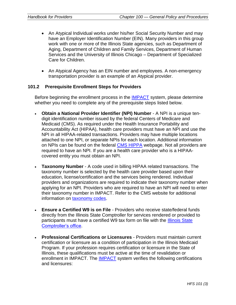- An Atypical Individual works under his/her Social Security Number and may have an Employer Identification Number (EIN). Many providers in this group work with one or more of the Illinois State agencies, such as Department of Aging, Department of Children and Family Services, Department of Human Services and the University of Illinois Chicago – Department of Specialized Care for Children.
- An Atypical Agency has an EIN number and employees. A non-emergency transportation provider is an example of an Atypical provider.

#### **101.2 Prerequisite Enrollment Steps for Providers**

Before beginning the enrollment process in the **IMPACT** system, please determine whether you need to complete any of the prerequisite steps listed below.

- **Obtain a National Provider Identifier (NPI) Number** A NPI is a unique tendigit identification number issued by the federal Centers of Medicare and Medicaid (CMS). As required under the Health Insurance Portability and Accountability Act (HIPAA), health care providers must have an NPI and use the NPI in all HIPAA-related transactions. Providers may have multiple locations attached to one NPI, or separate NPIs for each location. Additional information on NPIs can be found on the federal [CMS HIPPA](https://www.cms.gov/Regulations-and-Guidance/Administrative-Simplification/HIPAA-ACA/index.html) webpage. Not all providers are required to have an NPI. If you are a health care provider who is a HIPAAcovered entity you must obtain an NPI.
- **Taxonomy Number** A code used in billing HIPAA related transactions. The taxonomy number is selected by the health care provider based upon their education, license/certification and the services being rendered. Individual providers and organizations are required to indicate their taxonomy number when applying for an NPI. Providers who are required to have an NPI will need to enter their taxonomy number in IMPACT. Refer to the CMS website for additional information on [taxonomy codes.](https://www.cms.gov/medicare/provider-enrollment-and-certification/medicareprovidersupenroll/taxonomy.html)
- **Ensure a Certified W9 is on File** Providers who receive state/federal funds directly from the Illinois State Comptroller for services rendered or provided to participants must have a certified W9 tax form on file with the Illinois State [Comptroller's office.](https://illinoiscomptroller.gov/)
- **Professional Certifications or Licensures** Providers must maintain current certification or licensure as a condition of participation in the Illinois Medicaid Program. If your profession requires certification or licensure in the State of Illinois, these qualifications must be active at the time of revalidation or enrollment in IMPACT. The [IMPACT](https://www.illinois.gov/hfs/impact/Pages/default.aspx) system verifies the following certifications and licensures: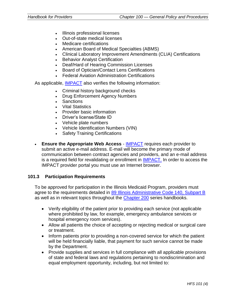- Illinois professional licenses
- Out-of-state medical licenses
- Medicare certifications
- American Board of Medical Specialties (ABMS)
- Clinical Laboratory Improvement Amendments (CLIA) Certifications
- Behavior Analyst Certification
- Deaf/Hard of Hearing Commission Licenses
- Board of Optician/Contact Lens Certifications
- Federal Aviation Administration Certifications

As applicable, [IMPACT](https://www.illinois.gov/hfs/impact/Pages/default.aspx) also verifies the following information:

- Criminal history background checks
- Drug Enforcement Agency Numbers
- **Sanctions**
- **Vital Statistics**
- Provider basic information
- Driver's license/State ID
- Vehicle plate numbers
- Vehicle Identification Numbers (VIN)
- Safety Training Certifications
- **Ensure the Appropriate Web Access** [IMPACT](https://www.illinois.gov/hfs/impact/Pages/default.aspx) requires each provider to submit an active e-mail address. E-mail will become the primary mode of communication between contract agencies and providers, and an e-mail address is a required field for revalidating or enrollment in [IMPACT.](https://www.illinois.gov/hfs/impact/Pages/default.aspx) In order to access the IMPACT provider portal you must use an Internet browser.

#### **101.3 Participation Requirements**

To be approved for participation in the Illinois Medicaid Program, providers must agree to the requirements detailed in [89 Illinois Administrative Code 140, Subpart B](http://www.ilga.gov/commission/jcar/admincode/089/08900140sections.html) as well as in relevant topics throughout the [Chapter 200](https://www.illinois.gov/hfs/MedicalProviders/Handbooks/Pages/Chapter200.aspx) series handbooks.

- Verify eligibility of the patient prior to providing each service (not applicable where prohibited by law, for example, emergency ambulance services or hospital emergency room services).
- Allow all patients the choice of accepting or rejecting medical or surgical care or treatment.
- Inform patients prior to providing a non-covered service for which the patient will be held financially liable, that payment for such service cannot be made by the Department.
- Provide supplies and services in full compliance with all applicable provisions of state and federal laws and regulations pertaining to nondiscrimination and equal employment opportunity, including, but not limited to: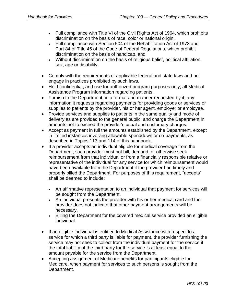- Full compliance with Title VI of the Civil Rights Act of 1964, which prohibits discrimination on the basis of race, color or national origin.
- Full compliance with Section 504 of the Rehabilitation Act of 1973 and Part 84 of Title 45 of the Code of Federal Regulations, which prohibit discrimination on the basis of handicap, and
- Without discrimination on the basis of religious belief, political affiliation, sex, age or disability.
- Comply with the requirements of applicable federal and state laws and not engage in practices prohibited by such laws.
- Hold confidential, and use for authorized program purposes only, all Medical Assistance Program information regarding patients.
- Furnish to the Department, in a format and manner requested by it, any information it requests regarding payments for providing goods or services or supplies to patients by the provider, his or her agent, employer or employee.
- Provide services and supplies to patients in the same quality and mode of delivery as are provided to the general public, and charge the Department in amounts not to exceed the provider's usual and customary charges.
- Accept as payment in full the amounts established by the Department, except in limited instances involving allowable spenddown or co-payments, as described in Topics 113 and 114 of this handbook.
- If a provider accepts an individual eligible for medical coverage from the Department, such provider must not bill, demand, or otherwise seek reimbursement from that individual or from a financially responsible relative or representative of the individual for any service for which reimbursement would have been available from the Department if the provider had timely and properly billed the Department. For purposes of this requirement, "accepts" shall be deemed to include:
	- An affirmative representation to an individual that payment for services will be sought from the Department.
	- An individual presents the provider with his or her medical card and the provider does not indicate that other payment arrangements will be necessary.
	- Billing the Department for the covered medical service provided an eligible individual.
- If an eligible individual is entitled to Medical Assistance with respect to a service for which a third party is liable for payment, the provider furnishing the service may not seek to collect from the individual payment for the service if the total liability of the third party for the service is at least equal to the amount payable for the service from the Department.
- Accepting assignment of Medicare benefits for participants eligible for Medicare, when payment for services to such persons is sought from the Department.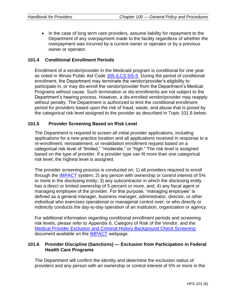• In the case of long term care providers, assume liability for repayment to the Department of any overpayment made to the facility regardless of whether the overpayment was incurred by a current owner or operator or by a previous owner or operator.

#### **101.4 Conditional Enrollment Periods**

Enrollment of a vendor/provider in the Medicaid program is conditional for one year as noted in Illinois Public Aid Code [305 ILCS 5/5-5.](http://www.ilga.gov/legislation/ilcs/ilcs2.asp?ChapterID=28) During the period of conditional enrollment, the Department may terminate the vendor/provider's eligibility to participate in, or may dis-enroll the vendor/provider from the Department's Medical Programs without cause. Such termination or dis-enrollments are not subject to the Department's hearing process. However, a dis-enrolled vendor/provider may reapply without penalty. The Department is authorized to limit the conditional enrollment period for providers based upon the risk of fraud, waste, and abuse that is posed by the categorical risk level assigned to the provider as described in Topic 101.6 below.

#### **101.5 Provider Screening Based on Risk Level**

The Department is required to screen all initial provider applications, including applications for a new practice location and all applications received in response to a re-enrollment, reinstatement, or revalidation enrollment request based on a categorical risk level of "limited," "moderate," or "high." The risk level is assigned based on the type of provider. If a provider type can fit more than one categorical risk level, the highest level is assigned.

The provider screening process is conducted on: 1) all providers required to enroll through the [IMPACT](https://www.illinois.gov/hfs/impact/Pages/default.aspx) system; 2) any person with ownership or control interest of 5% or more in the disclosing entity; 3) any subcontractor in which the disclosing entity has a direct or limited ownership of 5 percent or more, and; 4) any fiscal agent or managing employee of the provider. For this purpose, "managing employee" is defined as a general manager, business manager, administrator, director, or other individual who exercises operational or managerial control over, or who directly or indirectly conducts the day-to-day operation of an institution, organization or agency.

For additional information regarding conditional enrollment periods and screening risk levels, please refer to Appendix 6, Category of Risk of the Vendor, and the [Medical Provider Exclusion and Criminal History Background Check Screening](https://www.illinois.gov/hfs/impact/Documents/MedicaidProviderExclusionCHBCScreening.pdf) document available on the [IMPACT](https://www.illinois.gov/hfs/impact/Pages/default.aspx) webpage.

#### **101.6 Provider Discipline (Sanctions) — Exclusion from Participation in Federal Health Care Programs**

The Department will confirm the identity and determine the exclusion status of providers and any person with an ownership or control interest of 5% or more in the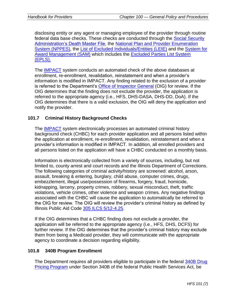disclosing entity or any agent or managing employee of the provider through routine federal data base checks. These checks are conducted through the Social Security [Administration's Death Master File,](https://www.ssdmf.com/FolderID/1/SessionID/%7BCD34C4FD-F545-42B6-9840-895DCFAD0A45%7D/PageVars/Library/InfoManage/Guide.htm) the [National Plan and Provider Enumeration](https://nppes.cms.hhs.gov/NPPES/Welcome.do)  [System \(NPPES\),](https://nppes.cms.hhs.gov/NPPES/Welcome.do) the [List of Excluded Individuals/Entities \(LEIE\)](https://oig.hhs.gov/exclusions/exclusions_list.asp) and the [System for](https://www.sam.gov/portal/SAM/#1)  [Award Management \(SAM\)](https://www.sam.gov/portal/SAM/#1) which includes the [Excluded Parties List System](https://oig.hhs.gov/exclusions/exclusions_list.asp)  [\(EPLS\).](https://oig.hhs.gov/exclusions/exclusions_list.asp)

The [IMPACT](https://www.illinois.gov/hfs/impact/Pages/default.aspx) system conducts an automated check of the above databases at enrollment, re-enrollment, revalidation, reinstatement and when a provider's information is modified in IMPACT. Any finding related to the exclusion of a provider is referred to the Department's [Office of Inspector General](https://www.illinois.gov/hfs/oig/Pages/Welcome.aspx/hfs/oig/Pages/Welcome.aspx) (OIG) for review. If the OIG determines that the finding does not exclude the provider, the application is referred to the appropriate agency (i.e., HFS, DHS-DASA, DHS-DD, DoA). If the OIG determines that there is a valid exclusion, the OIG will deny the application and notify the provider.

# **101.7 Criminal History Background Checks**

The [IMPACT](https://www.illinois.gov/hfs/impact/Pages/default.aspx) system electronically processes an automated criminal history background check (CHBC) for each provider application and all persons listed within the application at enrollment, re-enrollment, revalidation, reinstatement and when a provider's information is modified in IMPACT. In addition, all enrolled providers and all persons listed on the application will have a CHBC conducted on a monthly basis.

Information is electronically collected from a variety of sources, including, but not limited to, county arrest and court records and the Illinois Department of Corrections. The following categories of criminal activity/history are screened: alcohol, arson, assault, breaking & entering, burglary, child abuse, computer crimes, drugs, embezzlement, illegal use/possession of firearms, forgery, fraud, homicide, kidnapping, larceny, property crimes, robbery, sexual misconduct, theft, traffic violations, vehicle crimes, other violence and weapon crimes. Any negative findings associated with the CHBC will cause the application to automatically be referred to the OIG for review. The OIG will review the provider's criminal history as defined by Illinois Public Aid Code [305 ILCS 5/12-4.25.](http://www.ilga.gov/legislation/ilcs/ilcs2.asp?ChapterID=28)

If the OIG determines that a CHBC finding does not exclude a provider, the application will be referred to the appropriate agency (i.e., HFS, DHS, DCFS) for further review. If the OIG determines that the provider's criminal history may exclude them from being a Medicaid provider, they will communicate with the appropriate agency to coordinate a decision regarding eligibility.

#### **101.8 340B Program Enrollment**

The Department requires all providers eligible to participate in the federal [340B Drug](http://www.hrsa.gov/opa/)  [Pricing Program](http://www.hrsa.gov/opa/) under Section 340B of the federal Public Health Services Act, be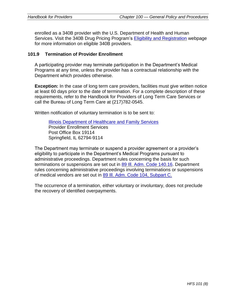enrolled as a 340B provider with the U.S. Department of Health and Human Services. Visit the 340B Drug Pricing Program's [Eligibility and Registration](http://www.hrsa.gov/opa/eligibilityandregistration/index.html) webpage for more information on eligible 340B providers.

#### **101.9 Termination of Provider Enrollment**

A participating provider may terminate participation in the Department's Medical Programs at any time, unless the provider has a contractual relationship with the Department which provides otherwise.

**Exception:** In the case of long term care providers, facilities must give written notice at least 60 days prior to the date of termination. For a complete description of these requirements, refer to the Handbook for Providers of Long Term Care Services or call the Bureau of Long Term Care at (217)782-0545.

Written notification of voluntary termination is to be sent to:

[Illinois Department of Healthcare and Family Services](https://www.illinois.gov/hfs/Pages/default.aspx) Provider Enrollment Services Post Office Box 19114 Springfield, IL 62794-9114

The Department may terminate or suspend a provider agreement or a provider's eligibility to participate in the Department's Medical Programs pursuant to administrative proceedings. Department rules concerning the basis for such terminations or suspensions are set out in 89 III. Adm. [Code 140.16.](http://www.ilga.gov/commission/jcar/admincode/089/08900140sections.html) Department rules concerning administrative proceedings involving terminations or suspensions of medical vendors are set out in 89 Ill. Adm. [Code 104, Subpart C.](http://www.ilga.gov/commission/jcar/admincode/089/08900140sections.html)

The occurrence of a termination, either voluntary or involuntary, does not preclude the recovery of identified overpayments.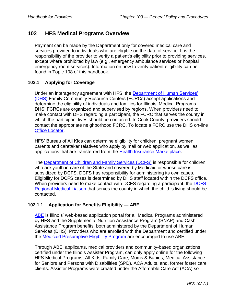# <span id="page-20-0"></span>**102 HFS Medical Programs Overview**

Payment can be made by the Department only for covered medical care and services provided to individuals who are eligible on the date of service. It is the responsibility of the provider to verify a patient's eligibility prior to providing services, except where prohibited by law (e.g., emergency ambulance services or hospital emergency room services). Information on how to verify patient eligibility can be found in Topic 108 of this handbook.

## **102.1 Applying for Coverage**

Under an interagency agreement with HFS, the [Department of Human Services'](http://www.dhs.state.il.us/page.aspx?)  [\(DHS\)](http://www.dhs.state.il.us/page.aspx?) Family Community Resource Centers (FCRCs) accept applications and determine the eligibility of individuals and families for Illinois' Medical Programs. DHS' FCRCs are organized and supervised by regions. When providers need to make contact with DHS regarding a participant, the FCRC that serves the county in which the participant lives should be contacted. In Cook County, providers should contact the appropriate neighborhood FCRC. To locate a FCRC use the DHS on-line **[Office Locator.](http://www.dhs.state.il.us/page.aspx?module=12&officetype=&county=)** 

HFS' Bureau of All Kids can determine eligibility for children, pregnant women, parents and caretaker relatives who apply by mail or web application, as well as applications that are transferred from the [Health Insurance Marketplace.](https://getcovered.illinois.gov/en)

The [Department of Children and Family Services \(DCFS\)](https://www.illinois.gov/dcfs/Pages/default.aspx) is responsible for children who are youth in care of the State and covered by Medicaid or whose care is subsidized by DCFS. DCFS has responsibility for administering its own cases. Eligibility for DCFS cases is determined by DHS staff located within the DCFS office. When providers need to make contact with DCFS regarding a participant, the [DCFS](https://www.illinois.gov/dcfs/aboutus/Pages/phoneDirectory.aspx)  [Regional Medical Liaison](https://www.illinois.gov/dcfs/aboutus/Pages/phoneDirectory.aspx) that serves the county in which the child is living should be contacted.

# **102.1.1 Application for Benefits Eligibility — ABE**

[ABE](https://abe.illinois.gov/abe/access/) is Illinois' web-based application portal for all Medical Programs administered by HFS and the Supplemental Nutrition Assistance Program (SNAP) and Cash Assistance Program benefits, both administered by the Department of Human Services (DHS). Providers who are enrolled with the Department and certified under the [Medicaid Presumptive Eligibility Program](https://www.illinois.gov/hfs/MedicalProviders/ProviderPrograms/Pages/MedicaidPresumptiveEligibility.aspx) are encouraged to use ABE.

Through ABE, applicants, medical providers and community-based organizations certified under the Illinois Assister Program, can only apply online for the following HFS Medical Programs; All Kids, Family Care, Moms & Babies, Medical Assistance for Seniors and Persons with Disabilities (SPD), ACA Adults, and, former foster care clients. Assister Programs were created under the Affordable Care Act (ACA) so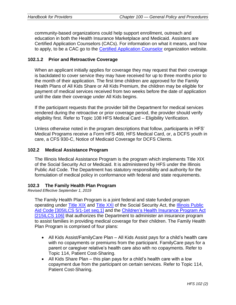community-based organizations could help support enrollment, outreach and education in both the Health Insurance Marketplace and Medicaid. Assisters are Certified Application Counselors (CACs). For information on what it means, and how to apply, to be a CAC go to the [Certified Application Counselor](https://getcovered.illinois.gov/en/cac-toolbox) organization website.

# **102.1.2 Prior and Retroactive Coverage**

When an applicant initially applies for coverage they may request that their coverage is backdated to cover service they may have received for up to three months prior to the month of their application. The first time children are approved for the Family Health Plans of All Kids Share or All Kids Premium, the children may be eligible for payment of medical services received from two weeks before the date of application until the date their coverage under All Kids begins.

If the participant requests that the provider bill the Department for medical services rendered during the retroactive or prior coverage period, the provider should verify eligibility first. Refer to Topic 108 HFS Medical Card – Eligibility Verification.

Unless otherwise noted in the program descriptions that follow, participants in HFS' Medical Programs receive a Form HFS 469, HFS Medical Card, or, a DCFS youth in care, a CFS 930-C, Notice of Medicaid Coverage for DCFS Clients.

# **102.2 Medical Assistance Program**

The Illinois Medical Assistance Program is the program which implements Title XIX of the Social Security Act or Medicaid. It is administered by HFS under the Illinois Public Aid Code. The Department has statutory responsibility and authority for the formulation of medical policy in conformance with federal and state requirements.

#### **102.3 The Family Health Plan Program**

*Revised Effective September 1, 2019*

The Family Health Plan Program is a joint federal and state funded program operating under [Title XIX](https://www.ssa.gov/OP_Home/ssact/title19/1900.htm) and [Title XXI](https://www.ssa.gov/OP_Home/ssact/title21/2100.htm) of the Social Security Act, the [Illinois Public](http://www.ilga.gov/legislation/ilcs/ilcs2.asp?ChapterID=28)  [Aid Code \[305ILCS 5/1-1et seq.1\]](http://www.ilga.gov/legislation/ilcs/ilcs2.asp?ChapterID=28) and the [Children's Health Insurance Program Act](http://www.ilga.gov/legislation/ilcs/ilcs2.asp?ChapterID=22)  [\[215ILCS 106\]](http://www.ilga.gov/legislation/ilcs/ilcs2.asp?ChapterID=22) that authorizes the Department to administer an insurance program to assist families in providing medical coverage for their children. The Family Health Plan Program is comprised of four plans:

- All Kids Assist/FamilyCare Plan All Kids Assist pays for a child's health care with no copayments or premiums from the participant. FamilyCare pays for a parent or caregiver relative's health care also with no copayments. Refer to Topic 114, Patient Cost-Sharing.
- All Kids Share Plan this plan pays for a child's health care with a low copayment due from the participant on certain services. Refer to Topic 114, Patient Cost-Sharing.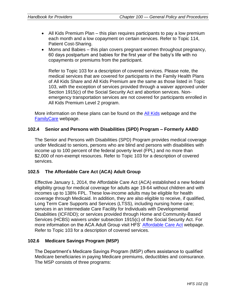- All Kids Premium Plan this plan requires participants to pay a low premium each month and a low copayment on certain services. Refer to Topic 114, Patient Cost-Sharing.
- Moms and Babies this plan covers pregnant women throughout pregnancy, 60 days postpartum and babies for the first year of the baby's life with no copayments or premiums from the participant.

Refer to Topic 103 for a description of covered services. Please note, the medical services that are covered for participants in the Family Health Plans of All Kids Share and All Kids Premium are the same as those listed in Topic 103, with the exception of services provided through a waiver approved under Section 1915(c) of the Social Security Act and abortion services. Nonemergency transportation services are not covered for participants enrolled in All Kids Premium Level 2 program.

More information on these plans can be found on the [All Kids](https://www.illinois.gov/hfs/MedicalPrograms/AllKids/Pages/default.aspx) webpage and the [FamilyCare](https://www.illinois.gov/hfs/MedicalPrograms/AllKids/Pages/FamilyCare.aspx) webpage.

## **102.4 Senior and Persons with Disabilities (SPD) Program – Formerly AABD**

The Senior and Persons with Disabilities (SPD) Program provides medical coverage under Medicaid to seniors, persons who are blind and persons with disabilities with income up to 100 percent of the federal poverty level (FPL) and no more than \$2,000 of non-exempt resources. Refer to Topic 103 for a description of covered services.

# **102.5 The Affordable Care Act (ACA) Adult Group**

Effective January 1, 2014, the Affordable Care Act (ACA) established a new federal eligibility group for medical coverage for adults age 19-64 without children and with incomes up to 138% FPL. These low-income adults may be eligible for health coverage through Medicaid. In addition, they are also eligible to receive, if qualified, Long Term Care Supports and Services (LTSS), including nursing home care; services in an Intermediate Care Facility for Individuals with Developmental Disabilities (ICF/IDD); or services provided through Home and Community-Based Services (HCBS) waivers under subsection 1915(c) of the Social Security Act. For more information on the ACA Adult Group visit HFS' [Affordable Care Act](https://www.illinois.gov/hfs/MedicalClients/AffordableCareAct/Pages/default.aspx) webpage. Refer to Topic 103 for a description of covered services.

#### **102.6 Medicare Savings Program (MSP)**

The Department's Medicare Savings Program (MSP) offers assistance to qualified Medicare beneficiaries in paying Medicare premiums, deductibles and coinsurance. The MSP consists of three programs: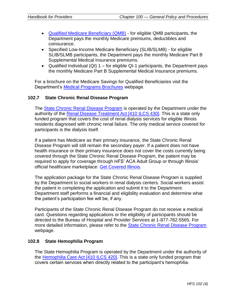- [Qualified Medicare Beneficiary \(QMB\)](https://www.illinois.gov/hfs/info/Brochures%20and%20Forms/Brochures/Pages/HFS3352.aspx) for eligible QMB participants, the Department pays the monthly Medicare premiums, deductibles and coinsurance.
- Specified Low-Income Medicare Beneficiary (SLIB/SLMB) for eligible SLIB/SLMB participants, the Department pays the monthly Medicare Part B Supplemental Medical Insurance premiums.
- Qualified Individual  $(QI)$  1 for eligible QI-1 participants, the Department pays the monthly Medicare Part B Supplemental Medical Insurance premiums.

For a brochure on the Medicare Savings for Qualified Beneficiaries visit the Department's [Medical Programs Brochures](https://www.illinois.gov/hfs/info/Brochures%20and%20Forms/Pages/MedBrochuresAlpha.aspx) webpage.

## **102.7 State Chronic Renal Disease Program**

The [State Chronic Renal Disease Program](https://www.illinois.gov/hfs/medicalclients/renal/Pages/default.aspx) is operated by the Department under the authority of the [Renal Disease Treatment Act \[410](http://www.ilga.gov/legislation/ilcs/ilcs2.asp?ChapterID=35) ILCS 430]. This is a state only funded program that covers the cost of renal dialysis services for eligible Illinois residents diagnosed with chronic renal failure. The only medical service covered for participants is the dialysis itself.

If a patient has Medicare as their primary insurance, the State Chronic Renal Disease Program will still remain the secondary payer. If a patient does not have health insurance or their primary insurance does not cover the costs currently being covered through the State Chronic Renal Disease Program, the patient may be required to apply for coverage through HFS' ACA Adult Group or through Illinois' official healthcare marketplace: [Get Covered Illinois.](https://getcovered.illinois.gov/en)

The application package for the State Chronic Renal Disease Program is supplied by the Department to social workers in renal dialysis centers. Social workers assist the patient in completing the application and submit it to the Department. Department staff performs a financial and eligibility evaluation and determine what the patient's participation fee will be, if any.

Participants of the State Chronic Renal Disease Program do not receive a medical card. Questions regarding applications or the eligibility of participants should be directed to the Bureau of Hospital and Provider Services at 1-877-782-5565. For more detailed information, please refer to the [State Chronic Renal Disease Program](https://www.illinois.gov/hfs/medicalclients/renal/Pages/default.aspx) webpage.

# **102.8 State Hemophilia Program**

The State Hemophilia Program is operated by the Department under the authority of the [Hemophilia Care Act \[410](http://www.ilga.gov/legislation/ilcs/ilcs2.asp?ChapterID=35) ILCS 420]. This is a state only funded program that covers certain services when directly related to the participant's hemophilia.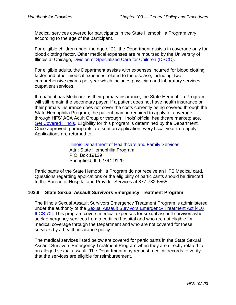Medical services covered for participants in the State Hemophilia Program vary according to the age of the participant.

For eligible children under the age of 21, the Department assists in coverage only for blood clotting factor. Other medical expenses are reimbursed by the University of Illinois at Chicago, [Division of Specialized Care for Children \(DSCC\).](http://dscc.uic.edu/)

For eligible adults, the Department assists with expenses incurred for blood clotting factor and other medical expenses related to the disease, including: two comprehensive exams per year which includes physician and laboratory services; outpatient services.

If a patient has Medicare as their primary insurance, the State Hemophilia Program will still remain the secondary payer. If a patient does not have health insurance or their primary insurance does not cover the costs currently being covered through the State Hemophilia Program, the patient may be required to apply for coverage through HFS' ACA Adult Group or through Illinois' official healthcare marketplace, [Get Covered Illinois.](https://getcovered.illinois.gov/en) Eligibility for this program is determined by the Department. Once approved, participants are sent an application every fiscal year to reapply. Applications are returned to:

> [Illinois Department of Healthcare and Family Services](https://www.illinois.gov/hfs/Pages/default.aspx) Attn: State Hemophilia Program P.O. Box 19129 Springfield, IL 62794-9129

Participants of the State Hemophilia Program do not receive an HFS Medical card. Questions regarding applications or the eligibility of participants should be directed to the Bureau of Hospital and Provider Services at 877-782-5565.

#### **102.9 State Sexual Assault Survivors Emergency Treatment Program**

The Illinois Sexual Assault Survivors Emergency Treatment Program is administered under the authority of the [Sexual Assault Survivors Emergency Treatment Act \[410](http://www.ilga.gov/legislation/ilcs/ilcs2.asp?ChapterID=35) [ILCS 70\].](http://www.ilga.gov/legislation/ilcs/ilcs2.asp?ChapterID=35) This program covers medical expenses for sexual assault survivors who seek emergency services from a certified hospital and who are not eligible for medical coverage through the Department and who are not covered for these services by a health insurance policy.

The medical services listed below are covered for participants in the State Sexual Assault Survivors Emergency Treatment Program when they are directly related to an alleged sexual assault. The Department may request medical records to verify that the services are eligible for reimbursement.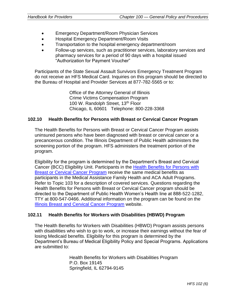- Emergency Department/Room Physician Services
- Hospital Emergency Department/Room Visits
- Transportation to the hospital emergency department/room
- Follow-up services, such as practitioner services, laboratory services and pharmacy services for a period of 90 days with a hospital issued "Authorization for Payment Voucher"

Participants of the State Sexual Assault Survivors Emergency Treatment Program do not receive an HFS Medical Card. Inquiries on this program should be directed to the Bureau of Hospital and Provider Services at 877-782-5565 or to:

> Office of the Attorney General of Illinois Crime Victims Compensation Program 100 W. Randolph Street, 13<sup>th</sup> Floor Chicago, IL 60601 Telephone: 800-228-3368

#### **102.10 Health Benefits for Persons with Breast or Cervical Cancer Program**

The Health Benefits for Persons with Breast or Cervical Cancer Program assists uninsured persons who have been diagnosed with breast or cervical cancer or a precancerous condition. The Illinois Department of Public Health administers the screening portion of the program. HFS administers the treatment portion of the program.

Eligibility for the program is determined by the Department's Breast and Cervical Cancer (BCC) Eligibility Unit. Participants in the Health Benefits for Persons with [Breast or Cervical Cancer Program](http://dph.illinois.gov/topics-services/life-stages-populations/womens-health-services/ibccp) receive the same medical benefits as participants in the Medical Assistance Family Health and ACA Adult Programs. Refer to Topic 103 for a description of covered services. Questions regarding the Health Benefits for Persons with Breast or Cervical Cancer program should be directed to the Department of Public Health Women's Health line at 888-522-1282, TTY at 800-547-0466. Additional information on the program can be found on the [Illinois Breast and Cervical Cancer Program](http://dph.illinois.gov/topics-services/life-stages-populations/womens-health-services/ibccp) website.

#### **102.11 Health Benefits for Workers with Disabilities (HBWD) Program**

The Health Benefits for Workers with Disabilities (HBWD) Program assists persons with disabilities who wish to go to work, or increase their earnings without the fear of losing Medicaid benefits. Eligibility for this program is determined by the Department's Bureau of Medical Eligibility Policy and Special Programs. Applications are submitted to:

> Health Benefits for Workers with Disabilities Program P.O. Box 19145 Springfield, IL 62794-9145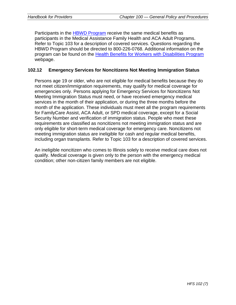Participants in the [HBWD Program](https://www.illinois.gov/hfs/MedicalPrograms/hbwd/Pages/default.aspx) receive the same medical benefits as participants in the Medical Assistance Family Health and ACA Adult Programs. Refer to Topic 103 for a description of covered services. Questions regarding the HBWD Program should be directed to 800-226-0768. Additional information on the program can be found on the [Health Benefits for Workers with Disabilities Program](https://www.illinois.gov/hfs/MedicalPrograms/hbwd/Pages/default.aspx) webpage.

#### **102.12 Emergency Services for Noncitizens Not Meeting Immigration Status**

Persons age 19 or older, who are not eligible for medical benefits because they do not meet citizen/immigration requirements, may qualify for medical coverage for emergencies only. Persons applying for Emergency Services for Noncitizens Not Meeting Immigration Status must need, or have received emergency medical services in the month of their application, or during the three months before the month of the application. These individuals must meet all the program requirements for FamilyCare Assist, ACA Adult, or SPD medical coverage, except for a Social Security Number and verification of immigration status. People who meet these requirements are classified as noncitizens not meeting immigration status and are only eligible for short-term medical coverage for emergency care. Noncitizens not meeting immigration status are ineligible for cash and regular medical benefits, including organ transplants. Refer to Topic 103 for a description of covered services.

An ineligible noncitizen who comes to Illinois solely to receive medical care does not qualify. Medical coverage is given only to the person with the emergency medical condition; other non-citizen family members are not eligible.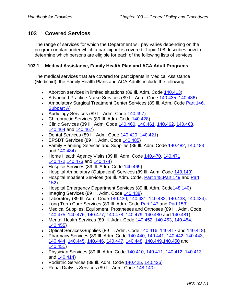# <span id="page-27-0"></span>**103 Covered Services**

The range of services for which the Department will pay varies depending on the program or plan under which a participant is covered. Topic 108 describes how to determine which persons are eligible for each of the following lists of services.

#### **103.1 Medical Assistance, Family Health Plan and ACA Adult Programs**

The medical services that are covered for participants in Medical Assistance (Medicaid), the Family Health Plans and ACA Adults include the following:

- Abortion services in limited situations (89 III. Adm. Code [140.413\)](http://www.ilga.gov/commission/jcar/admincode/089/089001400D04130R.html)
- Advanced Practice Nurse Services (89 Ill. Adm. Code [140.435,](http://www.ilga.gov/commission/jcar/admincode/089/089001400D04350R.html) [140.436\)](http://www.ilga.gov/commission/jcar/admincode/089/089001400D04360R.html)
- Ambulatory Surgical Treatment Center Services (89 Ill. Adm. Code [Part 146,](http://www.ilga.gov/commission/jcar/admincode/089/08900146sections.html)  [Subpart A\)](http://www.ilga.gov/commission/jcar/admincode/089/08900146sections.html)
- Audiology Services (89 III. Adm. Code [140.497\)](http://www.ilga.gov/commission/jcar/admincode/089/089001400D04970R.html)
- Chiropractic Services (89 Ill. Adm. Code [140.428\)](http://www.ilga.gov/commission/jcar/admincode/089/089001400D04280R.html)
- Clinic Services (89 Ill. Adm. Code [140.460,](http://www.ilga.gov/commission/jcar/admincode/089/089001400D04600R.html) [140.461,](http://www.ilga.gov/commission/jcar/admincode/089/089001400D04610R.html) [140.462,](http://www.ilga.gov/commission/jcar/admincode/089/089001400D04620R.html) [140.463,](http://www.ilga.gov/commission/jcar/admincode/089/089001400D04630R.html) [140.464](http://www.ilga.gov/commission/jcar/admincode/089/089001400D04640R.html) and [140.467\)](http://www.ilga.gov/commission/jcar/admincode/089/089001400D04670R.html)
- Dental Services (89 Ill. Adm. Code [140.420,](http://www.ilga.gov/commission/jcar/admincode/089/089001400D04200R.html) [140.421\)](http://www.ilga.gov/commission/jcar/admincode/089/089001400D04210R.html)
- EPSDT Services (89 III. Adm. Code [140.485\)](http://www.ilga.gov/commission/jcar/admincode/089/089001400D04850R.html)
- Family Planning Services and Supplies (89 III. Adm. Code [140.482,](http://www.ilga.gov/commission/jcar/admincode/089/089001400D04820R.html) [140.483](http://www.ilga.gov/commission/jcar/admincode/089/089001400D04830R.html) and [140.484\)](http://www.ilga.gov/commission/jcar/admincode/089/089001400D04840R.html)
- Home Health Agency Visits (89 III. Adm. Code [140.470,](http://www.ilga.gov/commission/jcar/admincode/089/089001400D04700R.html) [140.471,](http://www.ilga.gov/commission/jcar/admincode/089/089001400D04710R.html) [140.472](http://www.ilga.gov/commission/jcar/admincode/089/089001400D04720R.html)[,140.473](http://www.ilga.gov/commission/jcar/admincode/089/089001400D04730R.html) and [140.474\)](http://www.ilga.gov/commission/jcar/admincode/089/089001400D04740R.html)
- Hospice Services (89 III. Adm. Code [140.469\)](http://www.ilga.gov/commission/jcar/admincode/089/089001400D04690R.html)
- Hospital Ambulatory (Outpatient) Services (89 III. Adm. Code [148.140\)](http://www.ilga.gov/commission/jcar/admincode/089/089001480B01400R.html).
- Hospital Inpatient Services (89 III. Adm. Code, [Part 148,](http://www.ilga.gov/commission/jcar/admincode/089/08900148sections.html) [Part 149](http://www.ilga.gov/commission/jcar/admincode/089/08900149sections.html) and Part [152\)](http://www.ilga.gov/commission/jcar/admincode/089/08900152sections.html)
- Hospital Emergency Department Services (89 III. Adm. Code 148.140)
- Imaging Services (89 III. Adm. Code [140.438\)](http://www.ilga.gov/commission/jcar/admincode/089/089001400D04380R.html)
- Laboratory (89 Ill. Adm. Code [140.430,](http://www.ilga.gov/commission/jcar/admincode/089/089001400D04300R.html) [140.431, 140.432,](http://www.ilga.gov/commission/jcar/admincode/089/089001400D04310R.html) [140.433,](http://www.ilga.gov/commission/jcar/admincode/089/089001400D04330R.html) [140.434\).](http://www.ilga.gov/commission/jcar/admincode/089/089001400D04340R.html)
- Long Term Care Services (89 III. Adm. Code [Part 147](http://www.ilga.gov/commission/jcar/admincode/089/08900147sections.html) and [Part 153\)](http://www.ilga.gov/commission/jcar/admincode/089/08900153sections.html)
- Medical Supplies, Equipment, Prostheses and Orthoses (89 Ill. Adm. Code [140.475,](http://www.ilga.gov/commission/jcar/admincode/089/089001400D04750R.html) [140.476,](http://www.ilga.gov/commission/jcar/admincode/089/089001400D04760R.html) [140.477,](http://www.ilga.gov/commission/jcar/admincode/089/089001400D04770R.html) [140.478,](http://www.ilga.gov/commission/jcar/admincode/089/089001400D04780R.html) [140.479,](http://www.ilga.gov/commission/jcar/admincode/089/089001400D04790R.html) [140.480](http://www.ilga.gov/commission/jcar/admincode/089/089001400D04800R.html) and [140.481\)](http://www.ilga.gov/commission/jcar/admincode/089/089001400D04810R.html)
- Mental Health Services (89 III. Adm. Code [140.452,](http://www.ilga.gov/commission/jcar/admincode/089/089001400D04520R.html) [140.453,](http://www.ilga.gov/commission/jcar/admincode/089/089001400D04530R.html) [140.454,](http://www.ilga.gov/commission/jcar/admincode/089/089001400D04540R.html) [140.455\)](http://www.ilga.gov/commission/jcar/admincode/089/089001400D04550R.html)
- Optical Services/Supplies (89 Ill. Adm. Code [140.416,](http://www.ilga.gov/commission/jcar/admincode/089/089001400D04160R.html) [140.417](http://www.ilga.gov/commission/jcar/admincode/089/089001400D04170R.html) and [140.418\)](http://www.ilga.gov/commission/jcar/admincode/089/089001400D04180R.html).
- Pharmacy Services (89 Ill. Adm. Code [140.440,](http://www.ilga.gov/commission/jcar/admincode/089/089001400D04400R.html) [140.441,](http://www.ilga.gov/commission/jcar/admincode/089/089001400D04410R.html) [140.442,](http://www.ilga.gov/commission/jcar/admincode/089/089001400D04420R.html) [140.443,](http://www.ilga.gov/commission/jcar/admincode/089/089001400D04430R.html) [140.444,](http://www.ilga.gov/commission/jcar/admincode/089/089001400D04440R.html) [140.445,](http://www.ilga.gov/commission/jcar/admincode/089/089001400D04450R.html) [140.446,](http://www.ilga.gov/commission/jcar/admincode/089/089001400D04460R.html) [140.447,](http://www.ilga.gov/commission/jcar/admincode/089/089001400D04470R.html) [140.448,](http://www.ilga.gov/commission/jcar/admincode/089/089001400D04480R.html) [140.449,](http://www.ilga.gov/commission/jcar/admincode/089/089001400D04490R.html)[140.450](http://www.ilga.gov/commission/jcar/admincode/089/089001400D04500R.html) and [140.451\)](http://www.ilga.gov/commission/jcar/admincode/089/089001400D04510R.html)
- Physician Services (89 Ill. Adm. Code [140.410,](http://www.ilga.gov/commission/jcar/admincode/089/089001400D04100R.html) [140.411,](http://www.ilga.gov/commission/jcar/admincode/089/089001400D04110R.html) [140.412,](http://www.ilga.gov/commission/jcar/admincode/089/089001400D04120R.html) [140.413](http://www.ilga.gov/commission/jcar/admincode/089/089001400D04130R.html) and [140.414\)](http://www.ilga.gov/commission/jcar/admincode/089/089001400D04140R.html)
- Podiatric Services (89 III. Adm. Code [140.425,](http://www.ilga.gov/commission/jcar/admincode/089/089001400D04250R.html) [140.426\)](http://www.ilga.gov/commission/jcar/admincode/089/089001400D04260R.html)
- Renal Dialysis Services (89 III. Adm. Code [148.140\)](http://www.ilga.gov/commission/jcar/admincode/089/089001480B01400R.html)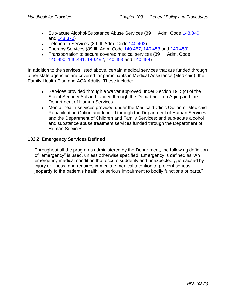- Sub-acute Alcohol-Substance Abuse Services (89 Ill. Adm. Code [148.340](http://www.ilga.gov/commission/jcar/admincode/089/089001480B03400R.html) and [148.370\)](http://www.ilga.gov/commission/jcar/admincode/089/089001480B03700R.html)
- Telehealth Services (89 III. Adm. Code [140.403\)](http://www.ilga.gov/commission/jcar/admincode/089/089001400D04030R.html)
- Therapy Services (89 III. Adm. Code  $140.457$ ,  $140.458$  and  $140.459$ )
- Transportation to secure covered medical services (89 Ill. Adm. Code [140.490,](http://www.ilga.gov/commission/jcar/admincode/089/089001400D04900R.html) [140.491,](http://www.ilga.gov/commission/jcar/admincode/089/089001400D04910R.html) [140.492,](http://www.ilga.gov/commission/jcar/admincode/089/089001400D04920R.html) [140.493](http://www.ilga.gov/commission/jcar/admincode/089/089001400D04930R.html) and [140.494\)](http://www.ilga.gov/commission/jcar/admincode/089/089001400D04940R.html)

In addition to the services listed above, certain medical services that are funded through other state agencies are covered for participants in Medical Assistance (Medicaid), the Family Health Plan and ACA Adults. These include:

- Services provided through a waiver approved under Section 1915(c) of the Social Security Act and funded through the Department on Aging and the Department of Human Services.
- Mental health services provided under the Medicaid Clinic Option or Medicaid Rehabilitation Option and funded through the Department of Human Services and the Department of Children and Family Services; and sub-acute alcohol and substance abuse treatment services funded through the Department of Human Services.

#### **103.2 Emergency Services Defined**

Throughout all the programs administered by the Department, the following definition of "emergency" is used, unless otherwise specified. Emergency is defined as "An emergency medical condition that occurs suddenly and unexpectedly, is caused by injury or illness, and requires immediate medical attention to prevent serious jeopardy to the patient's health, or serious impairment to bodily functions or parts."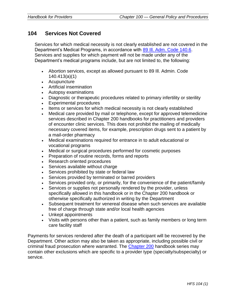# <span id="page-29-0"></span>**104 Services Not Covered**

Services for which medical necessity is not clearly established are not covered in the Department's Medical Programs, in accordance with [89 Ill. Adm. Code 140.6.](http://www.ilga.gov/commission/jcar/admincode/089/089001400A00060R.html) Services and supplies for which payment will not be made under any of the Department's medical programs include, but are not limited to, the following:

- Abortion services, except as allowed pursuant to 89 Ill. Admin. Code 140.413(a)(1)
- Acupuncture
- Artificial insemination
- Autopsy examinations
- Diagnostic or therapeutic procedures related to primary infertility or sterility
- Experimental procedures
- Items or services for which medical necessity is not clearly established
- Medical care provided by mail or telephone, except for approved telemedicine services described in Chapter 200 handbooks for practitioners and providers of encounter clinic services. This does not prohibit the mailing of medically necessary covered items, for example, prescription drugs sent to a patient by a mail-order pharmacy
- Medical examinations required for entrance in to adult educational or vocational programs
- Medical or surgical procedures performed for cosmetic purposes
- Preparation of routine records, forms and reports
- Research oriented procedures
- Services available without charge
- Services prohibited by state or federal law
- Services provided by terminated or barred providers
- Services provided only, or primarily, for the convenience of the patient/family
- Services or supplies not personally rendered by the provider, unless specifically allowed in this handbook or in the Chapter 200 handbook or otherwise specifically authorized in writing by the Department
- Subsequent treatment for venereal disease when such services are available free of charge through state and/or local health agencies
- Unkept appointments
- Visits with persons other than a patient, such as family members or long term care facility staff

Payments for services rendered after the death of a participant will be recovered by the Department. Other action may also be taken as appropriate, including possible civil or criminal fraud prosecution where warranted. The [Chapter 200](https://www.illinois.gov/hfs/MedicalProviders/Handbooks/Pages/Chapter200.aspx) handbook series may contain other exclusions which are specific to a provider type (specialty/subspecialty) or service.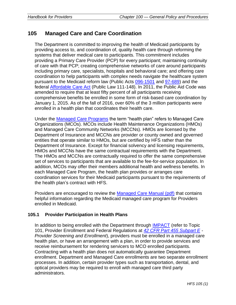# <span id="page-30-0"></span>**105 Managed Care and Care Coordination**

The Department is committed to improving the health of Medicaid participants by providing access to, and coordination of, quality health care through reforming the systems that deliver medical care to participants. This commitment includes providing a Primary Care Provider (PCP) for every participant; maintaining continuity of care with that PCP; creating comprehensive networks of care around participants including primary care, specialists, hospitals and behavioral care; and offering care coordination to help participants with complex needs navigate the healthcare system pursuant to the Medicaid reform law (Public Acts [096-1501](http://www.ilga.gov/legislation/publicacts/default.asp?GA=96) and [97-689\)](http://www.ilga.gov/legislation/publicacts/default.asp?GA=97) and the federal [Affordable Care Act](https://www.illinois.gov/hfs/medicalclients/affordablecareact/Pages/default.aspx) (Public Law 111-148). In 2011, the Public Aid Code was amended to require that at least fifty percent of all participants receiving comprehensive benefits be enrolled in some form of risk-based care coordination by January 1, 2015. As of the fall of 2016, over 60% of the 3 million participants were enrolled in a health plan that coordinates their health care.

Under the [Managed Care Programs](https://www.illinois.gov/hfs/MedicalProviders/cc/Pages/default.aspx) the term "health plan" refers to Managed Care Organizations (MCOs). MCOs include Health Maintenance Organizations (HMOs) and Managed Care Community Networks (MCCNs). HMOs are licensed by the Department of Insurance and MCCNs are provider or county owned and governed entities that operate similar to HMOs, but are certified by HFS rather than the Department of Insurance. Except for financial solvency and licensing requirements, HMOs and MCCNs have the same contractual requirements with the Department. The HMOs and MCCNs are contractually required to offer the same comprehensive set of services to participants that are available to the fee-for-service population. In addition, MCOs may offer their members additional health and wellness benefits. In each Managed Care Program, the health plan provides or arranges care coordination services for their Medicaid participants pursuant to the requirements of the health plan's contract with HFS.

Providers are encouraged to review the [Managed Care Manual \(pdf\)](https://www.illinois.gov/hfs/SiteCollectionDocuments/MCOManual.pdf) that contains helpful information regarding the Medicaid managed care program for Providers enrolled in Medicaid.

# **105.1 Provider Participation in Health Plans**

In addition to being enrolled with the Department through [IMPACT](https://www.illinois.gov/hfs/impact/Pages/default.aspx) (refer to Topic 101, Provider Enrollment and Federal Regulations at *[42 CFR Part 455 Subpart E](https://ecfr.io/Title-42/se42.4.455_1405) - Provider Screening and Enrollment*), providers must be enrolled in a managed care health plan, or have an arrangement with a plan, in order to provide services and receive reimbursement for rendering servicers to MCO enrolled participants. Contracting with a health plan does not automatically guarantee Department enrollment. Department and Managed Care enrollments are two separate enrollment processes. In addition, certain provider types such as transportation, dental, and optical providers may be required to enroll with managed care third party administrators.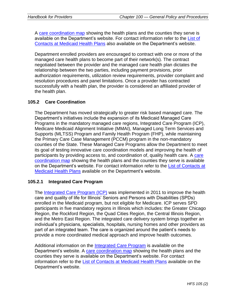A [care coordination map](https://www.illinois.gov/hfs/SiteCollectionDocuments/CCExpansionMap.pdf) showing the health plans and the counties they serve is available on the Department's website. For contact information refer to the List of [Contacts at Medicaid Health Plans](https://www.illinois.gov/hfs/SiteCollectionDocuments/ContactListAllMCEs.pdf) also available on the Department's website.

Department enrolled providers are encouraged to contract with one or more of the managed care health plans to become part of their network(s). The contract negotiated between the provider and the managed care health plan dictates the relationship between the two parties, including payment provisions, prior authorization requirements, utilization review requirements, provider complaint and resolution procedures and panel limitations. Once a provider has contracted successfully with a health plan, the provider is considered an affiliated provider of the health plan.

# **105.2 Care Coordination**

The Department has moved strategically to greater risk based managed care. The Department's initiatives include the expansion of its Medicaid Managed Care Programs in the mandatory managed care regions, Integrated Care Program (ICP), Medicare Medicaid Alignment Initiative (MMAI), Managed Long Term Services and Supports (MLTSS) Program and Family Health Program (FHP), while maintaining the Primary Care Case Management (PCCM) program in the non-mandatory counties of the State. These Managed Care Programs allow the Department to meet its goal of testing innovative care coordination models and improving the health of participants by providing access to, and coordination of, quality health care. A [care](https://www.illinois.gov/hfs/SiteCollectionDocuments/CCExpansionMap.pdf)  [coordination map](https://www.illinois.gov/hfs/SiteCollectionDocuments/CCExpansionMap.pdf) showing the health plans and the counties they serve is available on the Department's website. For contact information refer to the [List of Contacts at](https://www.illinois.gov/hfs/SiteCollectionDocuments/ContactListAllMCEs.pdf)  [Medicaid Health Plans](https://www.illinois.gov/hfs/SiteCollectionDocuments/ContactListAllMCEs.pdf) available on the Department's website.

# **105.2.1 Integrated Care Program**

The [Integrated Care Program \(ICP\)](https://www.illinois.gov/hfs/MedicalProviders/cc/icp/Pages/default.aspx) was implemented in 2011 to improve the health care and quality of life for Illinois' Seniors and Persons with Disabilities (SPDs) enrolled in the Medicaid program, but not eligible for Medicare. ICP serves SPD participants in five mandatory regions in Illinois which includes: the Greater Chicago Region, the Rockford Region, the Quad Cities Region, the Central Illinois Region, and the Metro East Region. The integrated care delivery system brings together an individual's physicians, specialists, hospitals, nursing homes and other providers as part of an integrated team. The care is organized around the patient's needs to provide a more coordinated medical approach and improve health outcomes.

Additional information on the [Integrated Care Program](https://www.illinois.gov/hfs/MedicalProviders/cc/icp/Pages/default.aspx) is available on the Department's website. A [care coordination map](https://www.illinois.gov/hfs/SiteCollectionDocuments/CCExpansionMap.pdf) showing the health plans and the counties they serve is available on the Department's website. For contact information refer to the [List of Contacts at Medicaid Health Plans](https://www.illinois.gov/hfs/SiteCollectionDocuments/ContactListAllMCEs.pdf) available on the Department's website.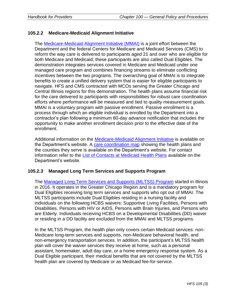## **105.2.2 Medicare-Medicaid Alignment Initiative**

The [Medicare-Medicaid Alignment Initiative \(MMAI\)](https://www.illinois.gov/hfs/MedicalProviders/cc/mmai/Pages/default.aspx) is a joint effort between the Department and the federal Centers for Medicare and Medicaid Services (CMS) to reform the way care is delivered to participants aged 21 and over who are eligible for both Medicare and Medicaid; these participants are also called Dual Eligibles. The demonstration integrates services covered in Medicare and Medicaid under one managed care program and combines financing streams to eliminate conflicting incentives between the two programs. The overarching goal of MMAI is to integrate benefits to create a unified delivery system that is easier for eligible participants to navigate. HFS and CMS contracted with MCOs serving the Greater Chicago and Central Illinois regions for this demonstration. The health plans assume financial risk for the care delivered to participants with responsibilities for robust care coordination efforts where performance will be measured and tied to quality measurement goals. MMAI is a voluntary program with passive enrollment. Passive enrollment is a process through which an eligible individual is enrolled by the Department into a contractor's plan following a minimum 60-day advance notification that includes the opportunity to make another enrollment decision prior to the effective date of the enrollment.

Additional information on the [Medicare-Medicaid Alignment Initiative](https://www.illinois.gov/hfs/MedicalProviders/cc/mmai/Pages/default.aspx) is available on the Department's website. A [care coordination map](https://www.illinois.gov/hfs/SiteCollectionDocuments/CCExpansionMap.pdf) showing the health plans and the counties they serve is available on the Department's website. For contact information refer to the [List of Contacts at Medicaid Health Plans](https://www.illinois.gov/hfs/SiteCollectionDocuments/ContactListAllMCEs.pdf) available on the Department's website.

#### **105.2.3 Managed Long Term Services and Supports Program**

The [Managed Long Term Services and Supports \(MLTSS\) Program](https://www.illinois.gov/hfs/MedicalProviders/cc/mmai/Pages/default.aspx) started in Illinois in 2016. It operates in the Greater Chicago Region and is a mandatory program for Dual Eligibles receiving long term services and supports who opt out of MMAI. The MLTSS participants include Dual Eligibles residing in a nursing facility and individuals on the following HCBS waivers: Supportive Living Facilities, Persons with Disabilities, Persons with HIV or AIDS, Persons with Brain Injuries, and Persons who are Elderly. Individuals receiving HCBS on a Developmental Disabilities (DD) waiver or residing in a DD facility are excluded from the MMAI and MLTSS programs.

In the MLTSS Program, the health plan only covers certain Medicaid services: non-Medicare long-term services and supports, non-Medicare behavioral health, and non-emergency transportation services. In addition, the participant's MLTSS health plan will cover the waiver services they receive at home, such as a personal assistant, homemaker, adult day care, or a home emergency response system. As a Dual Eligible participant, their medical benefits that are not covered by the MLTSS health plan are covered by Medicare or as Medicaid fee-for-service.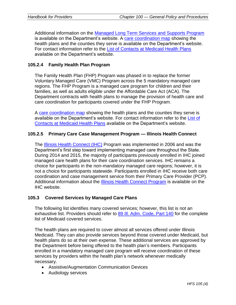Additional information on the [Managed Long Term Services and Supports Program](https://www.illinois.gov/hfs/MedicalProviders/cc/mmai/Pages/default.aspx) is available on the Department's website. A [care coordination map](https://www.illinois.gov/hfs/SiteCollectionDocuments/CCExpansionMap.pdf) showing the health plans and the counties they serve is available on the Department's website. For contact information refer to the [List of Contacts at Medicaid Health Plans](https://www.illinois.gov/hfs/SiteCollectionDocuments/ContactListAllMCEs.pdf) available on the Department's website.

# **105.2.4 Family Health Plan Program**

The Family Health Plan (FHP) Program was phased in to replace the former Voluntary Managed Care (VMC) Program across the 5 mandatory managed care regions. The FHP Program is a managed care program for children and their families, as well as adults eligible under the Affordable Care Act (ACA). The Department contracts with health plans to manage the provision of health care and care coordination for participants covered under the FHP Program.

A [care coordination map](https://www.illinois.gov/hfs/SiteCollectionDocuments/CCExpansionMap.pdf) showing the health plans and the counties they serve is available on the Department's website. For contact information refer to the List of [Contacts at Medicaid Health Plans](https://www.illinois.gov/hfs/SiteCollectionDocuments/ContactListAllMCEs.pdf) available on the Department's website.

## **105.2.5 Primary Care Case Management Program — Illinois Health Connect**

The [Illinois Health Connect \(IHC\)](http://www.illinoishealthconnect.com/) Program was implemented in 2006 and was the Department's first step toward implementing managed care throughout the State. During 2014 and 2015, the majority of participants previously enrolled in IHC joined managed care health plans for their care coordination services. IHC remains a choice for participants in the non-mandatory managed care regions; however, it is not a choice for participants statewide. Participants enrolled in IHC receive both care coordination and case management service from their Primary Care Provider (PCP). Additional information about the [Illinois Health Connect Program](http://www.illinoishealthconnect.com/) is available on the IHC website.

#### **105.3 Covered Services by Managed Care Plans**

The following list identifies many covered services; however, this list is not an exhaustive list. Providers should refer to 89 III. Adm. Code, Part 140 for the complete list of Medicaid covered services.

The health plans are required to cover almost all services offered under Illinois Medicaid. They can also provide services beyond those covered under Medicaid, but health plans do so at their own expense. These additional services are approved by the Department before being offered to the health plan's members. Participants enrolled in a mandatory managed care program will receive coordination of these services by providers within the health plan's network whenever medically necessary.

- Assistive/Augmentation Communication Devices
- Audiology services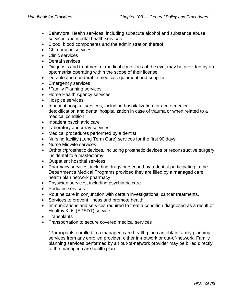- Behavioral Health services, including subacute alcohol and substance abuse services and mental health services
- Blood, blood components and the administration thereof
- Chiropractic services
- Clinic services
- Dental services
- Diagnosis and treatment of medical conditions of the eye; may be provided by an optometrist operating within the scope of their license
- Durable and nondurable medical equipment and supplies
- Emergency services
- **\***Family Planning services
- Home Health Agency services
- Hospice services
- Inpatient hospital services, including hospitalization for acute medical detoxification and dental hospitalization in case of trauma or when related to a medical condition
- Inpatient psychiatric care
- Laboratory and x-ray services
- Medical procedures performed by a dentist
- Nursing facility (Long Term Care) services for the first 90 days.
- Nurse Midwife services
- Orthotic/prosthetic devices, including prosthetic devices or reconstructive surgery incidental to a mastectomy
- Outpatient hospital services
- Pharmacy services, including drugs prescribed by a dentist participating in the Department's Medical Programs provided they are filled by a managed care health plan network pharmacy
- Physician services, including psychiatric care
- Podiatric services
- Routine care in conjunction with certain investigational cancer treatments.
- Services to prevent illness and promote health
- Immunizations and services required to treat a condition diagnosed as a result of Healthy Kids (EPSDT) service
- Transplants
- Transportation to secure covered medical services

\*Participants enrolled in a managed care health plan can obtain family planning services from any enrolled provider, either in-network or out-of-network. Family planning services performed by an out-of-network provider may be billed directly to the managed care health plan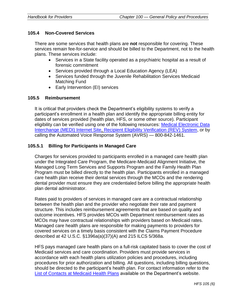#### **105.4 Non-Covered Services**

There are some services that health plans are **not** responsible for covering. These services remain fee-for-service and should be billed to the Department, not to the health plans. These services include:

- Services in a State facility operated as a psychiatric hospital as a result of forensic commitment
- Services provided through a Local Education Agency (LEA)
- Services funded through the Juvenile Rehabilitation Services Medicaid Matching Fund
- Early Intervention (EI) services

#### **105.5 Reimbursement**

It is critical that providers check the Department's eligibility systems to verify a participant's enrollment in a health plan and identify the appropriate billing entity for dates of services provided (health plan, HFS, or some other source). Participant eligibility can be verified using one of the following resources: [Medical Electronic Data](https://www.illinois.gov/hfs/MedicalProviders/EDI/medi/Pages/default.aspx)  [Interchange \(MEDI\) Internet Site,](https://www.illinois.gov/hfs/MedicalProviders/EDI/medi/Pages/default.aspx) [Recipient Eligibility Verification \(REV\) System,](https://www.illinois.gov/hfs/medicalproviders/rev/Pages/default.aspx) or by calling the Automated Voice Response System (AVRS) — 800-842-1461.

## **105.5.1 Billing for Participants in Managed Care**

Charges for services provided to participants enrolled in a managed care health plan under the Integrated Care Program, the Medicare-Medicaid Alignment Initiative, the Managed Long Term Services and Supports Program and the Family Health Plan Program must be billed directly to the health plan. Participants enrolled in a managed care health plan receive their dental services through the MCOs and the rendering dental provider must ensure they are credentialed before billing the appropriate health plan dental administrator.

Rates paid to providers of services in managed care are a contractual relationship between the health plan and the provider who negotiate their rate and payment structure. This includes reimbursement agreements that are based on quality and outcome incentives. HFS provides MCOs with Department reimbursement rates as MCOs may have contractual relationships with providers based on Medicaid rates. Managed care health plans are responsible for making payments to providers for covered services on a timely basis consistent with the Claims Payment Procedure described at 42 U.S.C. §1396a(a)(37)(A) and 215 ILCS 5/368a.

HFS pays managed care health plans on a full-risk capitated basis to cover the cost of Medicaid services and care coordination. Providers must provide services in accordance with each health plans utilization policies and procedures, including procedures for prior authorization and billing. All questions, including billing questions, should be directed to the participant's health plan. For contact information refer to the [List of Contacts at Medicaid](https://www.illinois.gov/hfs/SiteCollectionDocuments/ContactListAllMCEs.pdf) Health Plans available on the Department's website.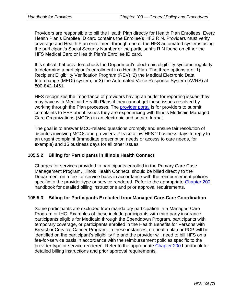Providers are responsible to bill the Health Plan directly for Health Plan Enrollees. Every Health Plan's Enrollee ID card contains the Enrollee's HFS RIN. Providers must verify coverage and Health Plan enrollment through one of the HFS automated systems using the participant's Social Security Number or the participant's RIN found on either the HFS Medical Card or Health Plan's Enrollee ID card.

It is critical that providers check the Department's electronic eligibility systems regularly to determine a participant's enrollment in a Health Plan. The three options are: 1) Recipient Eligibility Verification Program (REV); 2) the Medical Electronic Data Interchange (MEDI) system; or 3) the Automated Voice Response System (AVRS) at 800-842-1461.

HFS recognizes the importance of providers having an outlet for reporting issues they may have with Medicaid Health Plans if they cannot get these issues resolved by working through the Plan processes. The [provider portal](https://www.illinois.gov/hfs/MedicalProviders/cc/Pages/ManagedCareComplaints.aspx) is for providers to submit complaints to HFS about issues they are experiencing with Illinois Medicaid Managed Care Organizations (MCOs) in an electronic and secure format.

The goal is to answer MCO-related questions promptly and ensure fair resolution of disputes involving MCOs and providers. Please allow HFS 2 business days to reply to an urgent complaint (immediate prescription needs or access to care needs, for example) and 15 business days for all other issues.

# **105.5.2 Billing for Participants in Illinois Health Connect**

Charges for services provided to participants enrolled in the Primary Care Case Management Program, Illinois Health Connect, should be billed directly to the Department on a fee-for-service basis in accordance with the reimbursement policies specific to the provider type or service rendered. Refer to the appropriate [Chapter 200](https://www.illinois.gov/hfs/MedicalProviders/Handbooks/Pages/Chapter200.aspx) handbook for detailed billing instructions and prior approval requirements.

### **105.5.3 Billing for Participants Excluded from Managed Care-Care Coordination**

Some participants are excluded from mandatory participation in a Managed Care Program or IHC. Examples of these include participants with third party insurance, participants eligible for Medicaid through the Spenddown Program, participants with temporary coverage, or participants enrolled in the Health Benefits for Persons with Breast or Cervical Cancer Program. In these instances, no health plan or PCP will be identified on the participant's eligibility file and the provider will need to bill HFS on a fee-for-service basis in accordance with the reimbursement policies specific to the provider type or service rendered. Refer to the appropriate [Chapter 200](https://www.illinois.gov/hfs/MedicalProviders/Handbooks/Pages/Chapter200.aspx) handbook for detailed billing instructions and prior approval requirements.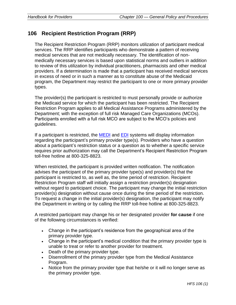# **106 Recipient Restriction Program (RRP)**

The Recipient Restriction Program (RRP) monitors utilization of participant medical services. The RRP identifies participants who demonstrate a pattern of receiving medical services that are not medically necessary. The identification of nonmedically necessary services is based upon statistical norms and outliers in addition to review of this utilization by individual practitioners, pharmacists and other medical providers. If a determination is made that a participant has received medical services in excess of need or in such a manner as to constitute abuse of the Medicaid program, the Department may restrict the participant to one or more primary provider types.

The provider(s) the participant is restricted to must personally provide or authorize the Medicaid service for which the participant has been restricted. The Recipient Restriction Program applies to all Medical Assistance Programs administered by the Department; with the exception of full risk Managed Care Organizations (MCOs). Participants enrolled with a full risk MCO are subject to the MCO's policies and guidelines.

If a participant is restricted, the [MEDI](https://www.illinois.gov/hfs/MedicalProviders/EDI/medi/Pages/default.aspx) and [EDI](https://www.illinois.gov/hfs/medicalproviders/edi/Pages/default.aspx) systems will display information regarding the participant's primary provider type(s). Providers who have a question about a participant's restriction status or a question as to whether a specific service requires prior authorization may call the Department's Recipient Restriction Program toll-free hotline at 800-325-8823.

When restricted, the participant is provided written notification. The notification advises the participant of the primary provider type(s) and provider(s) that the participant is restricted to, as well as, the time period of restriction. Recipient Restriction Program staff will initially assign a restriction provider(s) designation without regard to participant choice. The participant may change the initial restriction provider(s) designation without cause once during the time period of the restriction. To request a change in the initial provider(s) designation, the participant may notify the Department in writing or by calling the RRP toll-free hotline at 800-325-8823.

A restricted participant may change his or her designated provider **for cause** if one of the following circumstances is verified:

- Change in the participant's residence from the geographical area of the primary provider type.
- Change in the participant's medical condition that the primary provider type is unable to treat or refer to another provider for treatment.
- Death of the primary provider type.
- Disenrollment of the primary provider type from the Medical Assistance Program.
- Notice from the primary provider type that he/she or it will no longer serve as the primary provider type.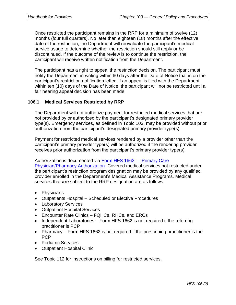Once restricted the participant remains in the RRP for a minimum of twelve (12) months (four full quarters). No later than eighteen (18) months after the effective date of the restriction, the Department will reevaluate the participant's medical service usage to determine whether the restriction should still apply or be discontinued. If the outcome of the review is to continue the restriction, the participant will receive written notification from the Department.

The participant has a right to appeal the restriction decision. The participant must notify the Department in writing within 60 days after the Date of Notice that is on the participant's restriction notification letter. If an appeal is filed with the Department within ten (10) days of the Date of Notice, the participant will not be restricted until a fair hearing appeal decision has been made.

### **106.1 Medical Services Restricted by RRP**

The Department will not authorize payment for restricted medical services that are not provided by or authorized by the participant's designated primary provider type(s). Emergency services, as defined in Topic 103, may be provided without prior authorization from the participant's designated primary provider type(s).

Payment for restricted medical services rendered by a provider other than the participant's primary provider type(s) will be authorized if the rendering provider receives prior authorization from the participant's primary provider type(s).

Authorization is documented via [Form HFS 1662](https://www.illinois.gov/hfs/SiteCollectionDocuments/hfs1662.pdf) — Primary Care [Physician/Pharmacy Authorization.](https://www.illinois.gov/hfs/SiteCollectionDocuments/hfs1662.pdf) Covered medical services not restricted under the participant's restriction program designation may be provided by any qualified provider enrolled in the Department's Medical Assistance Programs. Medical services that **are** subject to the RRP designation are as follows:

- Physicians
- Outpatients Hospital Scheduled or Elective Procedures
- Laboratory Services
- Outpatient Hospital Services
- Encounter Rate Clinics FQHCs, RHCs, and ERCs
- Independent Laboratories Form HFS 1662 is not required if the referring practitioner is PCP
- Pharmacy Form HFS 1662 is not required if the prescribing practitioner is the PCP
- Podiatric Services
- Outpatient Hospital Clinic

See Topic 112 for instructions on billing for restricted services.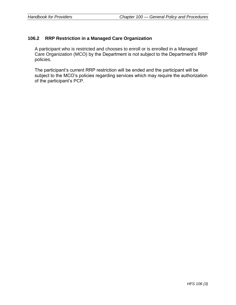## **106.2 RRP Restriction in a Managed Care Organization**

A participant who is restricted and chooses to enroll or is enrolled in a Managed Care Organization (MCO) by the Department is not subject to the Department's RRP policies.

The participant's current RRP restriction will be ended and the participant will be subject to the MCO's policies regarding services which may require the authorization of the participant's PCP.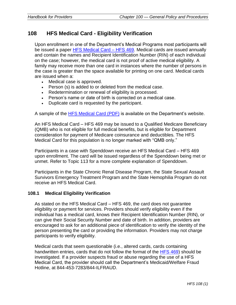# **108 HFS Medical Card - Eligibility Verification**

Upon enrollment in one of the Department's Medical Programs most participants will be issued a paper [HFS Medical Card –](https://www.illinois.gov/hfs/medicalclients/medicalcard/Pages/default.aspx) HFS 469. Medical cards are issued annually and contain the names and Recipient Identification Number (RIN) of each individual on the case; however, the medical card is not proof of active medical eligibility. A family may receive more than one card in instances where the number of persons in the case is greater than the space available for printing on one card. Medical cards are issued when a:

- Medical case is approved.
- Person (s) is added to or deleted from the medical case.
- Redetermination or renewal of eligibility is processed.
- Person's name or date of birth is corrected on a medical case.
- Duplicate card is requested by the participant.

A sample of the [HFS Medical Card \(PDF\)](https://www.illinois.gov/hfs/medicalclients/medicalcard/Pages/default.aspx) is available on the Department's website.

An HFS Medical Card – HFS 469 may be issued to a Qualified Medicare Beneficiary (QMB) who is not eligible for full medical benefits, but is eligible for Department consideration for payment of Medicare coinsurance and deductibles. The HFS Medical Card for this population is no longer marked with "QMB only."

Participants in a case with Spenddown receive an HFS Medical Card – HFS 469 upon enrollment. The card will be issued regardless of the Spenddown being met or unmet. Refer to Topic 113 for a more complete explanation of Spenddown.

Participants in the State Chronic Renal Disease Program, the State Sexual Assault Survivors Emergency Treatment Program and the State Hemophilia Program do not receive an HFS Medical Card.

#### **108.1 Medical Eligibility Verification**

As stated on the HFS Medical Card – HFS 469, the card does not guarantee eligibility or payment for services. Providers should verify eligibility even if the individual has a medical card, knows their Recipient Identification Number (RIN), or can give their Social Security Number and date of birth. In addition, providers are encouraged to ask for an additional piece of identification to verify the identity of the person presenting the card or providing the information. Providers may not charge participants to verify eligibility.

Medical cards that seem questionable (i.e., altered cards, cards containing handwritten entries, cards that do not follow the format of the [HFS 469\)](https://www.illinois.gov/hfs/SiteCollectionDocuments/SampleMedicalCard.pdf) should be investigated. If a provider suspects fraud or abuse regarding the use of a HFS Medical Card, the provider should call the Department's Medicaid/Welfare Fraud Hotline, at 844-453-7283/844-ILFRAUD.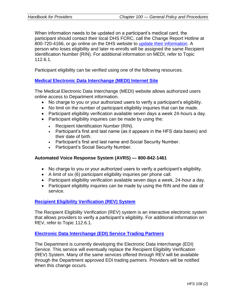When information needs to be updated on a participant's medical card, the participant should contact their local DHS FCRC, call the Change Report Hotline at 800-720-4166, or go online on the DHS website to [update their information.](http://www.dhs.state.il.us/page.aspx?item=46873) A person who loses eligibility and later re-enrolls will be assigned the same Recipient Identification Number (RIN). For additional information on MEDI, refer to Topic 112.6.1.

Participant eligibility can be verified using one of the following resources.

#### **[Medical Electronic Data Interchange \(MEDI\) Internet Site](https://www.illinois.gov/hfs/MedicalProviders/EDI/medi/Pages/default.aspx)**

The Medical Electronic Data Interchange (MEDI) website allows authorized users online access to Department information.

- No charge to you or your authorized users to verify a participant's eligibility.
- No limit on the number of participant eligibility inquiries that can be made.
- Participant eligibility verification available seven days a week 24-hours a day.
- Participant eligibility inquiries can be made by using the:
	- Recipient Identification Number (RIN).
	- Participant's first and last name (as it appears in the HFS data bases) and their date of birth.
	- Participant's first and last name and Social Security Number.
	- Participant's Social Security Number.

#### **Automated Voice Response System (AVRS) — 800-842-1461**

- No charge to you or your authorized users to verify a participant's eligibility.
- A limit of six (6) participant eligibility inquiries per phone call.
- Participant eligibility verification available seven days a week, 24-hour a day.
- Participant eligibility inquiries can be made by using the RIN and the date of service.

### **[Recipient Eligibility Verification \(REV\) System](https://www.illinois.gov/hfs/medicalproviders/rev/Pages/default.aspx)**

The Recipient Eligibility Verification (REV) system is an interactive electronic system that allows providers to verify a participant's eligibility. For additional information on REV, refer to Topic 112.6.1.

#### **[Electronic Data Interchange \(EDI\) Service Trading Partners](https://www.illinois.gov/hfs/medicalproviders/edi/Pages/default.aspx)**

The Department is currently developing the Electronic Data Interchange (EDI) Service. This service will eventually replace the Recipient Eligibility Verification (REV) System. Many of the same services offered through REV will be available through the Department approved EDI trading partners. Providers will be notified when this change occurs.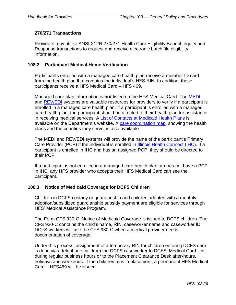### **270/271 Transactions**

Providers may utilize ANSI X12N 270/271 Health Care Eligibility Benefit Inquiry and Response transactions to request and receive electronic batch file eligibility information.

### **108.2 Participant Medical Home Verification**

Participants enrolled with a managed care health plan receive a member ID card from the health plan that contains the individual's HFS RIN. In addition, these participants receive a HFS Medical Card – HFS 469.

Managed care plan information is **not** listed on the HFS Medical Card. The [MEDI](https://www.illinois.gov/hfs/MedicalProviders/EDI/medi/Pages/default.aspx) and [REV/EDI](https://www.illinois.gov/hfs/medicalproviders/rev/Pages/default.aspx) systems are valuable resources for providers to verify if a participant is enrolled in a managed care health plan. If a participant is enrolled with a managed care health plan, the participant should be directed to their health plan for assistance in receiving medical services. A [List of Contacts at Medicaid Health Plans](https://www.illinois.gov/hfs/SiteCollectionDocuments/ContactListAllMCEs.pdf) is available on the Department's website. A [care coordination map,](https://www.illinois.gov/hfs/SiteCollectionDocuments/CCExpansionMap.pdf) showing the health plans and the counties they serve, is also available.

The MEDI and REV/EDI systems will provide the name of the participant's Primary Care Provider (PCP) if the individual is enrolled in [Illinois Health Connect \(IHC\).](http://www.illinoishealthconnect.com/) If a participant is enrolled in IHC and has an assigned PCP, they should be directed to their PCP.

If a participant is not enrolled in a managed care health plan or does not have a PCP in IHC, any HFS provider who accepts their HFS Medical Card can see the participant.

#### **108.3 Notice of Medicaid Coverage for DCFS Children**

Children in DCFS custody or guardianship and children adopted with a monthly adoption/subsidized guardianship subsidy payment are eligible for services through HFS' Medical Assistance Program.

The Form CFS 930-C, Notice of Medicaid Coverage is issued to DCFS children. The CFS 930-C contains the child's name, RIN, caseworker name and caseworker ID. DCFS workers will use the CFS 930-C when a medical provider needs documentation of coverage.

Under this process, assignment of a temporary RIN for children entering DCFS care is done via a telephone call from the DCFS caseworker to DCFS' Medical Card Unit during regular business hours or to the Placement Clearance Desk after-hours, holidays and weekends. If the child remains in placement, a permanent HFS Medical Card – HFS469 will be issued.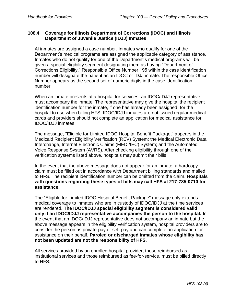# **108.4 Coverage for Illinois Department of Corrections (IDOC) and Illinois Department of Juvenile Justice (IDJJ) Inmates**

Al inmates are assigned a case number. Inmates who qualify for one of the Department's medical programs are assigned the applicable category of assistance. Inmates who do not qualify for one of the Department's medical programs will be given a special eligibility segment designating them as having "Department of Corrections Eligibility." Responsible Office Number 195 within the case identification number will designate the patient as an IDOC or IDJJ inmate. The responsible Office Number appears as the second set of numeric digits in the case identification number.

When an inmate presents at a hospital for services, an IDOC/IDJJ representative must accompany the inmate. The representative may give the hospital the recipient identification number for the inmate, if one has already been assigned, for the hospital to use when billing HFS. IDOC/IDJJ inmates are not issued regular medical cards and providers should not complete an application for medical assistance for IDOC/IDJJ inmates.

The message, "Eligible for Limited IDOC Hospital Benefit Package," appears in the Medicaid Recipient Eligibility Verification (REV) System; the Medical Electronic Data Interchange, Internet Electronic Claims (MEDI/IEC) System; and the Automated Voice Response System (AVRS). After checking eligibility through one of the verification systems listed above, hospitals may submit their bills.

In the event that the above message does not appear for an inmate, a hardcopy claim must be filled out in accordance with Department billing standards and mailed to HFS. The recipient identification number can be omitted from the claim. **Hospitals with questions regarding these types of bills may call HFS at 217-785-0710 for assistance.**

The "Eligible for Limited IDOC Hospital Benefit Package" message only extends medical coverage to inmates who are in custody of IDOC/IDJJ at the time services are rendered. **The IDOC/IDJJ special eligibility segment is considered valid only if an IDOC/IDJJ representative accompanies the person to the hospital.** In the event that an IDOC/IDJJ representative does not accompany an inmate but the above message appears in the eligibility verification system, hospital providers are to consider the person as private-pay or self-pay and can complete an application for assistance on their behalf. **Paroled or discharged inmates whose eligibility has not been updated are not the responsibility of HFS.**

All services provided by an enrolled hospital provider, those reimbursed as institutional services and those reimbursed as fee-for-service, must be billed directly to HFS.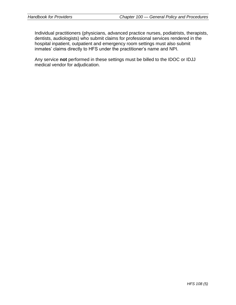Individual practitioners (physicians, advanced practice nurses, podiatrists, therapists, dentists, audiologists) who submit claims for professional services rendered in the hospital inpatient, outpatient and emergency room settings must also submit inmates' claims directly to HFS under the practitioner's name and NPI.

Any service **not** performed in these settings must be billed to the IDOC or IDJJ medical vendor for adjudication.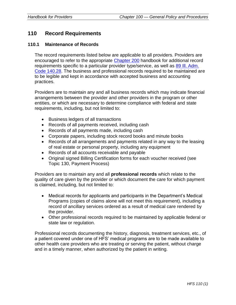# **110 Record Requirements**

### **110.1 Maintenance of Records**

The record requirements listed below are applicable to all providers. Providers are encouraged to refer to the appropriate [Chapter 200](https://www.illinois.gov/hfs/MedicalProviders/Handbooks/Pages/Chapter200.aspx) handbook for additional record requirements specific to a particular provider type/service, as well as 89 III. Adm. [Code 140.28.](http://www.ilga.gov/commission/jcar/admincode/089/089001400B00280R.html) The business and professional records required to be maintained are to be legible and kept in accordance with accepted business and accounting practices.

Providers are to maintain any and all business records which may indicate financial arrangements between the provider and other providers in the program or other entities, or which are necessary to determine compliance with federal and state requirements, including, but not limited to:

- Business ledgers of all transactions
- Records of all payments received, including cash
- Records of all payments made, including cash
- Corporate papers, including stock record books and minute books
- Records of all arrangements and payments related in any way to the leasing of real estate or personal property, including any equipment
- Records of all accounts receivable and payable
- Original signed Billing Certification forms for each voucher received (see Topic 130, Payment Process)

Providers are to maintain any and all **professional records** which relate to the quality of care given by the provider or which document the care for which payment is claimed, including, but not limited to:

- Medical records for applicants and participants in the Department's Medical Programs (copies of claims alone will not meet this requirement), including a record of ancillary services ordered as a result of medical care rendered by the provider.
- Other professional records required to be maintained by applicable federal or state law or regulation.

Professional records documenting the history, diagnosis, treatment services, etc., of a patient covered under one of HFS' medical programs are to be made available to other health care providers who are treating or serving the patient, without charge and in a timely manner, when authorized by the patient in writing.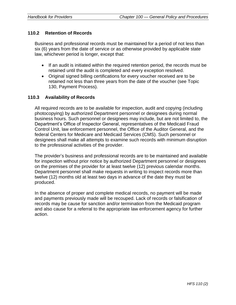### **110.2 Retention of Records**

Business and professional records must be maintained for a period of not less than six (6) years from the date of service or as otherwise provided by applicable state law, whichever period is longer, except that:

- If an audit is initiated within the required retention period, the records must be retained until the audit is completed and every exception resolved.
- Original signed billing certifications for every voucher received are to be retained not less than three years from the date of the voucher (see Topic 130, Payment Process).

### **110.3 Availability of Records**

All required records are to be available for inspection, audit and copying (including photocopying) by authorized Department personnel or designees during normal business hours. Such personnel or designees may include, but are not limited to, the Department's Office of Inspector General, representatives of the Medicaid Fraud Control Unit, law enforcement personnel, the Office of the Auditor General, and the federal Centers for Medicare and Medicaid Services (CMS). Such personnel or designees shall make all attempts to examine such records with minimum disruption to the professional activities of the provider.

The provider's business and professional records are to be maintained and available for inspection without prior notice by authorized Department personnel or designees on the premises of the provider for at least twelve (12) previous calendar months. Department personnel shall make requests in writing to inspect records more than twelve (12) months old at least two days in advance of the date they must be produced.

In the absence of proper and complete medical records, no payment will be made and payments previously made will be recouped. Lack of records or falsification of records may be cause for sanction and/or termination from the Medicaid program and also cause for a referral to the appropriate law enforcement agency for further action.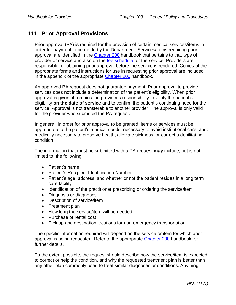# **111 Prior Approval Provisions**

Prior approval (PA) is required for the provision of certain medical services/items in order for payment to be made by the Department. Services/items requiring prior approval are identified in the [Chapter 200](https://www.illinois.gov/hfs/MedicalProviders/Handbooks/Pages/Chapter200.aspx) handbook that pertains to that type of provider or service and also on the [fee schedule](https://www.illinois.gov/hfs/MedicalProviders/MedicaidReimbursement/Pages/default.aspx) for the service. Providers are responsible for obtaining prior approval before the service is rendered. Copies of the appropriate forms and instructions for use in requesting prior approval are included in the appendix of the appropriate [Chapter 200](https://www.illinois.gov/hfs/MedicalProviders/Handbooks/Pages/Chapter200.aspx) handbook**.**

An approved PA request does not guarantee payment. Prior approval to provide services does not include a determination of the patient's eligibility. When prior approval is given, it remains the provider's responsibility to verify the patient's eligibility **on the date of service** and to confirm the patient's continuing need for the service. Approval is not transferable to another provider. The approval is only valid for the provider who submitted the PA request.

In general, in order for prior approval to be granted, items or services must be: appropriate to the patient's medical needs; necessary to avoid institutional care; and: medically necessary to preserve health, alleviate sickness, or correct a debilitating condition.

The information that must be submitted with a PA request **may** include, but is not limited to, the following:

- Patient's name
- Patient's Recipient Identification Number
- Patient's age, address, and whether or not the patient resides in a long term care facility
- Identification of the practitioner prescribing or ordering the service/item
- Diagnosis or diagnoses
- Description of service/item
- Treatment plan
- How long the service/item will be needed
- Purchase or rental cost
- Pick up and destination locations for non-emergency transportation

The specific information required will depend on the service or item for which prior approval is being requested. Refer to the appropriate [Chapter 200](https://www.illinois.gov/hfs/MedicalProviders/Handbooks/Pages/Chapter200.aspx) handbook for further details.

To the extent possible, the request should describe how the service/item is expected to correct or help the condition, and why the requested treatment plan is better than any other plan commonly used to treat similar diagnoses or conditions. Anything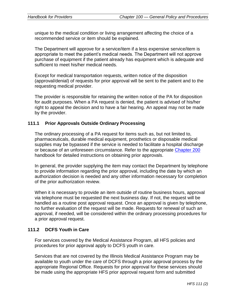unique to the medical condition or living arrangement affecting the choice of a recommended service or item should be explained.

The Department will approve for a service/item if a less expensive service/item is appropriate to meet the patient's medical needs. The Department will not approve purchase of equipment if the patient already has equipment which is adequate and sufficient to meet his/her medical needs.

Except for medical transportation requests, written notice of the disposition (approval/denial) of requests for prior approval will be sent to the patient and to the requesting medical provider.

The provider is responsible for retaining the written notice of the PA for disposition for audit purposes. When a PA request is denied, the patient is advised of his/her right to appeal the decision and to have a fair hearing. An appeal may not be made by the provider.

# **111.1 Prior Approvals Outside Ordinary Processing**

The ordinary processing of a PA request for items such as, but not limited to, pharmaceuticals, durable medical equipment, prosthetics or disposable medical supplies may be bypassed if the service is needed to facilitate a hospital discharge or because of an unforeseen circumstance. Refer to the appropriate [Chapter 200](https://www.illinois.gov/hfs/MedicalProviders/Handbooks/Pages/Chapter200.aspx) handbook for detailed instructions on obtaining prior approvals.

In general, the provider supplying the item may contact the Department by telephone to provide information regarding the prior approval, including the date by which an authorization decision is needed and any other information necessary for completion of the prior authorization review.

When it is necessary to provide an item outside of routine business hours, approval via telephone must be requested the next business day. If not, the request will be handled as a routine post approval request. Once an approval is given by telephone, no further evaluation of the request will be made. Requests for renewal of such an approval, if needed, will be considered within the ordinary processing procedures for a prior approval request.

### **111.2 DCFS Youth in Care**

For services covered by the Medical Assistance Program, all HFS policies and procedures for prior approval apply to DCFS youth in care.

Services that are not covered by the Illinois Medical Assistance Program may be available to youth under the care of DCFS through a prior approval process by the appropriate Regional Office. Requests for prior approval for these services should be made using the appropriate HFS prior approval request form and submitted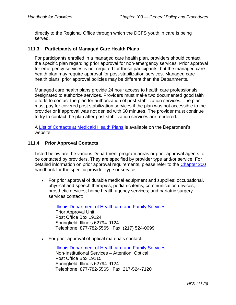directly to the Regional Office through which the DCFS youth in care is being served.

### **111.3 Participants of Managed Care Health Plans**

For participants enrolled in a managed care health plan, providers should contact the specific plan regarding prior approval for non-emergency services. Prior approval for emergency services is not required for these participants, but the managed care health plan may require approval for post-stabilization services. Managed care health plans' prior approval policies may be different than the Departments.

Managed care health plans provide 24 hour access to health care professionals designated to authorize services. Providers must make two documented good faith efforts to contact the plan for authorization of post-stabilization services. The plan must pay for covered post stabilization services if the plan was not accessible to the provider or if approval was not denied with 60 minutes. The provider must continue to try to contact the plan after post stabilization services are rendered.

A [List of Contacts at Medicaid Health Plans](https://www.illinois.gov/hfs/SiteCollectionDocuments/ContactListAllMCEs.pdf) is available on the Department's website.

### **111.4 Prior Approval Contacts**

Listed below are the various Department program areas or prior approval agents to be contacted by providers. They are specified by provider type and/or service. For detailed information on prior approval requirements, please refer to the [Chapter 200](https://www.illinois.gov/hfs/MedicalProviders/Handbooks/Pages/Chapter200.aspx) handbook for the specific provider type or service.

• For prior approval of durable medical equipment and supplies; occupational, physical and speech therapies; podiatric items; communication devices; prosthetic devices; home health agency services; and bariatric surgery services contact:

[Illinois Department of Healthcare and Family Services](https://www.illinois.gov/hfs/Pages/default.aspx) Prior Approval Unit Post Office Box 19124 Springfield, Illinois 62794-9124 Telephone: 877-782-5565 Fax: (217) 524-0099

• For prior approval of optical materials contact:

[Illinois Department of Healthcare and Family Services](https://www.illinois.gov/hfs/Pages/default.aspx) Non-Institutional Services – Attention: Optical Post Office Box 19115 Springfield, Illinois 62794-9124 Telephone: 877-782-5565 Fax: 217-524-7120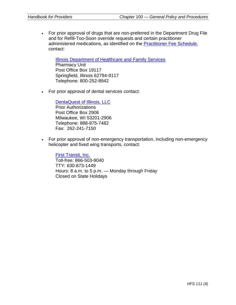• For prior approval of drugs that are non-preferred in the Department Drug File and for Refill-Too-Soon override requests and certain practitioner administered medications, as identified on the [Practitioner Fee Schedule,](https://www.illinois.gov/hfs/MedicalProviders/MedicaidReimbursement/FeeSchedule/Pages/default.aspx) contact:

[Illinois Department of Healthcare and Family Services](https://www.illinois.gov/hfs/Pages/default.aspx) Pharmacy Unit Post Office Box 19117 Springfield, Illinois 62794-9117 Telephone: 800-252-8942

• For prior approval of dental services contact:

[DentaQuest of Illinois, LLC](http://www.dentaquest.com/state-plans/regions/illinois/) Prior Authorizations Post Office Box 2906 Milwaukee, WI 53201-2906 Telephone: 888-875-7482 Fax: 262-241-7150

• For prior approval of non-emergency transportation, including non-emergency helicopter and fixed wing transports, contact:

[First Transit,](http://www.netspap.com/) Inc. Toll-free: 866-503-9040 TTY: 630-873-1449 Hours: 8 a.m. to 5 p.m. — Monday through Friday Closed on State Holidays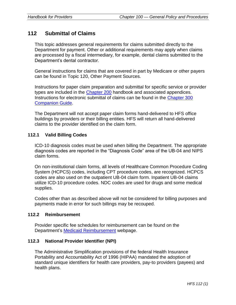# **112 Submittal of Claims**

This topic addresses general requirements for claims submitted directly to the Department for payment. Other or additional requirements may apply when claims are processed by a fiscal intermediary, for example, dental claims submitted to the Department's dental contractor.

General instructions for claims that are covered in part by Medicare or other payers can be found in Topic 120, Other Payment Sources.

Instructions for paper claim preparation and submittal for specific service or provider types are included in the [Chapter 200](https://www.illinois.gov/hfs/MedicalProviders/Handbooks/Pages/Chapter200.aspx) handbook and associated appendices. Instructions for electronic submittal of claims can be found in the [Chapter 300](https://www.illinois.gov/hfs/MedicalProviders/Handbooks/Pages/5010.aspx)  [Companion Guide.](https://www.illinois.gov/hfs/MedicalProviders/Handbooks/Pages/5010.aspx)

The Department will not accept paper claim forms hand-delivered to HFS office buildings by providers or their billing entities. HFS will return all hand-delivered claims to the provider identified on the claim form.

# **112.1 Valid Billing Codes**

ICD-10 diagnosis codes must be used when billing the Department. The appropriate diagnosis codes are reported in the "Diagnosis Code" area of the UB-04 and NIPS claim forms.

On non-institutional claim forms, all levels of Healthcare Common Procedure Coding System (HCPCS) codes, including CPT procedure codes, are recognized. HCPCS codes are also used on the outpatient UB-04 claim form. Inpatient UB-04 claims utilize ICD-10 procedure codes. NDC codes are used for drugs and some medical supplies.

Codes other than as described above will not be considered for billing purposes and payments made in error for such billings may be recouped.

### **112.2 Reimbursement**

Provider specific fee schedules for reimbursement can be found on the Department's [Medicaid Reimbursement](https://www.illinois.gov/hfs/MedicalProviders/MedicaidReimbursement/Pages/default.aspx) webpage.

### **112.3 National Provider Identifier (NPI)**

The Administrative Simplification provisions of the federal Health Insurance Portability and Accountability Act of 1996 (HIPAA) mandated the adoption of standard unique identifiers for health care providers, pay-to providers (payees) and health plans.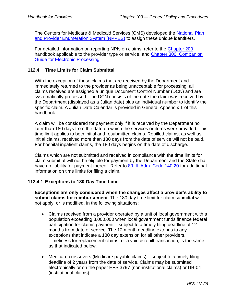The Centers for Medicare & Medicaid Services (CMS) developed the [National Plan](https://nppes.cms.hhs.gov/NPPES/Welcome.do)  and Provider [Enumeration System \(NPPES\)](https://nppes.cms.hhs.gov/NPPES/Welcome.do) to assign these unique identifiers.

For detailed information on reporting NPIs on claims, refer to the [Chapter 200](https://www.illinois.gov/hfs/MedicalProviders/Handbooks/Pages/Chapter200.aspx) handbook applicable to the provider type or service, and Chapter [300, Companion](https://www.illinois.gov/hfs/MedicalProviders/Handbooks/Pages/5010.aspx)  [Guide for Electronic Processing.](https://www.illinois.gov/hfs/MedicalProviders/Handbooks/Pages/5010.aspx)

### **112.4 Time Limits for Claim Submittal**

With the exception of those claims that are received by the Department and immediately returned to the provider as being unacceptable for processing, all claims received are assigned a unique Document Control Number (DCN) and are systematically processed. The DCN consists of the date the claim was received by the Department (displayed as a Julian date) plus an individual number to identify the specific claim. A Julian Date Calendar is provided in General Appendix 1 of this handbook.

A claim will be considered for payment only if it is received by the Department no later than 180 days from the date on which the services or items were provided. This time limit applies to both initial and resubmitted claims. Rebilled claims, as well as initial claims, received more than 180 days from the date of service will not be paid. For hospital inpatient claims, the 180 days begins on the date of discharge.

Claims which are not submitted and received in compliance with the time limits for claim submittal will not be eligible for payment by the Department and the State shall have no liability for payment thereof. Refer to 89 III. Adm. Code 140.20 for additional information on time limits for filing a claim.

#### **112.4.1 Exceptions to 180-Day Time Limit**

**Exceptions are only considered when the changes affect a provider's ability to submit claims for reimbursement**. The 180 day time limit for claim submittal will not apply, or is modified, in the following situations:

- Claims received from a provider operated by a unit of local government with a population exceeding 3,000,000 when local government funds finance federal participation for claims payment – subject to a timely filing deadline of 12 months from date of service. The 12 month deadline extends to any exceptions that indicate a 180 day extension for all other providers. Timeliness for replacement claims, or a void & rebill transaction, is the same as that indicated below.
- Medicare crossovers (Medicare payable claims) subject to a timely filing deadline of 2 years from the date of service. Claims may be submitted electronically or on the paper HFS 3797 (non-institutional claims) or UB-04 (institutional claims).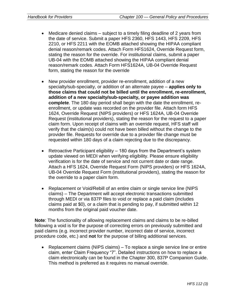- Medicare denied claims subject to a timely filing deadline of 2 years from the date of service. Submit a paper HFS 2360, HFS 1443, HFS 2209, HFS 2210, or HFS 2211 with the EOMB attached showing the HIPAA compliant denial reason/remark codes. Attach Form HFS1624, Override Request form, stating the reason for the override. For institutional claims, submit a paper UB-04 with the EOMB attached showing the HIPAA compliant denial reason/remark codes. Attach Form HFS1624A, UB-04 Override Request form, stating the reason for the override
- New provider enrollment, provider re-enrollment, addition of a new specialty/sub-specialty, or addition of an alternate payee – **applies only to those claims that could not be billed until the enrollment, re-enrollment, addition of a new specialty/sub-specialty, or payee addition was complete**. The 180 day period shall begin with the date the enrollment, reenrollment, or update was recorded on the provider file. Attach form HFS 1624, Override Request (NIPS providers) or HFS 1624A, UB-04 Override Request (institutional providers), stating the reason for the request to a paper claim form. Upon receipt of claims with an override request, HFS staff will verify that the claim(s) could not have been billed without the change to the provider file. Requests for override due to a provider file change must be requested within 180 days of a claim rejecting due to the discrepancy.
- Retroactive Participant eligibility 180 days from the Department's system update viewed on MEDI when verifying eligibility. Please ensure eligibility verification is for the date of service and not current date or date range. Attach a HFS 1624, Override Request Form (NIPS providers) or HFS 1624A, UB-04 Override Request Form (institutional providers), stating the reason for the override to a paper claim form.
- Replacement or Void/Rebill of an entire claim or single service line (NIPS claims) – The Department will accept electronic transactions submitted through MEDI or via 837P files to void or replace a paid claim (includes claims paid at \$0), or a claim that is pending to pay, if submitted within 12 months from the original paid voucher date.

**Note**: The functionality of allowing replacement claims and claims to be re-billed following a void is for the purpose of correcting errors on previously submitted and paid claims (e.g. incorrect provider number, incorrect date of service, incorrect procedure code, etc.) and **not** for the purpose of billing additional services.

• Replacement claims (NIPS claims) – To replace a single service line or entire claim, enter Claim Frequency "7". Detailed instructions on how to replace a claim electronically can be found in the Chapter 300, 837P Companion Guide. This method is preferred as it requires no manual override.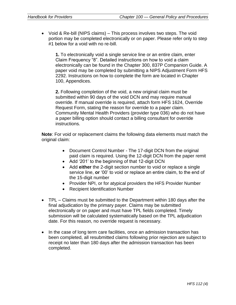• Void & Re-bill (NIPS claims) – This process involves two steps. The void portion may be completed electronically or on paper. Please refer only to step #1 below for a void with no re-bill.

**1.** To electronically void a single service line or an entire claim, enter Claim Frequency "8". Detailed instructions on how to void a claim electronically can be found in the Chapter 300, 837P Companion Guide. A paper void may be completed by submitting a NIPS Adjustment Form HFS 2292. Instructions on how to complete the form are located in Chapter 100, Appendices.

**2.** Following completion of the void, a new original claim must be submitted within 90 days of the void DCN and may require manual override. If manual override is required, attach form HFS 1624, Override Request Form, stating the reason for override to a paper claim. Community Mental Health Providers (provider type 036) who do not have a paper billing option should contact a billing consultant for override instructions.

**Note**: For void or replacement claims the following data elements must match the original claim:

- Document Control Number The 17-digit DCN from the original paid claim is required. Using the 12-digit DCN from the paper remit
- Add '201' to the beginning of that 12-digit DCN
- Add **either** the 2-digit section number to void or replace a single service line, **or** '00' to void or replace an entire claim, to the end of the 15-digit number
- Provider NPI, or for atypical providers the HFS Provider Number
- Recipient Identification Number
- TPL Claims must be submitted to the Department within 180 days after the final adjudication by the primary payer. Claims may be submitted electronically or on paper and must have TPL fields completed. Timely submission will be calculated systematically based on the TPL adjudication date. For this reason, no override request is necessary.
- In the case of long term care facilities, once an admission transaction has been completed, all resubmitted claims following prior rejection are subject to receipt no later than 180 days after the admission transaction has been completed.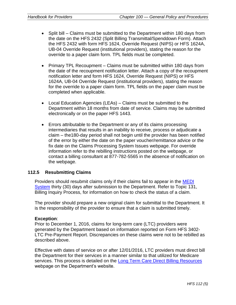- Split bill Claims must be submitted to the Department within 180 days from the date on the HFS 2432 (Split Billing Transmittal/Spenddown Form). Attach the HFS 2432 with form HFS 1624, Override Request (NIPS) or HFS 1624A, UB-04 Override Request (institutional providers), stating the reason for the override to a paper claim form. TPL fields must be completed.
- Primary TPL Recoupment Claims must be submitted within 180 days from the date of the recoupment notification letter. Attach a copy of the recoupment notification letter and form HFS 1624, Override Request (NIPS) or HFS 1624A, UB-04 Override Request (institutional providers), stating the reason for the override to a paper claim form. TPL fields on the paper claim must be completed when applicable.
- Local Education Agencies (LEAs) Claims must be submitted to the Department within 18 months from date of service. Claims may be submitted electronically or on the paper HFS 1443.
- Errors attributable to the Department or any of its claims processing intermediaries that results in an inability to receive, process or adjudicate a claim – the180-day period shall not begin until the provider has been notified of the error by either the date on the paper voucher/remittance advice or the fix date on the Claims Processing System Issues webpage. For override information refer to the rebilling instructions posted on the webpage, or contact a billing consultant at 877-782-5565 in the absence of notification on the webpage.

### **112.5 Resubmitting Claims**

Providers should resubmit claims only if their claims fail to appear in the [MEDI](https://www.illinois.gov/hfs/MedicalProviders/EDI/medi/Pages/default.aspx)  [System](https://www.illinois.gov/hfs/MedicalProviders/EDI/medi/Pages/default.aspx) thirty (30) days after submission to the Department. Refer to Topic 131, Billing Inquiry Process, for information on how to check the status of a claim.

The provider should prepare a new original claim for submittal to the Department. It is the responsibility of the provider to ensure that a claim is submitted timely.

#### **Exception**:

Prior to December 1, 2016, claims for long-term care (LTC) providers were generated by the Department based on information reported on Form HFS 3402- LTC Pre-Payment Report. Discrepancies on these claims were not to be rebilled as described above.

Effective with dates of service on or after 12/01/2016, LTC providers must direct bill the Department for their services in a manner similar to that utilized for Medicare services. This process is detailed on the [Long Term Care Direct Billing Resources](https://www.illinois.gov/hfs/MedicalProviders/ltss/Pages/LongTermCareDirectBilling.aspx) webpage on the Department's website.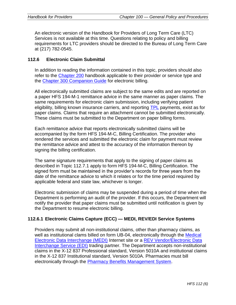An electronic version of the Handbook for Providers of Long Term Care (LTC) Services is not available at this time. Questions relating to policy and billing requirements for LTC providers should be directed to the Bureau of Long Term Care at (217) 782-0545.

## **112.6 Electronic Claim Submittal**

In addition to reading the information contained in this topic, providers should also refer to the [Chapter 200](https://www.illinois.gov/hfs/MedicalProviders/Handbooks/Pages/Chapter200.aspx) handbook applicable to their provider or service type and the [Chapter 300 Companion Guide](https://www.illinois.gov/hfs/MedicalProviders/Handbooks/Pages/5010.aspx) for electronic billing.

All electronically submitted claims are subject to the same edits and are reported on a paper HFS 194-M-1 remittance advice in the same manner as paper claims. The same requirements for electronic claim submission, including verifying patient eligibility, billing known insurance carriers, and reporting [TPL](https://www.illinois.gov/hfs/SiteCollectionDocuments/TPLCodes082416.pdf) payments, exist as for paper claims. Claims that require an attachment cannot be submitted electronically. These claims must be submitted to the Department on paper billing forms.

Each remittance advice that reports electronically submitted claims will be accompanied by the form HFS 194-M-C, Billing Certification. The provider who rendered the services and submitted the electronic claim for payment must review the remittance advice and attest to the accuracy of the information thereon by signing the billing certification.

The same signature requirements that apply to the signing of paper claims as described in Topic 112.7.1 apply to form HFS 194-M-C, Billing Certification. The signed form must be maintained in the provider's records for three years from the date of the remittance advice to which it relates or for the time period required by applicable federal and state law, whichever is longer.

Electronic submission of claims may be suspended during a period of time when the Department is performing an audit of the provider. If this occurs, the Department will notify the provider that paper claims must be submitted until notification is given by the Department to resume electronic billing.

### **112.6.1 Electronic Claims Capture (ECC) — MEDI, REV/EDI Service Systems**

Providers may submit all non-institutional claims, other than pharmacy claims, as well as institutional clams billed on form UB-04, electronically through the Medical [Electronic Data Interchange \(MEDI\)](https://www.illinois.gov/hfs/MedicalProviders/EDI/medi/Pages/default.aspx) Internet site or a [REV Vendor/Electronic Data](https://www.illinois.gov/hfs/medicalproviders/rev/Pages/default.aspx)  [Interchange Service \(EDI\)](https://www.illinois.gov/hfs/medicalproviders/rev/Pages/default.aspx) trading partner. The Department accepts non-institutional claims in the X-12 837 Professional standard, Version 5010A and institutional claims in the X-12 837 Institutional standard, Version 5010A. Pharmacies must bill electronically through the [Pharmacy Benefits Management System.](https://www.illinois.gov/hfs/MedicalProviders/Pharmacy/illinoisrx/Pages/default.aspx)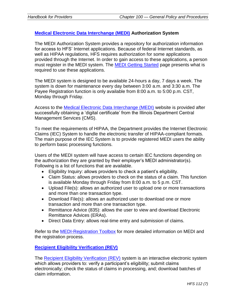# **[Medical Electronic Data Interchange \(MEDI\)](https://www.illinois.gov/hfs/MedicalProviders/EDI/medi/Pages/default.aspx) Authorization System**

The MEDI Authorization System provides a repository for authorization information for access to HFS' Internet applications. Because of federal Internet standards, as well as HIPAA regulations, HFS requires authorization for some applications provided through the Internet. In order to gain access to these applications, a person must register in the MEDI system. The **MEDI Getting Started** page presents what is required to use these applications.

The MEDI system is designed to be available 24-hours a day, 7 days a week. The system is down for maintenance every day between 3:00 a.m. and 3:30 a.m. The Payee Registration function is only available from 8:00 a.m. to 5:00 p.m. CST, Monday through Friday.

Access to the [Medical Electronic Data Interchange \(MEDI\)](https://www.illinois.gov/hfs/MedicalProviders/EDI/medi/Pages/default.aspx) website is provided after successfully obtaining a 'digital certificate' from the Illinois Department Central Management Services (CMS).

To meet the requirements of HIPAA, the Department provides the Internet Electronic Claims (IEC) System to handle the electronic transfer of HIPAA-compliant formats. The main purpose of the IEC System is to provide registered MEDI users the ability to perform basic processing functions.

Users of the MEDI system will have access to certain IEC functions depending on the authorization they are granted by their employer's MEDI administrator(s). Following is a list of functions that are available.

- Eligibility Inquiry: allows providers to check a patient's eligibility.
- Claim Status: allows providers to check on the status of a claim. This function is available Monday through Friday from 8:00 a.m. to 5 p.m. CST.
- Upload File(s): allows an authorized user to upload one or more transactions and more than one transaction type.
- Download File(s): allows an authorized user to download one or more transaction and more than one transaction type.
- Remittance Advice (835): allows the user to view and download Electronic Remittance Advices (ERAs).
- Direct Data Entry: allows real-time entry and submission of claims.

Refer to the [MEDI-Registration Toolbox](https://www.illinois.gov/hfs/sitecollectiondocuments/meditoolbox.pdf) for more detailed information on MEDI and the registration process.

# **[Recipient Eligibility Verification \(REV\)](https://www.illinois.gov/hfs/medicalproviders/rev/Pages/default.aspx)**

The [Recipient Eligibility Verification \(REV\)](https://www.illinois.gov/hfs/medicalproviders/rev/Pages/default.aspx) system is an interactive electronic system which allows providers to: verify a participant's eligibility; submit claims electronically; check the status of claims in processing, and; download batches of claim information.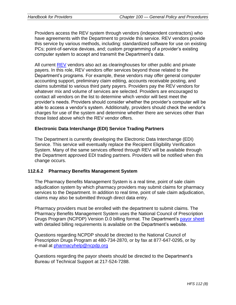Providers access the REV system through vendors (independent contractors) who have agreements with the Department to provide this service. REV vendors provide this service by various methods, including: standardized software for use on existing PCs; point-of-service devices, and; custom programming of a provider's existing computer system to accept and transmit the Department's data.

All current [REV](https://www.illinois.gov/hfs/medicalproviders/rev/Pages/default.aspx) vendors also act as clearinghouses for other public and private payers. In this role, REV vendors offer services beyond those related to the Department's programs. For example, these vendors may offer general computer accounting support, preliminary claim editing, accounts receivable posting, and claims submittal to various third party payers. Providers pay the REV vendors for whatever mix and volume of services are selected. Providers are encouraged to contact all vendors on the list to determine which vendor will best meet the provider's needs. Providers should consider whether the provider's computer will be able to access a vendor's system. Additionally, providers should check the vendor's charges for use of the system and determine whether there are services other than those listed above which the REV vendor offers.

### **Electronic Data Interchange (EDI) Service Trading Partners**

The Department is currently developing the Electronic Data Interchange (EDI) Service. This service will eventually replace the Recipient Eligibility Verification System. Many of the same services offered through REV will be available through the Department approved EDI trading partners. Providers will be notified when this change occurs.

#### **112.6.2 Pharmacy Benefits Management System**

The Pharmacy Benefits Management System is a real time, point of sale claim adjudication system by which pharmacy providers may submit claims for pharmacy services to the Department. In addition to real time, point of sale claim adjudication, claims may also be submitted through direct data entry.

Pharmacy providers must be enrolled with the department to submit claims. The Pharmacy Benefits Management System uses the National Council of Prescription Drugs Program (NCPDP) Version D.0 billing format. The Department's [payor sheet](https://www.illinois.gov/hfs/MedicalProviders/Pharmacy/illinoisrx/Pages/PayorSheet.aspx) with detailed billing requirements is available on the Department's website.

Questions regarding NCPDP should be directed to the National Council of Prescription Drugs Program at 480-734-2870, or by fax at 877-647-0295, or by e-mail at [pharmacyhelp@ncpdp.org](mailto:pharmacyhelp@ncpdp.org) 

Questions regarding the payor sheets should be directed to the Department's Bureau of Technical Support at 217-524-7288.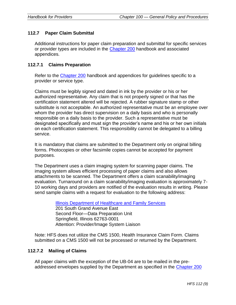# **112.7 Paper Claim Submittal**

Additional instructions for paper claim preparation and submittal for specific services or provider types are included in the [Chapter 200](https://www.illinois.gov/hfs/MedicalProviders/Handbooks/Pages/Chapter200.aspx) handbook and associated appendices.

### **112.7.1 Claims Preparation**

Refer to the [Chapter 200](https://www.illinois.gov/hfs/MedicalProviders/Handbooks/Pages/Chapter200.aspx) handbook and appendices for guidelines specific to a provider or service type.

Claims must be legibly signed and dated in ink by the provider or his or her authorized representative. Any claim that is not properly signed or that has the certification statement altered will be rejected. A rubber signature stamp or other substitute is not acceptable. An authorized representative must be an employee over whom the provider has direct supervision on a daily basis and who is personally responsible on a daily basis to the provider. Such a representative must be designated specifically and must sign the provider's name and his or her own initials on each certification statement. This responsibility cannot be delegated to a billing service.

It is mandatory that claims are submitted to the Department only on original billing forms. Photocopies or other facsimile copies cannot be accepted for payment purposes.

The Department uses a claim imaging system for scanning paper claims. The imaging system allows efficient processing of paper claims and also allows attachments to be scanned. The Department offers a claim scanability/imaging evaluation. Turnaround on a claim scanability/imaging evaluation is approximately 7- 10 working days and providers are notified of the evaluation results in writing. Please send sample claims with a request for evaluation to the following address:

> [Illinois Department of Healthcare and Family Services](https://www.illinois.gov/hfs/Pages/default.aspx) 201 South Grand Avenue East Second Floor—Data Preparation Unit Springfield, Illinois 62763-0001 Attention: Provider/Image System Liaison

Note: HFS does not utilize the CMS 1500, Health Insurance Claim Form. Claims submitted on a CMS 1500 will not be processed or returned by the Department.

# **112.7.2 Mailing of Claims**

All paper claims with the exception of the UB-04 are to be mailed in the preaddressed envelopes supplied by the Department as specified in the [Chapter 200](https://www.illinois.gov/hfs/MedicalProviders/Handbooks/Pages/Chapter200.aspx)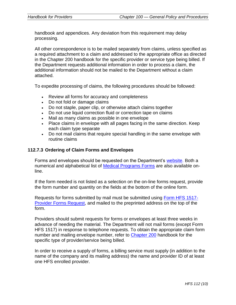handbook and appendices. Any deviation from this requirement may delay processing.

All other correspondence is to be mailed separately from claims, unless specified as a required attachment to a claim and addressed to the appropriate office as directed in the Chapter 200 handbook for the specific provider or service type being billed. If the Department requests additional information in order to process a claim, the additional information should not be mailed to the Department without a claim attached.

To expedite processing of claims, the following procedures should be followed:

- Review all forms for accuracy and completeness
- Do not fold or damage claims
- Do not staple, paper clip, or otherwise attach claims together
- Do not use liquid correction fluid or correction tape on claims
- Mail as many claims as possible in one envelope
- Place claims in envelope with all pages facing in the same direction. Keep each claim type separate
- Do not mail claims that require special handling in the same envelope with routine claims

# **112.7.3 Ordering of Claim Forms and Envelopes**

Forms and envelopes should be requested on the Department's [website.](http://www.illinois.gov/hfs/Pages/default.aspx) Both a numerical and alphabetical list of [Medical Programs Forms](https://www.illinois.gov/hfs/info/Brochures%20and%20Forms/Pages/medicalforms.aspx) are also available online.

If the form needed is not listed as a selection on the on-line forms request, provide the form number and quantity on the fields at the bottom of the online form.

Requests for forms submitted by mail must be submitted using [Form HFS 1517-](https://www.illinois.gov/hfs/SiteCollectionDocuments/hfs1517.pdf) [Provider Forms Request,](https://www.illinois.gov/hfs/SiteCollectionDocuments/hfs1517.pdf) and mailed to the preprinted address on the top of the form.

Providers should submit requests for forms or envelopes at least three weeks in advance of needing the material. The Department will not mail forms (except Form HFS 1517) in response to telephone requests. To obtain the appropriate claim form number and mailing envelope number, refer to [Chapter 200](https://www.illinois.gov/hfs/MedicalProviders/Handbooks/Pages/Chapter200.aspx) handbook for the specific type of provider/service being billed.

In order to receive a supply of forms, a billing service must supply (in addition to the name of the company and its mailing address) the name and provider ID of at least one HFS enrolled provider.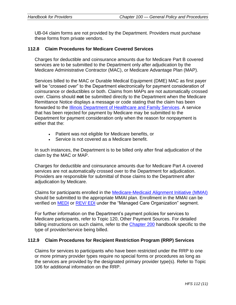UB-04 claim forms are not provided by the Department. Providers must purchase these forms from private vendors.

### **112.8 Claim Procedures for Medicare Covered Services**

Charges for deductible and coinsurance amounts due for Medicare Part B covered services are to be submitted to the Department only after adjudication by the Medicare Administrative Contractor (MAC), or Medicare Advantage Plan (MAP).

Services billed to the MAC or Durable Medical Equipment (DME) MAC as first payer will be "crossed over" to the Department electronically for payment consideration of coinsurance or deductibles or both. Claims from MAPs are not automatically crossed over. Claims should **not** be submitted directly to the Department when the Medicare Remittance Notice displays a message or code stating that the claim has been forwarded to the **Illinois Department of Healthcare and Family Services**. A service that has been rejected for payment by Medicare may be submitted to the Department for payment consideration only when the reason for nonpayment is either that the:

- Patient was not eligible for Medicare benefits, or
- Service is not covered as a Medicare benefit.

In such instances, the Department is to be billed only after final adjudication of the claim by the MAC or MAP.

Charges for deductible and coinsurance amounts due for Medicare Part A covered services are not automatically crossed over to the Department for adjudication. Providers are responsible for submittal of those claims to the Department after adjudication by Medicare.

Claims for participants enrolled in the [Medicare-Medicaid Alignment Initiative \(MMAI\)](file:///C:/Users/Pam.Gray/AppData/Local/Microsoft/Windows/Temporary%20Internet%20Files/Content.Outlook/XNWOFY0Q/Medicare-Medicaid%20Alignment%20Initiative%20(MMAI)) should be submitted to the appropriate MMAI plan. Enrollment in the MMAI can be verified on [MEDI](https://www.illinois.gov/hfs/MedicalProviders/EDI/medi/Pages/default.aspx) or [REV/](https://www.illinois.gov/hfs/medicalproviders/rev/Pages/default.aspx) EDI under the "Managed Care Organization" segment.

For further information on the Department's payment policies for services to Medicare participants, refer to Topic 120, Other Payment Sources. For detailed billing instructions on such claims, refer to the [Chapter 200](https://www.illinois.gov/hfs/MedicalProviders/Handbooks/Pages/Chapter200.aspx) handbook specific to the type of provider/service being billed.

### **112.9 Claim Procedures for Recipient Restriction Program (RRP) Services**

Claims for services to participants who have been restricted under the RRP to one or more primary provider types require no special forms or procedures as long as the services are provided by the designated primary provider type(s). Refer to Topic 106 for additional information on the RRP.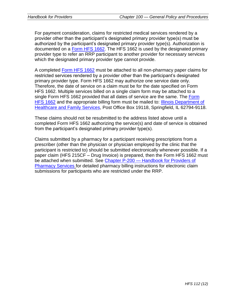For payment consideration, claims for restricted medical services rendered by a provider other than the participant's designated primary provider type(s) must be authorized by the participant's designated primary provider type(s). Authorization is documented on a [Form HFS 1662.](https://www.illinois.gov/hfs/SiteCollectionDocuments/hfs1662.pdf) The HFS 1662 is used by the designated primary provider type to refer an RRP participant to another provider for necessary services which the designated primary provider type cannot provide.

A completed [Form HFS 1662](https://www.illinois.gov/hfs/SiteCollectionDocuments/hfs1662.pdf) must be attached to all non-pharmacy paper claims for restricted services rendered by a provider other than the participant's designated primary provider type. Form HFS 1662 may authorize one service date only. Therefore, the date of service on a claim must be for the date specified on Form HFS 1662. Multiple services billed on a single claim form may be attached to a single Form HFS 1662 provided that all dates of service are the same. The [Form](https://www.illinois.gov/hfs/SiteCollectionDocuments/hfs1662.pdf)  [HFS 1662](https://www.illinois.gov/hfs/SiteCollectionDocuments/hfs1662.pdf) and the appropriate billing form must be mailed to: [Illinois Department of](https://www.illinois.gov/hfs/Pages/default.aspx)  [Healthcare and Family Services,](https://www.illinois.gov/hfs/Pages/default.aspx) Post Office Box 19118, Springfield, IL 62794-9118.

These claims should not be resubmitted to the address listed above until a completed Form HFS 1662 authorizing the service(s) and date of service is obtained from the participant's designated primary provider type(s).

Claims submitted by a pharmacy for a participant receiving prescriptions from a prescriber (other than the physician or physician employed by the clinic that the participant is restricted to) should be submitted electronically whenever possible. If a paper claim (HFS 215CF – Drug Invoice) is prepared, then the Form HFS 1662 must be attached when submitted. See Chapter P-200 - Handbook for Providers of [Pharmacy Services](https://www.illinois.gov/hfs/SiteCollectionDocuments/p200.pdf) for detailed pharmacy billing instructions for electronic claim submissions for participants who are restricted under the RRP.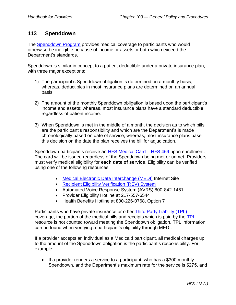# **113 Spenddown**

The [Spenddown Program](https://www.illinois.gov/hfs/info/Brochures%20and%20Forms/Brochures/Pages/HFS591SP.aspx) provides medical coverage to participants who would otherwise be ineligible because of income or assets or both which exceed the Department's standards.

Spenddown is similar in concept to a patient deductible under a private insurance plan, with three major exceptions:

- 1) The participant's Spenddown obligation is determined on a monthly basis; whereas, deductibles in most insurance plans are determined on an annual basis.
- 2) The amount of the monthly Spenddown obligation is based upon the participant's income and assets; whereas, most insurance plans have a standard deductible regardless of patient income.
- 3) When Spenddown is met in the middle of a month, the decision as to which bills are the participant's responsibility and which are the Department's is made chronologically based on date of service; whereas, most insurance plans base this decision on the date the plan receives the bill for adjudication.

Spenddown participants receive an [HFS Medical Card](https://www.illinois.gov/hfs/medicalclients/medicalcard/Pages/default.aspx) – HFS 469 upon enrollment. The card will be issued regardless of the Spenddown being met or unmet. Providers must verify medical eligibility for **each date of service**. Eligibility can be verified using one of the following resources:

- [Medical Electronic Data Interchange \(MEDI\)](https://www.illinois.gov/hfs/MedicalProviders/EDI/medi/Pages/default.aspx) Internet Site
- [Recipient Eligibility Verification \(REV\) System](https://www.illinois.gov/hfs/medicalproviders/rev/Pages/default.aspx)
- Automated Voice Response System (AVRS) 800-842-1461
- Provider Eligibility Hotline at 217-557-6544
- Health Benefits Hotline at 800-226-0768, Option 7

Participants who have private insurance or other **Third Party Liability (TPL)** coverage, the portion of the medical bills and receipts which is paid by the [TPL](https://www.illinois.gov/hfs/SiteCollectionDocuments/TPLCodes082416.pdf) resource is not counted toward meeting the Spenddown obligation. TPL information can be found when verifying a participant's eligibility through MEDI.

If a provider accepts an individual as a Medicaid participant, all medical charges up to the amount of the Spenddown obligation is the participant's responsibility. For example:

• If a provider renders a service to a participant, who has a \$300 monthly Spenddown, and the Department's maximum rate for the service is \$275, and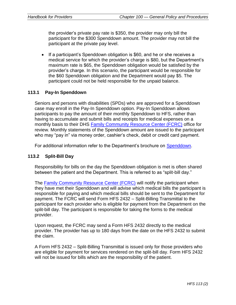the provider's private pay rate is \$350, the provider may only bill the participant for the \$300 Spenddown amount. The provider may not bill the participant at the private pay level.

• If a participant's Spenddown obligation is \$60, and he or she receives a medical service for which the provider's charge is \$80, but the Department's maximum rate is \$65, the Spenddown obligation would be satisfied by the provider's charge. In this scenario, the participant would be responsible for the \$60 Spenddown obligation and the Department would pay \$5. The participant could not be held responsible for the unpaid balance.

### **113.1 Pay-In Spenddown**

Seniors and persons with disabilities (SPDs) who are approved for a Spenddown case may enroll in the Pay-In Spenddown option. Pay-In Spenddown allows participants to pay the amount of their monthly Spenddown to HFS, rather than having to accumulate and submit bills and receipts for medical expenses on a monthly basis to their DHS [Family Community Resource Center \(FCRC\)](http://www.dhs.state.il.us/page.aspx?module=12&officetype=&county=) office for review. Monthly statements of the Spenddown amount are issued to the participant who may "pay in" via money order, cashier's check, debit or credit card payment.

For additional information refer to the Department's brochure on [Spenddown.](https://www.illinois.gov/hfs/info/Brochures%20and%20Forms/Brochures/Pages/HFS591SP.aspx)

### **113.2 Split-Bill Day**

Responsibility for bills on the day the Spenddown obligation is met is often shared between the patient and the Department. This is referred to as "split-bill day."

The [Family Community Resource Center \(FCRC\)](http://www.dhs.state.il.us/page.aspx?module=12&officetype=&county=) will notify the participant when they have met their Spenddown and will advise which medical bills the participant is responsible for paying and which medical bills should be sent to the Department for payment. The FCRC will send Form HFS 2432 – Split-Billing Transmittal to the participant for each provider who is eligible for payment from the Department on the split-bill day. The participant is responsible for taking the forms to the medical provider.

Upon request, the FCRC may send a Form HFS 2432 directly to the medical provider. The provider has up to 180 days from the date on the HFS 2432 to submit the claim.

A Form HFS 2432 – Split-Billing Transmittal is issued only for those providers who are eligible for payment for services rendered on the split-bill day. Form HFS 2432 will not be issued for bills which are the responsibility of the patient.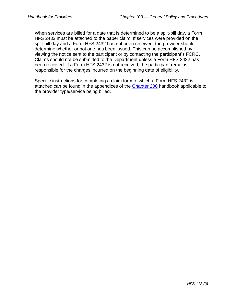When services are billed for a date that is determined to be a split-bill day, a Form HFS 2432 must be attached to the paper claim. If services were provided on the split-bill day and a Form HFS 2432 has not been received, the provider should determine whether or not one has been issued. This can be accomplished by viewing the notice sent to the participant or by contacting the participant's FCRC. Claims should not be submitted to the Department unless a Form HFS 2432 has been received. If a Form HFS 2432 is not received, the participant remains responsible for the charges incurred on the beginning date of eligibility.

Specific instructions for completing a claim form to which a Form HFS 2432 is attached can be found in the appendices of the [Chapter 200](https://www.illinois.gov/hfs/MedicalProviders/Handbooks/Pages/Chapter200.aspx) handbook applicable to the provider type/service being billed.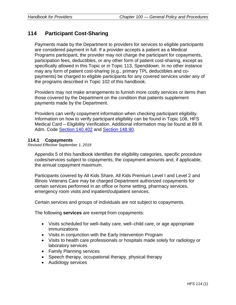# **114 Participant Cost-Sharing**

Payments made by the Department to providers for services to eligible participants are considered payment in full. If a provider accepts a patient as a Medical Programs participant, the provider may not charge the participant for copayments, participation fees, deductibles, or any other form of patient cost-sharing, except as specifically allowed in this Topic or in Topic 113, Spenddown. In no other instance may any form of patient cost-sharing (e.g., primary TPL deductibles and copayments) be charged to eligible participants for any covered services under any of the programs described in Topic 102 of this handbook.

Providers may not make arrangements to furnish more costly services or items than those covered by the Department on the condition that patients supplement payments made by the Department.

Providers can verify copayment information when checking participant eligibility. Information on how to verify participant eligibility can be found in Topic 108, HFS Medical Card – Eligibility Verification. Additional information may be found at 89 Ill. Adm. Code [Section 140.402](http://www.ilga.gov/commission/jcar/admincode/089/089001400D04020R.html) and [Section 148.90.](http://www.ilga.gov/commission/jcar/admincode/089/089001480B01900R.html)

### **114.1 Copayments**

*Revised Effective September 1, 2019*

Appendix 5 of this handbook identifies the eligibility categories, specific procedure codes/services subject to copayments, the copayment amounts and, if applicable, the annual copayment maximum.

Participants covered by All Kids Share, All Kids Premium Level I and Level 2 and Illinois Veterans Care may be charged Department authorized copayments for certain services performed in an office or home setting, pharmacy services, emergency room visits and inpatient/outpatient services.

Certain services and groups of individuals are not subject to copayments.

The following **services** are exempt from copayments:

- Visits scheduled for well–baby care, well–child care, or age appropriate immunizations
- Visits in conjunction with the Early Intervention Program
- Visits to health care professionals or hospitals made solely for radiology or laboratory services
- Family Planning services
- Speech therapy, occupational therapy, physical therapy
- Audiology services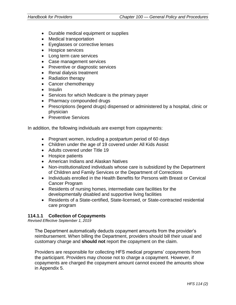- Durable medical equipment or supplies
- Medical transportation
- Eyeglasses or corrective lenses
- Hospice services
- Long term care services
- Case management services
- Preventive or diagnostic services
- Renal dialysis treatment
- Radiation therapy
- Cancer chemotherapy
- Insulin
- Services for which Medicare is the primary payer
- Pharmacy compounded drugs
- Prescriptions (legend drugs) dispensed or administered by a hospital, clinic or physician
- Preventive Services

In addition, the following individuals are exempt from copayments:

- Pregnant women, including a postpartum period of 60 days
- Children under the age of 19 covered under All Kids Assist
- Adults covered under Title 19
- Hospice patients
- American Indians and Alaskan Natives
- Non-institutionalized individuals whose care is subsidized by the Department of Children and Family Services or the Department of Corrections
- Individuals enrolled in the Health Benefits for Persons with Breast or Cervical Cancer Program
- Residents of nursing homes, intermediate care facilities for the developmentally disabled and supportive living facilities
- Residents of a State-certified, State-licensed, or State-contracted residential care program

### **114.1.1 Collection of Copayments**

*Revised Effective September 1, 2019*

The Department automatically deducts copayment amounts from the provider's reimbursement. When billing the Department, providers should bill their usual and customary charge and **should not** report the copayment on the claim.

Providers are responsible for collecting HFS medical programs' copayments from the participant. Providers may choose not to charge a copayment. However, if copayments are charged the copayment amount cannot exceed the amounts show in Appendix 5.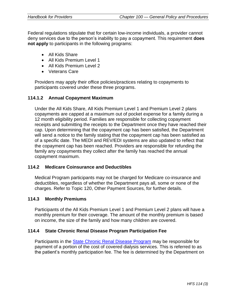Federal regulations stipulate that for certain low-income individuals, a provider cannot deny services due to the person's inability to pay a copayment. This requirement **does not apply** to participants in the following programs:

- All Kids Share
- All Kids Premium Level 1
- All Kids Premium Level 2
- Veterans Care

Providers may apply their office policies/practices relating to copayments to participants covered under these three programs.

### **114.1.2 Annual Copayment Maximum**

Under the All Kids Share, All Kids Premium Level 1 and Premium Level 2 plans copayments are capped at a maximum out of pocket expense for a family during a 12 month eligibility period. Families are responsible for collecting copayment receipts and submitting the receipts to the Department once they have reached their cap. Upon determining that the copayment cap has been satisfied, the Department will send a notice to the family stating that the copayment cap has been satisfied as of a specific date. The MEDI and REV/EDI systems are also updated to reflect that the copayment cap has been reached. Providers are responsible for refunding the family any copayments they collect after the family has reached the annual copayment maximum.

### **114.2 Medicare Coinsurance and Deductibles**

Medical Program participants may not be charged for Medicare co-insurance and deductibles, regardless of whether the Department pays all, some or none of the charges. Refer to Topic 120, Other Payment Sources, for further details.

### **114.3 Monthly Premiums**

Participants of the All Kids Premium Level 1 and Premium Level 2 plans will have a monthly premium for their coverage. The amount of the monthly premium is based on income, the size of the family and how many children are covered.

### **114.4 State Chronic Renal Disease Program Participation Fee**

Participants in the [State Chronic Renal Disease Program](https://www.illinois.gov/hfs/MedicalClients/renal/Pages/default.aspx) may be responsible for payment of a portion of the cost of covered dialysis services. This is referred to as the patient's monthly participation fee. The fee is determined by the Department on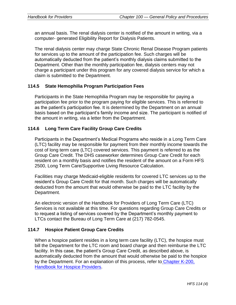an annual basis. The renal dialysis center is notified of the amount in writing, via a computer- generated Eligibility Report for Dialysis Patients.

The renal dialysis center may charge State Chronic Renal Disease Program patients for services up to the amount of the participation fee. Such charges will be automatically deducted from the patient's monthly dialysis claims submitted to the Department. Other than the monthly participation fee, dialysis centers may not charge a participant under this program for any covered dialysis service for which a claim is submitted to the Department.

# **114.5 State Hemophilia Program Participation Fees**

Participants in the State Hemophilia Program may be responsible for paying a participation fee prior to the program paying for eligible services. This is referred to as the patient's participation fee. It is determined by the Department on an annual basis based on the participant's family income and size. The participant is notified of the amount in writing, via a letter from the Department.

# **114.6 Long Term Care Facility Group Care Credits**

Participants in the Department's Medical Programs who reside in a Long Term Care (LTC) facility may be responsible for payment from their monthly income towards the cost of long term care (LTC) covered services. This payment is referred to as the Group Care Credit. The DHS caseworker determines Group Care Credit for each resident on a monthly basis and notifies the resident of the amount on a Form HFS 2500, Long Term Care/Supportive Living Resource Calculation.

Facilities may charge Medicaid-eligible residents for covered LTC services up to the resident's Group Care Credit for that month. Such charges will be automatically deducted from the amount that would otherwise be paid to the LTC facility by the Department.

An electronic version of the Handbook for Providers of Long Term Care (LTC) Services is not available at this time. For questions regarding Group Care Credits or to request a listing of services covered by the Department's monthly payment to LTCs contact the Bureau of Long Term Care at (217) 782-0545.

### **114.7 Hospice Patient Group Care Credits**

When a hospice patient resides in a long term care facility (LTC), the hospice must bill the Department for the LTC room and board charge and then reimburse the LTC facility. In this case, the patient's Group Care Credit, as described above, is automatically deducted from the amount that would otherwise be paid to the hospice by the Department. For an explanation of this process, refer to [Chapter K-200,](https://www.illinois.gov/hfs/SiteCollectionDocuments/hospicehandbook.pdf)  **Handbook for [Hospice Providers.](https://www.illinois.gov/hfs/SiteCollectionDocuments/hospicehandbook.pdf)**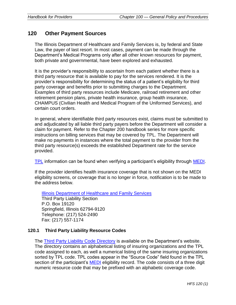# **120 Other Payment Sources**

The Illinois Department of Healthcare and Family Services is, by federal and State Law, the payer of last resort. In most cases, payment can be made through the Department's Medical Programs only after all other known resources for payment, both private and governmental, have been explored and exhausted.

It is the provider's responsibility to ascertain from each patient whether there is a third party resource that is available to pay for the services rendered. It is the provider's responsibility for determining the status of a patient's eligibility for third party coverage and benefits prior to submitting charges to the Department. Examples of third party resources include Medicare, railroad retirement and other retirement pension plans, private health insurance, group health insurance, CHAMPUS (Civilian Health and Medical Program of the Uniformed Services), and certain court orders.

In general, where identifiable third party resources exist, claims must be submitted to and adjudicated by all liable third party payers before the Department will consider a claim for payment. Refer to the Chapter 200 handbook series for more specific instructions on billing services that may be covered by TPL. The Department will make no payments in instances where the total payment to the provider from the third party resource(s) exceeds the established Department rate for the service provided.

[TPL](https://www.illinois.gov/hfs/SiteCollectionDocuments/TPLCodes082416.pdf) information can be found when verifying a participant's eligibility through [MEDI.](https://www.illinois.gov/hfs/MedicalProviders/EDI/medi/Pages/default.aspx)

If the provider identifies health insurance coverage that is not shown on the MEDI eligibility screens, or coverage that is no longer in force, notification is to be made to the address below.

[Illinois Department of Healthcare and Family Services](https://www.illinois.gov/hfs/Pages/default.aspx) Third Party Liability Section P.O. Box 19120 Springfield, Illinois 62794-9120 Telephone: (217) 524-2490 Fax: (217) 557-1174

# **120.1 Third Party Liability Resource Codes**

The [Third Party Liability Code Directory](https://www.illinois.gov/hfs/MedicalProviders/Handbooks/Pages/default.aspx) is available on the Department's website. The directory contains an alphabetical listing of insuring organizations and the TPL code assigned to each, as well a numerical listing of the same insuring organizations sorted by TPL code. TPL codes appear in the "Source Code" field found in the TPL section of the participant's **MEDI** eligibility record. The code consists of a three digit numeric resource code that may be prefixed with an alphabetic coverage code.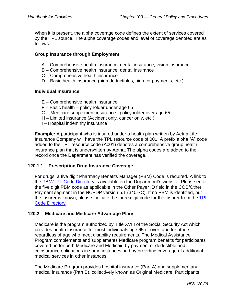When it is present, the alpha coverage code defines the extent of services covered by the TPL source. The alpha coverage codes and level of coverage denoted are as follows:

### **Group Insurance through Employment**

- A Comprehensive health insurance, dental insurance, vision insurance
- B Comprehensive health insurance, dental insurance
- C Comprehensive health insurance
- D Basic health insurance (high deductibles, high co-payments, etc.)

#### **Individual Insurance**

- E Comprehensive health insurance
- F Basic health policyholder under age 65
- G Medicare supplement insurance –policyholder over age 65
- H Limited insurance (Accident only, cancer only, etc.)
- I Hospital indemnity insurance

**Example:** A participant who is insured under a health plan written by Aetna Life Insurance Company will have the TPL resource code of 001. A prefix alpha "A" code added to the TPL resource code (A001) denotes a comprehensive group health insurance plan that is underwritten by Aetna. The alpha codes are added to the record once the Department has verified the coverage.

### **120.1.1 Prescription Drug Insurance Coverage**

For drugs, a five digit Pharmacy Benefits Manager (PBM) Code is required. A link to the [PBM/TPL Code Directory](https://www.illinois.gov/hfs/MedicalProviders/Handbooks/Pages/default.aspx) is available on the Department's website. Please enter the five digit PBM code as applicable in the Other Payer ID field in the COB/Other Payment segment in the NCPDP version 5.1 (340-7C). If no PBM is identified, but the insurer is known, please indicate the three digit code for the insurer from the TPL [Code Directory.](https://www.illinois.gov/hfs/MedicalProviders/Handbooks/Pages/default.aspx)

### **120.2 Medicare and Medicare Advantage Plans**

Medicare is the program authorized by Title XVIII of the Social Security Act which provides health insurance for most individuals age 65 or over, and for others regardless of age who meet disability requirements. The Medical Assistance Program complements and supplements Medicare program benefits for participants covered under both Medicare and Medicaid by payment of deductible and coinsurance obligations in some instances and by providing coverage of additional medical services in other instances.

The Medicare Program provides hospital insurance (Part A) and supplementary medical insurance (Part B), collectively known as Original Medicare. Participants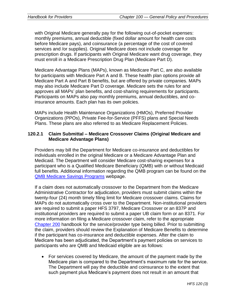with Original Medicare generally pay for the following out-of-pocket expenses: monthly premiums, annual deductible (fixed dollar amount for health care costs before Medicare pays), and coinsurance (a percentage of the cost of covered services and /or supplies). Original Medicare does not include coverage for prescription drugs. If participants with Original Medicare want drug coverage, they must enroll in a Medicare Prescription Drug Plan (Medicare Part D).

Medicare Advantage Plans (MAPs), known as Medicare Part C, are also available for participants with Medicare Part A and B. These health plan options provide all Medicare Part A and Part B benefits, but are offered by private companies. MAPs may also include Medicare Part D coverage. Medicare sets the rules for and approves all MAPs' plan benefits, and cost-sharing requirements for participants. Participants on MAPs also pay monthly premiums, annual deductibles, and coinsurance amounts. Each plan has its own policies.

MAPs include Health Maintenance Organizations (HMOs), Preferred Provider Organizations (PPOs), Private Fee-for-Service (PFFS) plans and Special Needs Plans. These plans are also referred to as Medicare Replacement Policies.

#### **120.2.1 Claim Submittal – Medicare Crossover Claims (Original Medicare and Medicare Advantage Plans)**

Providers may bill the Department for Medicare co-insurance and deductibles for individuals enrolled in the original Medicare or a Medicare Advantage Plan and Medicaid. The Department will consider Medicare cost-sharing expenses for a participant who is a Qualified Medicare Beneficiary (QMB) with or without Medicaid full benefits. Additional information regarding the QMB program can be found on the [QMB Medicare Savings Programs](https://www.illinois.gov/hfs/info/Brochures%20and%20Forms/Brochures/Pages/HFS3757.aspx) webpage.

If a claim does not automatically crossover to the Department from the Medicare Administrative Contractor for adjudication, providers must submit claims within the twenty-four (24) month timely filing limit for Medicare crossover claims. Claims for MAPs do not automatically cross over to the Department. Non-institutional providers are required to submit a paper HFS 3797, Medicare Crossover or an 837P and institutional providers are required to submit a paper UB claim form or an 8371. For more information on filing a Medicare crossover claim, refer to the appropriate [Chapter 200](https://www.illinois.gov/hfs/MedicalProviders/Handbooks/Pages/Chapter200.aspx) handbook for the service/provider type being billed. Prior to submitting the claim, providers should review the Explanation of Medicare Benefits to determine if the participant has co-insurance and deductible expenses. After the claim to Medicare has been adjudicated, the Department's payment policies on services to participants who are QMB and Medicaid eligible are as follows:

• For services covered by Medicare, the amount of the payment made by the Medicare plan is compared to the Department's maximum rate for the service. The Department will pay the deductible and coinsurance to the extent that such payment plus Medicare's payment does not result in an amount that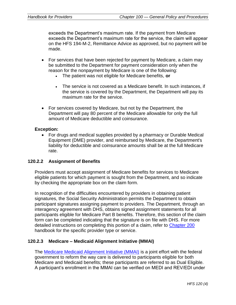exceeds the Department's maximum rate. If the payment from Medicare exceeds the Department's maximum rate for the service, the claim will appear on the HFS 194-M-2, Remittance Advice as approved, but no payment will be made.

- For services that have been rejected for payment by Medicare, a claim may be submitted to the Department for payment consideration only when the reason for the nonpayment by Medicare is one of the following:
	- The patient was not eligible for Medicare benefits, **or**
	- The service is not covered as a Medicare benefit. In such instances, if the service is covered by the Department, the Department will pay its maximum rate for the service.
- For services covered by Medicare, but not by the Department, the Department will pay 80 percent of the Medicare allowable for only the full amount of Medicare deductible and coinsurance.

### **Exception:**

• For drugs and medical supplies provided by a pharmacy or Durable Medical Equipment (DME) provider, and reimbursed by Medicare, the Department's liability for deductible and coinsurance amounts shall be at the full Medicare rate.

## **120.2.2 Assignment of Benefits**

Providers must accept assignment of Medicare benefits for services to Medicare eligible patients for which payment is sought from the Department, and so indicate by checking the appropriate box on the claim form.

In recognition of the difficulties encountered by providers in obtaining patient signatures, the Social Security Administration permits the Department to obtain participant signatures assigning payment to providers. The Department, through an interagency agreement with DHS, obtains signed assignment statements for all participants eligible for Medicare Part B benefits. Therefore, this section of the claim form can be completed indicating that the signature is on file with DHS. For more detailed instructions on completing this portion of a claim, refer to [Chapter 200](https://www.illinois.gov/hfs/MedicalProviders/Handbooks/Pages/Chapter200.aspx) handbook for the specific provider type or service.

## **120.2.3 Medicare – Medicaid Alignment Initiative (MMAI)**

The [Medicare Medicaid Alignment Initiative \(MMAI\)](https://www.illinois.gov/hfs/MedicalProviders/cc/mmai/Pages/default.aspx) is a joint effort with the federal government to reform the way care is delivered to participants eligible for both Medicare and Medicaid benefits; these participants are referred to as Dual Eligible. A participant's enrollment in the MMAI can be verified on MEDI and REV/EDI under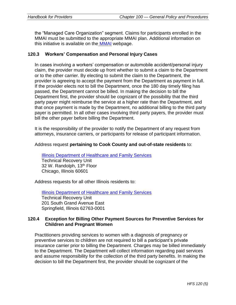the "Managed Care Organization" segment. Claims for participants enrolled in the MMAI must be submitted to the appropriate MMAI plan. Additional information on this initiative is available on the [MMAI](https://www.illinois.gov/hfs/MedicalProviders/cc/mmai/Pages/default.aspx) webpage.

#### **120.3 Workers' Compensation and Personal Injury Cases**

In cases involving a workers' compensation or automobile accident/personal injury claim, the provider must decide up front whether to submit a claim to the Department or to the other carrier. By electing to submit the claim to the Department, the provider is agreeing to accept the payment from the Department as payment in full. If the provider elects not to bill the Department, once the 180 day timely filing has passed, the Department cannot be billed. In making the decision to bill the Department first, the provider should be cognizant of the possibility that the third party payer might reimburse the service at a higher rate than the Department, and that once payment is made by the Department, no additional billing to the third party payer is permitted. In all other cases involving third party payers, the provider must bill the other payer before billing the Department.

It is the responsibility of the provider to notify the Department of any request from attorneys, insurance carriers, or participants for release of participant information.

#### Address request **pertaining to Cook County and out-of-state residents** to:

[Illinois Department of Healthcare and Family Services](https://www.illinois.gov/hfs/Pages/default.aspx) Technical Recovery Unit 32 W. Randolph, 13<sup>th</sup> Floor Chicago, Illinois 60601

Address requests for all other Illinois residents to:

[Illinois Department of Healthcare and Family Services](https://www.illinois.gov/hfs/Pages/default.aspx) Technical Recovery Unit 201 South Grand Avenue East Springfield, Illinois 62763-0001

#### **120.4 Exception for Billing Other Payment Sources for Preventive Services for Children and Pregnant Women**

Practitioners providing services to women with a diagnosis of pregnancy or preventive services to children are not required to bill a participant's private insurance carrier prior to billing the Department. Charges may be billed immediately to the Department. The Department will collect information regarding paid services and assume responsibility for the collection of the third party benefits. In making the decision to bill the Department first, the provider should be cognizant of the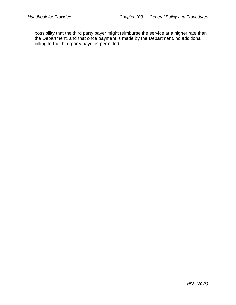possibility that the third party payer might reimburse the service at a higher rate than the Department, and that once payment is made by the Department, no additional billing to the third party payer is permitted.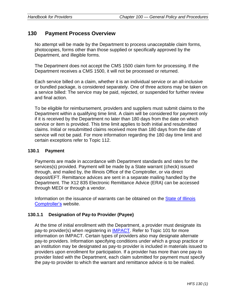# **130 Payment Process Overview**

No attempt will be made by the Department to process unacceptable claim forms, photocopies, forms other than those supplied or specifically approved by the Department, and illegible forms.

The Department does not accept the CMS 1500 claim form for processing. If the Department receives a CMS 1500, it will not be processed or returned.

Each service billed on a claim, whether it is an individual service or an all-inclusive or bundled package, is considered separately. One of three actions may be taken on a service billed: The service may be paid, rejected, or suspended for further review and final action.

To be eligible for reimbursement, providers and suppliers must submit claims to the Department within a qualifying time limit. A claim will be considered for payment only if it is received by the Department no later than 180 days from the date on which service or item is provided. This time limit applies to both initial and resubmitted claims. Initial or resubmitted claims received more than 180 days from the date of service will not be paid. For more information regarding the 180 day time limit and certain exceptions refer to Topic 112.

### **130.1 Payment**

Payments are made in accordance with Department standards and rates for the services(s) provided. Payment will be made by a State warrant (check) issued through, and mailed by, the Illinois Office of the Comptroller, or via direct deposit/EFT. Remittance advices are sent in a separate mailing handled by the Department. The X12 835 Electronic Remittance Advice (ERA) can be accessed through MEDI or through a vendor.

Information on the issuance of warrants can be obtained on the [State of Illinois](http://illinoiscomptroller.gov/)  [Comptroller's](http://illinoiscomptroller.gov/) website.

## **130.1.1 Designation of Pay-to Provider (Payee)**

At the time of initial enrollment with the Department, a provider must designate its pay-to provider(s) when registering in [IMPACT.](https://www.illinois.gov/hfs/impact/Pages/default.aspx) Refer to Topic 101 for more information on IMPACT. Certain types of providers also may designate alternate pay-to providers. Information specifying conditions under which a group practice or an institution may be designated as pay-to provider is included in materials issued to providers upon enrollment for participation. If a provider has more than one pay-to provider listed with the Department, each claim submitted for payment must specify the pay-to provider to which the warrant and remittance advice is to be mailed.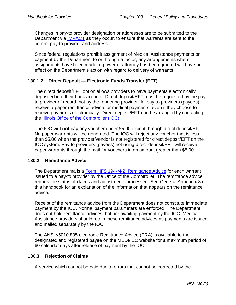Changes in pay-to provider designation or addresses are to be submitted to the Department via [IMPACT](https://www.illinois.gov/hfs/impact/Pages/default.aspx) as they occur, to ensure that warrants are sent to the correct pay-to provider and address.

Since federal regulations prohibit assignment of Medical Assistance payments or payment by the Department to or through a factor, any arrangements where assignments have been made or power of attorney has been granted will have no effect on the Department's action with regard to delivery of warrants.

### **130.1.2 Direct Deposit — Electronic Funds Transfer (EFT)**

The direct deposit/EFT option allows providers to have payments electronically deposited into their bank account. Direct deposit/EFT must be requested by the payto provider of record, not by the rendering provider. All pay-to providers (payees) receive a paper remittance advice for medical payments, even if they choose to receive payments electronically. Direct deposit/EFT can be arranged by contacting the [Illinois Office of the Comptroller \(IOC\).](https://illinoiscomptroller.gov/vendors/direct-deposit/)

The IOC **will not** pay any voucher under \$5.00 except through direct deposit/EFT. No paper warrants will be generated. The IOC will reject any voucher that is less than \$5.00 when the provider/vendor is not registered for direct deposit/EFT on the IOC system. Pay-to providers (payees) not using direct deposit/EFT will receive paper warrants through the mail for vouchers in an amount greater than \$5.00.

#### **130.2 Remittance Advice**

The Department mails a [Form HFS 194-M-2, Remittance Advice](https://www.illinois.gov/hfs/info/Brochures%20and%20Forms/Pages/medicalformsnumeric.aspx) for each warrant issued to a pay-to provider by the Office of the Comptroller. The remittance advice reports the status of claims and adjustments processed. See General Appendix 3 of this handbook for an explanation of the information that appears on the remittance advice.

Receipt of the remittance advice from the Department does not constitute immediate payment by the IOC. Normal payment parameters are enforced. The Department does not hold remittance advices that are awaiting payment by the IOC. Medical Assistance providers should retain these remittance advices as payments are issued and mailed separately by the IOC.

The ANSI v5010 835 electronic Remittance Advice (ERA) is available to the designated and registered payee on the MEDI/IEC website for a maximum period of 60 calendar days after release of payment by the IOC.

#### **130.3 Rejection of Claims**

A service which cannot be paid due to errors that cannot be corrected by the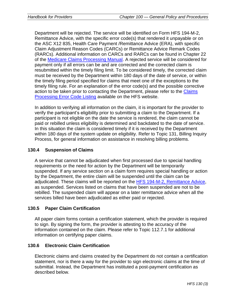Department will be rejected. The service will be identified on Form HFS 194-M-2, Remittance Advice, with the specific error code(s) that rendered it unpayable or on the ASC X12 835, Health Care Payment /Remittance Advice (ERA), with specific Claim Adjustment Reason Codes (CARCs) or Remittance Advice Remark Codes (RARCs). Additional information on CARCs and RARCs can be found in Chapter 22 of the [Medicare Claims Processing Manual.](https://www.cms.gov/regulations-and-guidance/guidance/manuals/internet-only-manuals-ioms-items/cms018912.html) A rejected service will be considered for payment only if all errors can be and are corrected and the corrected claim is resubmitted within the timely filing limit. To be considered timely, the corrected claim must be received by the Department within 180 days of the date of service, or within the timely filing period specified for claims that meet one of the exceptions to the timely filing rule. For an explanation of the error code(s) and the possible corrective action to be taken prior to contacting the Department, please refer to the [Claims](https://www.illinois.gov/hfs/MedicalProviders/Handbooks/Pages/default.aspx)  [Processing Error Code Listing](https://www.illinois.gov/hfs/MedicalProviders/Handbooks/Pages/default.aspx) available on the HFS website.

In addition to verifying all information on the claim, it is important for the provider to verify the participant's eligibility prior to submitting a claim to the Department. If a participant is not eligible on the date the service is rendered, the claim cannot be paid or rebilled unless eligibility is determined and backdated to the date of service. In this situation the claim is considered timely if it is received by the Department within 180 days of the system update on eligibility. Refer to Topic 131, Billing Inquiry Process, for general information on assistance in resolving billing problems.

### **130.4 Suspension of Claims**

A service that cannot be adjudicated when first processed due to special handling requirements or the need for action by the Department will be temporarily suspended. If any service section on a claim form requires special handling or action by the Department, the entire claim will be suspended until the claim can be adjudicated. These claims will be reported on the [HFS 194-M-2, Remittance Advice,](https://www.illinois.gov/hfs/info/Brochures%20and%20Forms/Pages/medicalformsnumeric.aspx) as suspended. Services listed on claims that have been suspended are not to be rebilled. The suspended claim will appear on a later remittance advice when all the services billed have been adjudicated as either paid or rejected.

#### **130.5 Paper Claim Certification**

All paper claim forms contain a certification statement, which the provider is required to sign. By signing the form, the provider is attesting to the accuracy of the information contained on the claim. Please refer to Topic 112.7.1 for additional information on certifying paper claims.

#### **130.6 Electronic Claim Certification**

Electronic claims and claims created by the Department do not contain a certification statement, nor is there a way for the provider to sign electronic claims at the time of submittal. Instead, the Department has instituted a post-payment certification as described below.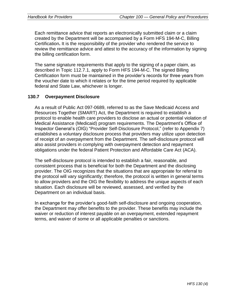Each remittance advice that reports an electronically submitted claim or a claim created by the Department will be accompanied by a Form HFS 194-M-C, Billing Certification**.** It is the responsibility of the provider who rendered the service to review the remittance advice and attest to the accuracy of the information by signing the billing certification form.

The same signature requirements that apply to the signing of a paper claim, as described in Topic 112.7.1, apply to Form HFS 194-M-C. The signed Billing Certification form must be maintained in the provider's records for three years from the voucher date to which it relates or for the time period required by applicable federal and State Law, whichever is longer.

### **130.7 Overpayment Disclosure**

As a result of Public Act 097-0689, referred to as the Save Medicaid Access and Resources Together (SMART) Act, the Department is required to establish a protocol to enable health care providers to disclose an actual or potential violation of Medical Assistance (Medicaid) program requirements. The Department's Office of Inspector General's (OIG) "Provider Self-Disclosure Protocol," (refer to Appendix 7) establishes a voluntary disclosure process that providers may utilize upon detection of receipt of an overpayment from the Department. The self-disclosure protocol will also assist providers in complying with overpayment detection and repayment obligations under the federal Patient Protection and Affordable Care Act (ACA).

The self-disclosure protocol is intended to establish a fair, reasonable, and consistent process that is beneficial for both the Department and the disclosing provider. The OIG recognizes that the situations that are appropriate for referral to the protocol will vary significantly; therefore, the protocol is written in general terms to allow providers and the OIG the flexibility to address the unique aspects of each situation. Each disclosure will be reviewed, assessed, and verified by the Department on an individual basis.

In exchange for the provider's good-faith self-disclosure and ongoing cooperation, the Department may offer benefits to the provider. These benefits may include the waiver or reduction of interest payable on an overpayment, extended repayment terms, and waiver of some or all applicable penalties or sanctions.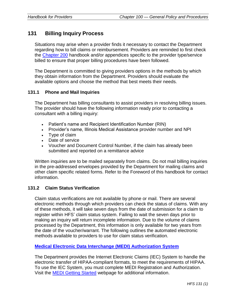# **131 Billing Inquiry Process**

Situations may arise when a provider finds it necessary to contact the Department regarding how to bill claims or reimbursement. Providers are reminded to first check the [Chapter 200](https://www.illinois.gov/hfs/MedicalProviders/Handbooks/Pages/Chapter200.aspx) handbook and/or appendices specific to the provider type/service billed to ensure that proper billing procedures have been followed.

The Department is committed to giving providers options in the methods by which they obtain information from the Department. Providers should evaluate the available options and choose the method that best meets their needs.

#### **131.1 Phone and Mail Inquiries**

The Department has billing consultants to assist providers in resolving billing issues. The provider should have the following information ready prior to contacting a consultant with a billing inquiry:

- Patient's name and Recipient Identification Number (RIN)
- Provider's name, Illinois Medical Assistance provider number and NPI
- Type of claim
- Date of service
- Voucher and Document Control Number, if the claim has already been submitted and reported on a remittance advice

Written inquiries are to be mailed separately from claims. Do not mail billing inquiries in the pre-addressed envelopes provided by the Department for mailing claims and other claim specific related forms. Refer to the Foreword of this handbook for contact information.

#### **131.2 Claim Status Verification**

Claim status verifications are not available by phone or mail. There are several electronic methods through which providers can check the status of claims. With any of these methods, it will take seven days from the date of submission for a claim to register within HFS' claim status system. Failing to wait the seven days prior to making an inquiry will return incomplete information. Due to the volume of claims processed by the Department, this information is only available for two years from the date of the voucher/warrant. The following outlines the automated electronic methods available to providers to use for claim status verification.

#### **[Medical Electronic Data Interchange \(MEDI\) Authorization System](https://www.illinois.gov/hfs/MedicalProviders/EDI/medi/Pages/default.aspx)**

The Department provides the Internet Electronic Claims (IEC) System to handle the electronic transfer of HIPAA-compliant formats, to meet the requirements of HIPAA. To use the IEC System, you must complete MEDI Registration and Authorization. Visit the [MEDI Getting Started](https://www.illinois.gov/hfs/MedicalProviders/EDI/medi/Pages/GettingStarted.aspx) webpage for additional information.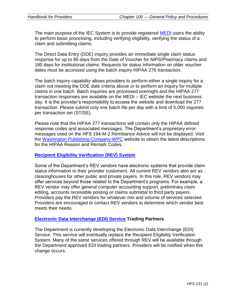The main purpose of the IEC System is to provide registered [MEDI](https://www.illinois.gov/hfs/MedicalProviders/EDI/medi/Pages/default.aspx) users the ability to perform basic processing, including verifying eligibility, verifying the status of a claim and submitting claims.

The Direct Data Entry (DDE) inquiry provides an immediate single claim status response for up to 90 days from the Date of Voucher for NIPS/Pharmacy claims and 180 days for institutional claims. Requests for status information on older voucher dates must be accessed using the batch inquiry HIPAA 276 transaction.

The batch inquiry capability allows providers to perform either a single inquiry for a claim not meeting the DDE date criteria above or to perform an inquiry for multiple claims in one batch. Batch inquiries are processed overnight and the HIPAA 277 transaction responses are available on the MEDI – IEC website the next business day. It is the provider's responsibility to access the website and download the 277 transaction. Please submit only one batch file per day with a limit of 5,000 inquiries per transaction set (ST/SE).

Please note that the HIPAA 277 transactions will contain only the HIPAA defined response codes and associated messages. The Department's proprietary error messages used on the HFS 194-M-2 Remittance Advice will not be displayed. Visit the [Washington Publishing Company-WPC](http://www.wpc-edi.com/reference/codelists/healthcare/remittance-advice-remark-codes/) website to obtain the latest descriptions for the HIPAA Reason and Remark Codes.

#### **[Recipient Eligibility Verification \(REV\) System](https://www.illinois.gov/hfs/MedicalProviders/rev/Pages/default.aspx)**

Some of the Department's REV vendors have electronic systems that provide claim status information to their provider customers. All current REV vendors also act as clearinghouses for other public and private payers. In this role, REV vendors may offer services beyond those related to the Department's programs. For example, a REV vendor may offer general computer accounting support, preliminary claim editing, accounts receivable posting or claims submittal to third party payers. Providers pay the REV vendors for whatever mix and volume of services selected. Providers are encouraged to contact REV vendors to determine which vendor best meets their needs.

#### **[Electronic Data Interchange \(EDI\) Service](https://www.illinois.gov/hfs/MedicalProviders/EDI/Pages/default.aspx) Trading Partners**

The Department is currently developing the Electronic Data Interchange (EDI) Service. This service will eventually replace the Recipient Eligibility Verification System. Many of the same services offered through REV will be available through the Department approved EDI trading partners. Providers will be notified when this change occurs.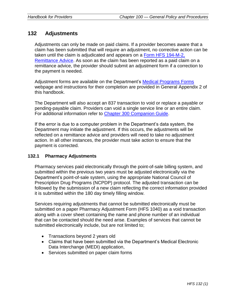# **132 Adjustments**

Adjustments can only be made on paid claims. If a provider becomes aware that a claim has been submitted that will require an adjustment, no corrective action can be taken until the claim is adjudicated and appears on a [Form HFS 194-M-2,](https://www.illinois.gov/hfs/info/Brochures%20and%20Forms/Pages/medicalformsnumeric.aspx)  [Remittance Advice.](https://www.illinois.gov/hfs/info/Brochures%20and%20Forms/Pages/medicalformsnumeric.aspx) As soon as the claim has been reported as a paid claim on a remittance advice, the provider should submit an adjustment form if a correction to the payment is needed.

Adjustment forms are available on the Department's [Medical Programs Forms](https://www.illinois.gov/hfs/info/Brochures%20and%20Forms/Pages/medicalformsalpha.aspx) webpage and instructions for their completion are provided in General Appendix 2 of this handbook.

The Department will also accept an 837 transaction to void or replace a payable or pending-payable claim. Providers can void a single service line or an entire claim. For additional information refer to [Chapter 300 Companion Guide.](https://www.illinois.gov/hfs/MedicalProviders/Handbooks/Pages/5010.aspx)

If the error is due to a computer problem in the Department's data system, the Department may initiate the adjustment. If this occurs, the adjustments will be reflected on a remittance advice and providers will need to take no adjustment action. In all other instances, the provider must take action to ensure that the payment is corrected.

#### **132.1 Pharmacy Adjustments**

Pharmacy services paid electronically through the point-of-sale billing system, and submitted within the previous two years must be adjusted electronically via the Department's point-of-sale system, using the appropriate National Council of Prescription Drug Programs (NCPDP) protocol. The adjusted transaction can be followed by the submission of a new claim reflecting the correct information provided it is submitted within the 180 day timely filling window.

Services requiring adjustments that cannot be submitted electronically must be submitted on a paper Pharmacy Adjustment Form (HFS 1040) as a void transaction along with a cover sheet containing the name and phone number of an individual that can be contacted should the need arise. Examples of services that cannot be submitted electronically include, but are not limited to;

- Transactions beyond 2 years old
- Claims that have been submitted via the Department's Medical Electronic Data Interchange (MEDI) application,
- Services submitted on paper claim forms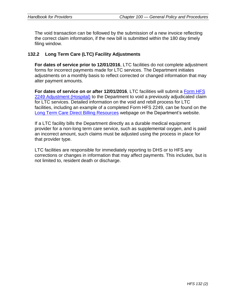The void transaction can be followed by the submission of a new invoice reflecting the correct claim information, if the new bill is submitted within the 180 day timely filing window.

#### **132.2 Long Term Care (LTC) Facility Adjustments**

**For dates of service prior to 12/01/2016**, LTC facilities do not complete adjustment forms for incorrect payments made for LTC services. The Department initiates adjustments on a monthly basis to reflect corrected or changed information that may alter payment amounts.

**For dates of service on or after 12/01/2016**, LTC facilities will submit a [Form HFS](https://www.illinois.gov/hfs/info/Brochures%20and%20Forms/Pages/medicalformsnumeric.aspx)  [2249 Adjustment \(Hospital\)](https://www.illinois.gov/hfs/info/Brochures%20and%20Forms/Pages/medicalformsnumeric.aspx) to the Department to void a previously adjudicated claim for LTC services. Detailed information on the void and rebill process for LTC facilities, including an example of a completed Form HFS 2249, can be found on the [Long Term Care Direct Billing Resources](https://www.illinois.gov/hfs/MedicalProviders/ltss/Pages/LongTermCareDirectBilling.aspx) webpage on the Department's website.

If a LTC facility bills the Department directly as a durable medical equipment provider for a non-long term care service, such as supplemental oxygen, and is paid an incorrect amount, such claims must be adjusted using the process in place for that provider type.

LTC facilities are responsible for immediately reporting to DHS or to HFS any corrections or changes in information that may affect payments. This includes, but is not limited to, resident death or discharge.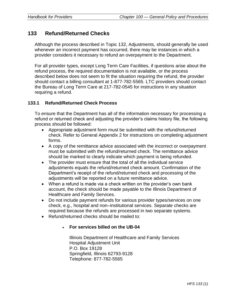# **133 Refund/Returned Checks**

Although the process described in Topic 132, Adjustments, should generally be used whenever an incorrect payment has occurred, there may be instances in which a provider considers it necessary to refund an overpayment to the Department.

For all provider types, except Long Term Care Facilities, if questions arise about the refund process, the required documentation is not available, or the process described below does not seem to fit the situation requiring the refund, the provider should contact a billing consultant at 1-877-782-5565. LTC providers should contact the Bureau of Long Term Care at 217-782-0545 for instructions in any situation requiring a refund.

#### **133.1 Refund/Returned Check Process**

To ensure that the Department has all of the information necessary for processing a refund or returned check and adjusting the provider's claims history file, the following process should be followed:

- Appropriate adjustment form must be submitted with the refund/returned check. Refer to General Appendix 2 for instructions on completing adjustment forms.
- A copy of the remittance advice associated with the incorrect or overpayment must be submitted with the refund/returned check. The remittance advice should be marked to clearly indicate which payment is being refunded.
- The provider must ensure that the total of all the individual service adjustments equals the refund/returned check amount. Confirmation of the Department's receipt of the refund/returned check and processing of the adjustments will be reported on a future remittance advice.
- When a refund is made via a check written on the provider's own bank account, the check should be made payable to the Illinois Department of Healthcare and Family Services.
- Do not include payment refunds for various provider types/services on one check, e.g., hospital and non–institutional services. Separate checks are required because the refunds are processed in two separate systems.
- Refund/returned checks should be mailed to:

#### • **For services billed on the UB-04**

Illinois Department of Healthcare and Family Services Hospital Adjustment Unit P.O. Box 19128 Springfield, Illinois 62793-9128 Telephone: 877-782-5565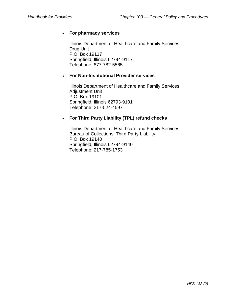### • **For pharmacy services**

Illinois Department of Healthcare and Family Services Drug Unit P.O. Box 19117 Springfield, Illinois 62794-9117 Telephone: 877-782-5565

#### • **For Non-Institutional Provider services**

Illinois Department of Healthcare and Family Services Adjustment Unit P.O. Box 19101 Springfield, Illinois 62793-9101 Telephone: 217-524-4597

### • **For Third Party Liability (TPL) refund checks**

Illinois Department of Healthcare and Family Services Bureau of Collections, Third Party Liability P.O. Box 19140 Springfield, Illinois 62794-9140 Telephone: 217-785-1753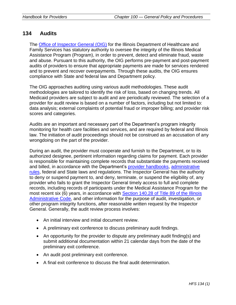# **134 Audits**

The [Office of Inspector General \(OIG\)](https://www.illinois.gov/hfs/oig/Pages/Welcome.aspx) for the Illinois Department of Healthcare and Family Services has statutory authority to oversee the integrity of the Illinois Medical Assistance Program (Program), in order to prevent, detect and eliminate fraud, waste and abuse. Pursuant to this authority, the OIG performs pre-payment and post-payment audits of providers to ensure that appropriate payments are made for services rendered and to prevent and recover overpayments. Through these audits, the OIG ensures compliance with State and federal law and Department policy.

The OIG approaches auditing using various audit methodologies. These audit methodologies are tailored to identify the risk of loss, based on changing trends. All Medicaid providers are subject to audit and are periodically reviewed. The selection of a provider for audit review is based on a number of factors, including but not limited to: data analysis; external complaints of potential fraud or improper billing; and provider risk scores and categories.

Audits are an important and necessary part of the Department's program integrity monitoring for health care facilities and services, and are required by federal and Illinois law. The initiation of audit proceedings should not be construed as an accusation of any wrongdoing on the part of the provider.

During an audit, the provider must cooperate and furnish to the Department, or to its authorized designee, pertinent information regarding claims for payment. Each provider is responsible for maintaining complete records that substantiate the payments received and billed, in accordance with the Department's [provider handbooks,](https://www.illinois.gov/hfs/MedicalProviders/Handbooks/Pages/default.aspx) administrative [rules,](https://www.illinois.gov/hfs/info/legal/Pages/default.aspx) federal and State laws and regulations. The Inspector General has the authority to deny or suspend payment to, and deny, terminate, or suspend the eligibility of, any provider who fails to grant the Inspector General timely access to full and complete records, including records of participants under the Medical Assistance Program for the most recent six (6) years, in accordance with Section 140.28 of Title 89 of the Illinois [Administrative Code,](http://www.ilga.gov/commission/jcar/admincode/089/08900140sections.html) and other information for the purpose of audit, investigation, or other program integrity functions, after reasonable written request by the Inspector General. Generally, the audit review process involves:

- An initial interview and initial document review.
- A preliminary exit conference to discuss preliminary audit findings.
- An opportunity for the provider to dispute any preliminary audit finding(s) and submit additional documentation within 21 calendar days from the date of the preliminary exit conference.
- An audit post preliminary exit conference.
- A final exit conference to discuss the final audit determination.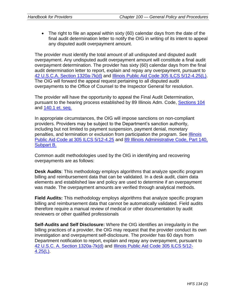• The right to file an appeal within sixty (60) calendar days from the date of the final audit determination letter to notify the OIG in writing of its intent to appeal any disputed audit overpayment amount.

The provider must identify the total amount of all undisputed and disputed audit overpayment. Any undisputed audit overpayment amount will constitute a final audit overpayment determination. The provider has sixty (60) calendar days from the final audit determination letter to report, explain and repay any overpayment, pursuant to [42 U.S.C.A. Section 1320a-7k\(d\)](https://www.gpo.gov/fdsys/pkg/USCODE-2015-title42/pdf/USCODE-2015-title42-chap7-subchapXI.pdf) and [Illinois Public Aid Code 305 ILCS 5/12-4.25\(L\).](http://www.ilga.gov/legislation/ilcs/ilcs2.asp?ChapterID=28) The OIG will forward the appeal request pertaining to all disputed audit overpayments to the Office of Counsel to the Inspector General for resolution.

The provider will have the opportunity to appeal the Final Audit Determination, pursuant to the hearing process established by 89 Illinois Adm. Code, [Sections 104](http://www.ilga.gov/commission/jcar/admincode/089/08900104sections.html) and [140.1](http://www.ilga.gov/commission/jcar/admincode/089/08900140sections.html) et. seq.

In appropriate circumstances, the OIG will impose sanctions on non-compliant providers. Providers may be subject to the Department's sanction authority, including but not limited to payment suspension, payment denial, monetary penalties, and termination or exclusion from participation the program. See [Illinois](http://www.ilga.gov/legislation/ilcs/ilcs2.asp?ChapterID=28)  [Public Aid Code at 305 ILCS 5/12-4.25](http://www.ilga.gov/legislation/ilcs/ilcs2.asp?ChapterID=28) and [89 Illinois Administrative Code, Part 140,](http://www.ilga.gov/commission/jcar/admincode/089/08900140sections.html)  [Subpart B.](http://www.ilga.gov/commission/jcar/admincode/089/08900140sections.html)

Common audit methodologies used by the OIG in identifying and recovering overpayments are as follows:

**Desk Audits**: This methodology employs algorithms that analyze specific program billing and reimbursement data that can be validated. In a desk audit, claim data elements and established law and policy are used to determine if an overpayment was made. The overpayment amounts are verified through analytical methods.

**Field Audits:** This methodology employs algorithms that analyze specific program billing and reimbursement data that cannot be automatically validated. Field audits therefore require a manual review of medical or other documentation by audit reviewers or other qualified professionals

**Self-Audits and Self Disclosure:** Where the OIG identifies an irregularity in the billing practices of a provider, the OIG may request that the provider conduct its own investigation and overpayment self-disclosure. The provider has 60 days from Department notification to report, explain and repay any overpayment, pursuant to [42 U.S.C. A. Section 1320a-7k\(d\)](https://www.gpo.gov/fdsys/pkg/USCODE-2015-title42/pdf/USCODE-2015-title42-chap7-subchapXI.pdf) and [Illinois Public Aid Code 305 ILCS 5/12-](http://www.ilga.gov/legislation/ilcs/ilcs2.asp?ChapterID=28) [4.25\(L\).](http://www.ilga.gov/legislation/ilcs/ilcs2.asp?ChapterID=28)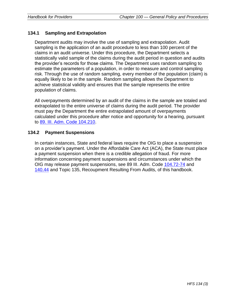## **134.1 Sampling and Extrapolation**

Department audits may involve the use of sampling and extrapolation. Audit sampling is the application of an audit procedure to less than 100 percent of the claims in an audit universe. Under this procedure, the Department selects a statistically valid sample of the claims during the audit period in question and audits the provider's records for those claims. The Department uses random sampling to estimate the parameters of a population, in order to measure and control sampling risk. Through the use of random sampling, every member of the population (claim) is equally likely to be in the sample. Random sampling allows the Department to achieve statistical validity and ensures that the sample represents the entire population of claims.

All overpayments determined by an audit of the claims in the sample are totaled and extrapolated to the entire universe of claims during the audit period. The provider must pay the Department the entire extrapolated amount of overpayments calculated under this procedure after notice and opportunity for a hearing, pursuant to 89. [III. Adm. Code 104.210.](http://www.ilga.gov/commission/jcar/admincode/089/08900104sections.html)

#### **134.2 Payment Suspensions**

In certain instances, State and federal laws require the OIG to place a suspension on a provider's payment. Under the Affordable Care Act (ACA), the State must place a payment suspension when there is a credible allegation of fraud. For more information concerning payment suspensions and circumstances under which the OIG may release payment suspensions, see 89 III. Adm. Code [104.72-74](http://www.ilga.gov/commission/jcar/admincode/089/08900104sections.html) and [140.44](http://www.ilga.gov/commission/jcar/admincode/089/08900140sections.html) and Topic 135, Recoupment Resulting From Audits, of this handbook.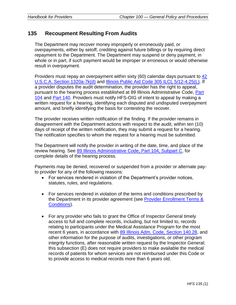# **135 Recoupment Resulting From Audits**

The Department may recover money improperly or erroneously paid, or overpayments, either by setoff, crediting against future billings or by requiring direct repayment to the Department. The Department may suspend or deny payment, in whole or in part, if such payment would be improper or erroneous or would otherwise result in overpayment.

Providers must repay an overpayment within sixty (60) calendar days pursuant to [42](https://www.gpo.gov/fdsys/pkg/USCODE-2015-title42/pdf/USCODE-2015-title42-chap7-subchapXI.pdf)  [U.S.C.A. Section 1320a-7k\(d\)](https://www.gpo.gov/fdsys/pkg/USCODE-2015-title42/pdf/USCODE-2015-title42-chap7-subchapXI.pdf) and [Illinois Public Aid Code 305 ILCL 5/12-4.25\(L\).](http://www.ilga.gov/legislation/ilcs/ilcs2.asp?ChapterID=28) If a provider disputes the audit determination, the provider has the right to appeal, pursuant to the hearing process established at 89 Illinois Administrative Code, [Part](http://www.ilga.gov/commission/jcar/admincode/089/08900104sections.html)  [104](http://www.ilga.gov/commission/jcar/admincode/089/08900104sections.html) and [Part 140.](http://www.ilga.gov/commission/jcar/admincode/089/08900140sections.html) Providers must notify HFS-OIG of intent to appeal by making a written request for a hearing, identifying each disputed and undisputed overpayment amount, and briefly identifying the basis for contesting the recover.

The provider receives written notification of the finding. If the provider remains in disagreement with the Department actions with respect to the audit, within ten (10) days of receipt of the written notification, they may submit a request for a hearing. The notification specifies to whom the request for a hearing must be submitted.

The Department will notify the provider in writing of the date, time, and place of the review hearing. See [89 Illinois Administrative Code, Part 104, Subpart C,](http://www.ilga.gov/commission/jcar/admincode/089/08900104sections.html) for complete details of the hearing process.

Payments may be denied, recovered or suspended from a provider or alternate payto provider for any of the following reasons:

- For services rendered in violation of the Department's provider notices, statutes, rules, and regulations.
- For services rendered in violation of the terms and conditions prescribed by the Department in its provider agreement (see [Provider Enrollment Terms &](https://www.illinois.gov/hfs/SiteCollectionDocuments/Appendix%20M%20-%20Terms%20and%20Conditions%20062016.pdf)  [Conditions\)](https://www.illinois.gov/hfs/SiteCollectionDocuments/Appendix%20M%20-%20Terms%20and%20Conditions%20062016.pdf).
- For any provider who fails to grant the Office of Inspector General timely access to full and complete records, including, but not limited to, records relating to participants under the Medical Assistance Program for the most recent 6 years, in accordance with [89 Illinois Adm. Code, Section 140.28,](http://www.ilga.gov/commission/jcar/admincode/089/089parts.html) and other information for the purpose of audits, investigations, or other program integrity functions, after reasonable written request by the Inspector General; this subsection (E) does not require providers to make available the medical records of patients for whom services are not reimbursed under this Code or to provide access to medical records more than 6 years old.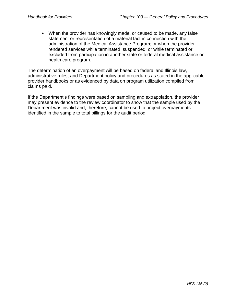• When the provider has knowingly made, or caused to be made, any false statement or representation of a material fact in connection with the administration of the Medical Assistance Program; or when the provider rendered services while terminated, suspended, or while terminated or excluded from participation in another state or federal medical assistance or health care program.

The determination of an overpayment will be based on federal and Illinois law, administrative rules, and Department policy and procedures as stated in the applicable provider handbooks or as evidenced by data on program utilization compiled from claims paid.

If the Department's findings were based on sampling and extrapolation, the provider may present evidence to the review coordinator to show that the sample used by the Department was invalid and, therefore, cannot be used to project overpayments identified in the sample to total billings for the audit period.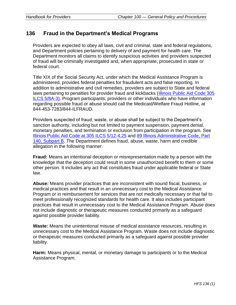# **136 Fraud in the Department's Medical Programs**

Providers are expected to obey all laws, civil and criminal, state and federal regulations, and Department policies pertaining to delivery of and payment for health care. The Department monitors all claims to identify suspicious activities and providers suspected of fraud will be criminally investigated and, when appropriate, prosecuted in state or federal court.

Title XIX of the Social Security Act, under which the Medical Assistance Program is administered, provides federal penalties for fraudulent acts and false reporting. In addition to administrative and civil remedies, providers are subject to State and federal laws pertaining to penalties for provider fraud and kickbacks [\(Illinois Public Aid Code 305](http://www.ilga.gov/legislation/ilcs/ilcs2.asp?ChapterID=28)  [ILCS 5/8A-3\).](http://www.ilga.gov/legislation/ilcs/ilcs2.asp?ChapterID=28) Program participants, providers or other individuals who have information regarding possible fraud or abuse should call the Medicaid/Welfare Fraud Hotline, at 844-453-7283/844-ILFRAUD.

Providers suspected of fraud, waste, or abuse shall be subject to the Department's sanction authority, including but not limited to payment suspension, payment denial, monetary penalties, and termination or exclusion from participation in the program. See [Illinois Public Aid Code at 305 ILCS 5/12-4.25](http://www.ilga.gov/legislation/ilcs/ilcs2.asp?ChapterID=28) and [89 Illinois Administrative Code, Part](http://www.ilga.gov/commission/jcar/admincode/089/089parts.html)  [140, Subpart B.](http://www.ilga.gov/commission/jcar/admincode/089/089parts.html) The Department defines fraud, abuse, waste, harm and credible allegation in the following manner.

**Fraud:** Means an intentional deception or misrepresentation made by a person with the knowledge that the deception could result in some unauthorized benefit to them or some other person. It includes any act that constitutes fraud under applicable federal or State law.

**Abuse:** Means provider practices that are inconsistent with sound fiscal, business, or medical practices and that result in an unnecessary cost to the Medical Assistance Program or in reimbursement for services that are not medically necessary or that fail to meet professionally recognized standards for health care. It also includes participant practices that result in unnecessary cost to the Medical Assistance Program. Abuse does not include diagnostic or therapeutic measures conducted primarily as a safeguard against possible provider liability.

**Waste:** Means the unintentional misuse of medical assistance resources, resulting in unnecessary cost to the Medical Assistance Program. Waste does not include diagnostic or therapeutic measures conducted primarily as a safeguard against possible provider liability.

**Harm:** Means physical, mental, or monetary damage to participants or to the Medical Assistance Program.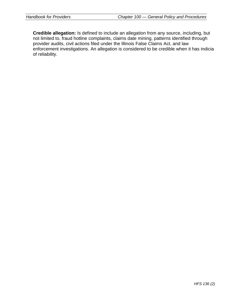**Credible allegation:** Is defined to include an allegation from any source, including, but not limited to, fraud hotline complaints, claims date mining, patterns identified through provider audits, civil actions filed under the Illinois False Claims Act, and law enforcement investigations. An allegation is considered to be credible when it has indicia of reliability.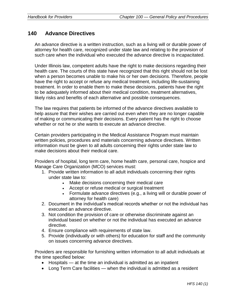## **140 Advance Directives**

An advance directive is a written instruction, such as a living will or durable power of attorney for health care, recognized under state law and relating to the provision of such care when the individual who executed the advance directive is incapacitated.

Under Illinois law, competent adults have the right to make decisions regarding their health care. The courts of this state have recognized that this right should not be lost when a person becomes unable to make his or her own decisions. Therefore, people have the right to accept or refuse any medical treatment, including life-sustaining treatment. In order to enable them to make these decisions, patients have the right to be adequately informed about their medical condition, treatment alternatives, likely risks and benefits of each alternative and possible consequences.

The law requires that patients be informed of the advance directives available to help assure that their wishes are carried out even when they are no longer capable of making or communicating their decisions. Every patient has the right to choose whether or not he or she wants to execute an advance directive.

Certain providers participating in the Medical Assistance Program must maintain written policies, procedures and materials concerning advance directives. Written information must be given to all adults concerning their rights under state law to make decisions about their medical care.

Providers of hospital, long term care, home health care, personal care, hospice and Manage Care Organization (MCO) services must:

- 1. Provide written information to all adult individuals concerning their rights under state law to:
	- Make decisions concerning their medical care
	- Accept or refuse medical or surgical treatment
	- Formulate advance directives (e.g., a living will or durable power of attorney for health care)
- 2. Document in the individual's medical records whether or not the individual has executed an advance directive.
- 3. Not condition the provision of care or otherwise discriminate against an individual based on whether or not the individual has executed an advance directive.
- 4. Ensure compliance with requirements of state law.
- 5. Provide (individually or with others) for education for staff and the community on issues concerning advance directives.

Providers are responsible for furnishing written information to all adult individuals at the time specified below:

- Hospitals at the time an individual is admitted as an inpatient
- Long Term Care facilities when the individual is admitted as a resident